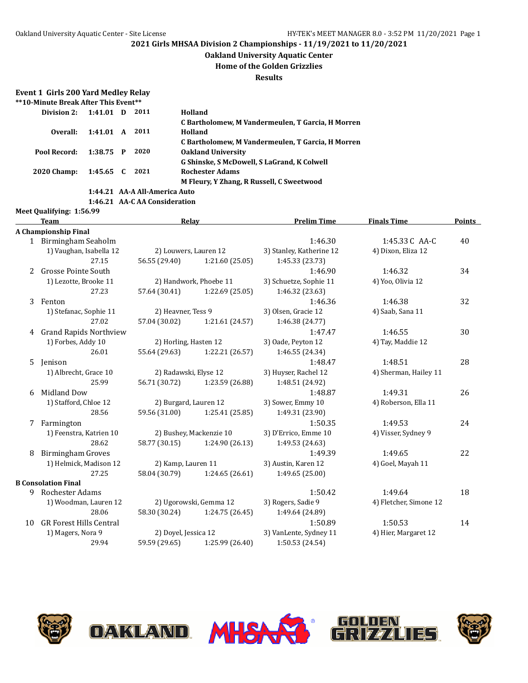#### **Oakland University Aquatic Center**

**Home of the Golden Grizzlies**

**Results**

#### **Event 1 Girls 200 Yard Medley Relay \*\*10-Minute Break After This Event\*\***

**Meet Qualifying: 1:56.99**

| Division 2:        | 1:41.01 D   |  | 2011                          | Holland                                           |  |  |  |  |
|--------------------|-------------|--|-------------------------------|---------------------------------------------------|--|--|--|--|
|                    |             |  |                               | C Bartholomew, M Vandermeulen, T Garcia, H Morren |  |  |  |  |
| Overall:           | 1:41.01 A   |  | 2011                          | Holland                                           |  |  |  |  |
|                    |             |  |                               | C Bartholomew, M Vandermeulen, T Garcia, H Morren |  |  |  |  |
| Pool Record:       | $1:38.75$ P |  | 2020                          | <b>Oakland University</b>                         |  |  |  |  |
|                    |             |  |                               | G Shinske, S McDowell, S LaGrand, K Colwell       |  |  |  |  |
| <b>2020 Champ:</b> | 1:45.65 C   |  | 2021                          | <b>Rochester Adams</b>                            |  |  |  |  |
|                    |             |  |                               | M Fleury, Y Zhang, R Russell, C Sweetwood         |  |  |  |  |
|                    |             |  | 1:44.21 AA-A All-America Auto |                                                   |  |  |  |  |

**1:46.21 AA-C AA Consideration**

### **Team Relay Prelim Time Finals Time Points A Championship Final** 1 Birmingham Seaholm 1:46.30 1:45.33C AA-C 40 1) Vaughan, Isabella 12 2) Louwers, Lauren 12 3) Stanley, Katherine 12 4) Dixon, Eliza 12 27.15 56.55 (29.40) 1:21.60 (25.05) 1:45.33 (23.73) 2 Grosse Pointe South 1:46.90 1:46.32 34 1) Lezotte, Brooke 11 2) Handwork, Phoebe 11 3) Schuetze, Sophie 11 4) Yoo, Olivia 12 27.23 57.64 (30.41) 1:22.69 (25.05) 1:46.32 (23.63) 3 Fenton 1:46.36 1:46.38 32 1) Stefanac, Sophie 11 2) Heavner, Tess 9 3) Olsen, Gracie 12 4) Saab, Sana 11 27.02 57.04 (30.02) 1:21.61 (24.57) 1:46.38 (24.77) 4 Grand Rapids Northview 1:47.47 1:46.55 30 1) Forbes, Addy 10 2) Horling, Hasten 12 3) Oade, Peyton 12 4) Tay, Maddie 12 26.01 55.64 (29.63) 1:22.21 (26.57) 1:46.55 (24.34) 5 Jenison 1:48.47 1:48.51 28 1) Albrecht, Grace 10 2) Radawski, Elyse 12 3) Huyser, Rachel 12 4) Sherman, Hailey 11 25.99 56.71 (30.72) 1:23.59 (26.88) 1:48.51 (24.92) 6 Midland Dow 1:48.87 1:49.31 26 1) Stafford, Chloe 12 2) Burgard, Lauren 12 3) Sower, Emmy 10 4) Roberson, Ella 11 28.56 59.56 (31.00) 1:25.41 (25.85) 1:49.31 (23.90) 7 Farmington 1:50.35 1:49.53 24 1) Feenstra, Katrien 10 2) Bushey, Mackenzie 10 3) D'Errico, Emme 10 4) Visser, Sydney 9 28.62 58.77 (30.15) 1:24.90 (26.13) 1:49.53 (24.63) 8 Birmingham Groves 1:49.39 1:49.65 22 1) Helmick, Madison 12 2) Kamp, Lauren 11 3) Austin, Karen 12 4) Goel, Mayah 11 27.25 58.04 (30.79) 1:24.65 (26.61) 1:49.65 (25.00) **B Consolation Final** 9 Rochester Adams 1:50.42 1:49.64 18 1) Woodman, Lauren 12 2) Ugorowski, Gemma 12 3) Rogers, Sadie 9 4) Fletcher, Simone 12 28.06 58.30 (30.24) 1:24.75 (26.45) 1:49.64 (24.89) 10 GR Forest Hills Central 1:50.89 1:50.89 1:50.53 14 1) Magers, Nora 9 2) Doyel, Jessica 12 3) VanLente, Sydney 11 4) Hier, Margaret 12



29.94 59.59 (29.65) 1:25.99 (26.40) 1:50.53 (24.54)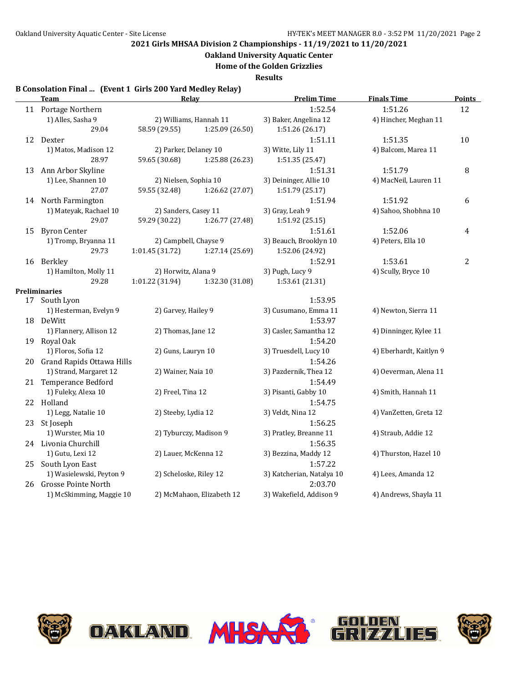**Oakland University Aquatic Center**

**Home of the Golden Grizzlies**

**Results**

### **B Consolation Final ... (Event 1 Girls 200 Yard Medley Relay)**

|    | Team                         | <b>Relay</b>           |                           | <b>Prelim Time</b>        | <b>Finals Time</b>      | <b>Points</b>  |
|----|------------------------------|------------------------|---------------------------|---------------------------|-------------------------|----------------|
|    | 11 Portage Northern          |                        |                           | 1:52.54                   | 1:51.26                 | 12             |
|    | 1) Alles, Sasha 9            |                        | 2) Williams, Hannah 11    | 3) Baker, Angelina 12     | 4) Hincher, Meghan 11   |                |
|    | 29.04                        | 58.59 (29.55)          | 1:25.09 (26.50)           | 1:51.26 (26.17)           |                         |                |
|    | 12 Dexter                    |                        |                           | 1:51.11                   | 1:51.35                 | 10             |
|    | 1) Matos, Madison 12         | 2) Parker, Delaney 10  |                           | 3) Witte, Lily 11         | 4) Balcom, Marea 11     |                |
|    | 28.97                        | 59.65 (30.68)          | 1:25.88 (26.23)           | 1:51.35 (25.47)           |                         |                |
| 13 | Ann Arbor Skyline            |                        |                           | 1:51.31                   | 1:51.79                 | 8              |
|    | 1) Lee, Shannen 10           | 2) Nielsen, Sophia 10  |                           | 3) Deininger, Allie 10    | 4) MacNeil, Lauren 11   |                |
|    | 27.07                        | 59.55 (32.48)          | 1:26.62 (27.07)           | 1:51.79 (25.17)           |                         |                |
|    | 14 North Farmington          |                        |                           | 1:51.94                   | 1:51.92                 | 6              |
|    | 1) Mateyak, Rachael 10       | 2) Sanders, Casey 11   |                           | 3) Gray, Leah 9           | 4) Sahoo, Shobhna 10    |                |
|    | 29.07                        | 59.29 (30.22)          | 1:26.77 (27.48)           | 1:51.92 (25.15)           |                         |                |
| 15 | <b>Byron Center</b>          |                        |                           | 1:51.61                   | 1:52.06                 | 4              |
|    | 1) Tromp, Bryanna 11         | 2) Campbell, Chayse 9  |                           | 3) Beauch, Brooklyn 10    | 4) Peters, Ella 10      |                |
|    | 29.73                        | 1:01.45 (31.72)        | 1:27.14 (25.69)           | 1:52.06 (24.92)           |                         |                |
|    | 16 Berkley                   |                        |                           | 1:52.91                   | 1:53.61                 | $\overline{c}$ |
|    | 1) Hamilton, Molly 11        | 2) Horwitz, Alana 9    |                           | 3) Pugh, Lucy 9           | 4) Scully, Bryce 10     |                |
|    | 29.28                        | 1:01.22(31.94)         | 1:32.30 (31.08)           | 1:53.61 (21.31)           |                         |                |
|    | <b>Preliminaries</b>         |                        |                           |                           |                         |                |
| 17 | South Lyon                   |                        |                           | 1:53.95                   |                         |                |
|    | 1) Hesterman, Evelyn 9       | 2) Garvey, Hailey 9    |                           | 3) Cusumano, Emma 11      | 4) Newton, Sierra 11    |                |
|    | 18 DeWitt                    |                        |                           | 1:53.97                   |                         |                |
|    | 1) Flannery, Allison 12      | 2) Thomas, Jane 12     |                           | 3) Casler, Samantha 12    | 4) Dinninger, Kylee 11  |                |
|    | 19 Royal Oak                 |                        |                           | 1:54.20                   |                         |                |
|    | 1) Floros, Sofia 12          | 2) Guns, Lauryn 10     |                           | 3) Truesdell, Lucy 10     | 4) Eberhardt, Kaitlyn 9 |                |
|    | 20 Grand Rapids Ottawa Hills |                        |                           | 1:54.26                   |                         |                |
|    | 1) Strand, Margaret 12       | 2) Wainer, Naia 10     |                           | 3) Pazdernik, Thea 12     | 4) Oeverman, Alena 11   |                |
|    | 21 Temperance Bedford        |                        |                           | 1:54.49                   |                         |                |
|    | 1) Fuleky, Alexa 10          | 2) Freel, Tina 12      |                           | 3) Pisanti, Gabby 10      | 4) Smith, Hannah 11     |                |
|    | 22 Holland                   |                        |                           | 1:54.75                   |                         |                |
|    | 1) Legg, Natalie 10          | 2) Steeby, Lydia 12    |                           | 3) Veldt, Nina 12         | 4) VanZetten, Greta 12  |                |
|    | 23 St Joseph                 |                        |                           | 1:56.25                   |                         |                |
|    | 1) Wurster, Mia 10           | 2) Tyburczy, Madison 9 |                           | 3) Pratley, Breanne 11    | 4) Straub, Addie 12     |                |
|    | 24 Livonia Churchill         |                        |                           | 1:56.35                   |                         |                |
|    | 1) Gutu, Lexi 12             | 2) Lauer, McKenna 12   |                           | 3) Bezzina, Maddy 12      | 4) Thurston, Hazel 10   |                |
|    | 25 South Lyon East           |                        |                           | 1:57.22                   |                         |                |
|    | 1) Wasielewski, Peyton 9     | 2) Scheloske, Riley 12 |                           | 3) Katcherian, Natalya 10 | 4) Lees, Amanda 12      |                |
| 26 | <b>Grosse Pointe North</b>   |                        |                           | 2:03.70                   |                         |                |
|    | 1) McSkimming, Maggie 10     |                        | 2) McMahaon, Elizabeth 12 | 3) Wakefield, Addison 9   | 4) Andrews, Shayla 11   |                |
|    |                              |                        |                           |                           |                         |                |









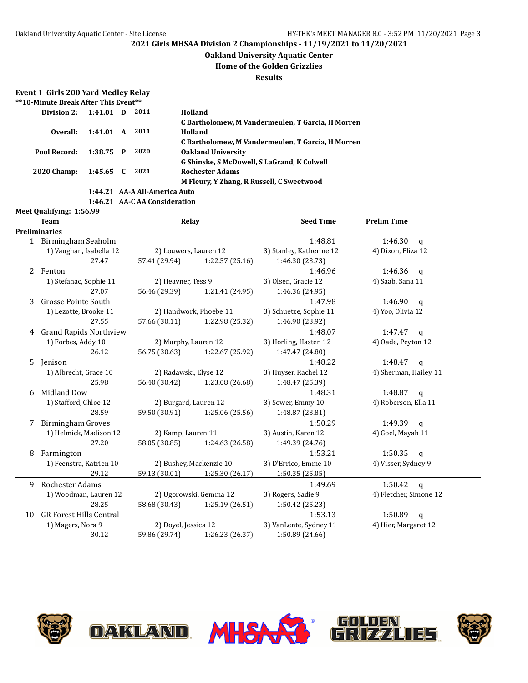#### **Oakland University Aquatic Center**

#### **Home of the Golden Grizzlies**

**Results**

#### **Event 1 Girls 200 Yard Medley Relay \*\*10-Minute Break After This Event\*\***

|                    | TV BURG DICAN ARCI THIS LIVELLE |   |                               |                                                   |  |  |  |  |  |
|--------------------|---------------------------------|---|-------------------------------|---------------------------------------------------|--|--|--|--|--|
| Division 2:        | 1:41.01                         | D | 2011                          | Holland                                           |  |  |  |  |  |
|                    |                                 |   |                               | C Bartholomew, M Vandermeulen, T Garcia, H Morren |  |  |  |  |  |
| Overall:           | 1:41.01 A                       |   | 2011                          | Holland                                           |  |  |  |  |  |
|                    |                                 |   |                               | C Bartholomew, M Vandermeulen, T Garcia, H Morren |  |  |  |  |  |
| Pool Record:       | 1:38.75 P                       |   | 2020                          | <b>Oakland University</b>                         |  |  |  |  |  |
|                    |                                 |   |                               | G Shinske, S McDowell, S LaGrand, K Colwell       |  |  |  |  |  |
| <b>2020 Champ:</b> | $1:45.65$ C                     |   | 2021                          | <b>Rochester Adams</b>                            |  |  |  |  |  |
|                    |                                 |   |                               | M Fleury, Y Zhang, R Russell, C Sweetwood         |  |  |  |  |  |
|                    |                                 |   | 1:44.21 AA-A All-America Auto |                                                   |  |  |  |  |  |

DAKUAND.

**1:46.21 AA-C AA Consideration Meet Qualifying: 1:56.99**

### **Team Relay Relay Seed Time Prelim Time Preliminaries** 1:48.81 1:46.30 q 1:46.30 mm and the method of the method of the method of the method of the method of the method of the method of the method of the method of the method of the method of the method of the method of the met 1) Vaughan, Isabella 12 2) Louwers, Lauren 12 3) Stanley, Katherine 12 4) Dixon, Eliza 12 27.47 57.41 (29.94) 1:22.57 (25.16) 1:46.30 (23.73) 2 Fenton 1:46.96 1:46.36 q 1) Stefanac, Sophie 11 2) Heavner, Tess 9 3) Olsen, Gracie 12 4) Saab, Sana 11 27.07 56.46 (29.39) 1:21.41 (24.95) 1:46.36 (24.95) 3 Grosse Pointe South 1:47.98 1:46.90 q 1) Lezotte, Brooke 11 2) Handwork, Phoebe 11 3) Schuetze, Sophie 11 4) Yoo, Olivia 12 27.55 57.66 (30.11) 1:22.98 (25.32) 1:46.90 (23.92) 4 Grand Rapids Northview 1:48.07 1:47.47 q 1) Forbes, Addy 10 2) Murphy, Lauren 12 3) Horling, Hasten 12 4) Oade, Peyton 12 26.12 56.75 (30.63) 1:22.67 (25.92) 1:47.47 (24.80) 5 Jenison 1:48.22 1:48.47 q 1) Albrecht, Grace 10 2) Radawski, Elyse 12 3) Huyser, Rachel 12 4) Sherman, Hailey 11 25.98 56.40 (30.42) 1:23.08 (26.68) 1:48.47 (25.39) 6 Midland Dow 1:48.31 1:48.87 q 1) Stafford, Chloe 12 2) Burgard, Lauren 12 3) Sower, Emmy 10 4) Roberson, Ella 11 28.59 59.50 (30.91) 1:25.06 (25.56) 1:48.87 (23.81) 7 Birmingham Groves 1:50.29 1:49.39 q 1) Helmick, Madison 12 2) Kamp, Lauren 11 3) Austin, Karen 12 4) Goel, Mayah 11 27.20 58.05 (30.85) 1:24.63 (26.58) 1:49.39 (24.76) 8 Farmington 1:53.21 1:50.35 q 1) Feenstra, Katrien 10 2) Bushey, Mackenzie 10 3) D'Errico, Emme 10 4) Visser, Sydney 9 29.12 59.13 (30.01) 1:25.30 (26.17) 1:50.35 (25.05) 9 Rochester Adams 1:49.69 1:50.42 q 1) Woodman, Lauren 12 2) Ugorowski, Gemma 12 3) Rogers, Sadie 9 4) Fletcher, Simone 12 28.25 58.68 (30.43) 1:25.19 (26.51) 1:50.42 (25.23) 10 GR Forest Hills Central 1:50.89 q 1) Magers, Nora 9 2) Doyel, Jessica 12 3) VanLente, Sydney 11 4) Hier, Margaret 12 30.12 59.86 (29.74) 1:26.23 (26.37) 1:50.89 (24.66)





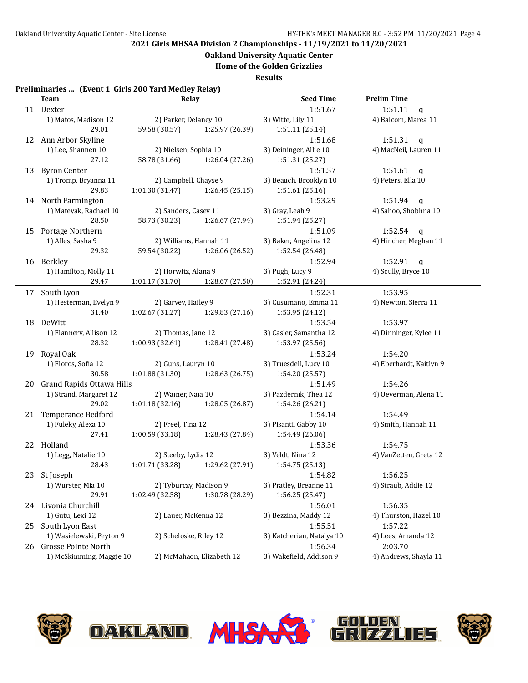### **Oakland University Aquatic Center**

**Home of the Golden Grizzlies**

**Results**

### **Preliminaries ... (Event 1 Girls 200 Yard Medley Relay)**

|    | <b>Team</b>                  | Relay                  |                                   | <b>Seed Time</b>          | <b>Prelim Time</b>      |  |
|----|------------------------------|------------------------|-----------------------------------|---------------------------|-------------------------|--|
|    | 11 Dexter                    |                        |                                   | 1:51.67                   | 1:51.11<br>$\mathsf{q}$ |  |
|    | 1) Matos, Madison 12         | 2) Parker, Delaney 10  |                                   | 3) Witte, Lily 11         | 4) Balcom, Marea 11     |  |
|    | 29.01                        | 59.58 (30.57)          | 1:25.97 (26.39)                   | 1:51.11 (25.14)           |                         |  |
|    | 12 Ann Arbor Skyline         |                        |                                   | 1:51.68                   | 1:51.31 $q$             |  |
|    | 1) Lee, Shannen 10           | 2) Nielsen, Sophia 10  |                                   | 3) Deininger, Allie 10    | 4) MacNeil, Lauren 11   |  |
|    | 27.12                        | 58.78 (31.66)          | 1:26.04 (27.26)                   | 1:51.31 (25.27)           |                         |  |
| 13 | <b>Byron Center</b>          |                        |                                   | 1:51.57                   | 1:51.61<br>$\mathbf{q}$ |  |
|    | 1) Tromp, Bryanna 11         | 2) Campbell, Chayse 9  |                                   | 3) Beauch, Brooklyn 10    | 4) Peters, Ella 10      |  |
|    | 29.83                        | 1:01.30(31.47)         | 1:26.45 (25.15)                   | 1:51.61 (25.16)           |                         |  |
|    | 14 North Farmington          |                        |                                   | 1:53.29                   | 1:51.94<br>$\mathbf{q}$ |  |
|    | 1) Mateyak, Rachael 10       | 2) Sanders, Casey 11   |                                   | 3) Gray, Leah 9           | 4) Sahoo, Shobhna 10    |  |
|    | 28.50                        | 58.73 (30.23)          | 1:26.67 (27.94)                   | 1:51.94 (25.27)           |                         |  |
|    | 15 Portage Northern          |                        |                                   | 1:51.09                   | $1:52.54$ q             |  |
|    | 1) Alles, Sasha 9            |                        | 2) Williams, Hannah 11            | 3) Baker, Angelina 12     | 4) Hincher, Meghan 11   |  |
|    | 29.32                        | 59.54 (30.22)          | 1:26.06 (26.52)                   | 1:52.54 (26.48)           |                         |  |
|    | 16 Berkley                   |                        |                                   | 1:52.94                   | 1:52.91<br>$\mathbf{q}$ |  |
|    | 1) Hamilton, Molly 11        | 2) Horwitz, Alana 9    |                                   | 3) Pugh, Lucy 9           | 4) Scully, Bryce 10     |  |
|    | 29.47                        | 1:01.17(31.70)         | 1:28.67 (27.50)                   | 1:52.91 (24.24)           |                         |  |
|    | 17 South Lyon                |                        |                                   | 1:52.31                   | 1:53.95                 |  |
|    | 1) Hesterman, Evelyn 9       | 2) Garvey, Hailey 9    |                                   | 3) Cusumano, Emma 11      | 4) Newton, Sierra 11    |  |
|    | 31.40                        |                        | $1:02.67(31.27)$ $1:29.83(27.16)$ | 1:53.95 (24.12)           |                         |  |
|    | 18 DeWitt                    |                        |                                   | 1:53.54                   | 1:53.97                 |  |
|    | 1) Flannery, Allison 12      | 2) Thomas, Jane 12     |                                   | 3) Casler, Samantha 12    | 4) Dinninger, Kylee 11  |  |
|    | 28.32                        |                        | 1:00.93 (32.61) 1:28.41 (27.48)   | 1:53.97 (25.56)           |                         |  |
|    | 19 Royal Oak                 |                        |                                   | 1:53.24                   | 1:54.20                 |  |
|    | 1) Floros, Sofia 12          | 2) Guns, Lauryn 10     |                                   | 3) Truesdell, Lucy 10     | 4) Eberhardt, Kaitlyn 9 |  |
|    | 30.58                        |                        | $1:01.88(31.30)$ $1:28.63(26.75)$ | 1:54.20 (25.57)           |                         |  |
|    | 20 Grand Rapids Ottawa Hills |                        |                                   | 1:51.49                   | 1:54.26                 |  |
|    | 1) Strand, Margaret 12       | 2) Wainer, Naia 10     |                                   | 3) Pazdernik, Thea 12     | 4) Oeverman, Alena 11   |  |
|    | 29.02                        | 1:01.18(32.16)         | 1:28.05 (26.87)                   | 1:54.26 (26.21)           |                         |  |
|    | 21 Temperance Bedford        |                        |                                   | 1:54.14                   | 1:54.49                 |  |
|    | 1) Fuleky, Alexa 10          | 2) Freel, Tina 12      |                                   | 3) Pisanti, Gabby 10      | 4) Smith, Hannah 11     |  |
|    | 27.41                        | 1:00.59 (33.18)        | 1:28.43 (27.84)                   | 1:54.49 (26.06)           |                         |  |
|    | 22 Holland                   |                        |                                   | 1:53.36                   | 1:54.75                 |  |
|    | 1) Legg, Natalie 10          | 2) Steeby, Lydia 12    |                                   | 3) Veldt, Nina 12         | 4) VanZetten, Greta 12  |  |
|    | 28.43                        | 1:01.71(33.28)         | 1:29.62 (27.91)                   | 1:54.75(25.13)            |                         |  |
|    | 23 St Joseph                 |                        |                                   | 1:54.82                   | 1:56.25                 |  |
|    | 1) Wurster, Mia 10           | 2) Tyburczy, Madison 9 |                                   | 3) Pratley, Breanne 11    | 4) Straub, Addie 12     |  |
|    | 29.91                        | 1:02.49 (32.58)        | 1:30.78 (28.29)                   | 1:56.25 (25.47)           |                         |  |
|    | 24 Livonia Churchill         |                        |                                   | 1:56.01                   | 1:56.35                 |  |
|    | 1) Gutu, Lexi 12             | 2) Lauer, McKenna 12   |                                   | 3) Bezzina, Maddy 12      | 4) Thurston, Hazel 10   |  |
|    | 25 South Lyon East           |                        |                                   | 1:55.51                   | 1:57.22                 |  |
|    | 1) Wasielewski, Peyton 9     | 2) Scheloske, Riley 12 |                                   | 3) Katcherian, Natalya 10 | 4) Lees, Amanda 12      |  |
|    | 26 Grosse Pointe North       |                        |                                   | 1:56.34                   | 2:03.70                 |  |
|    | 1) McSkimming, Maggie 10     |                        | 2) McMahaon, Elizabeth 12         | 3) Wakefield, Addison 9   | 4) Andrews, Shayla 11   |  |









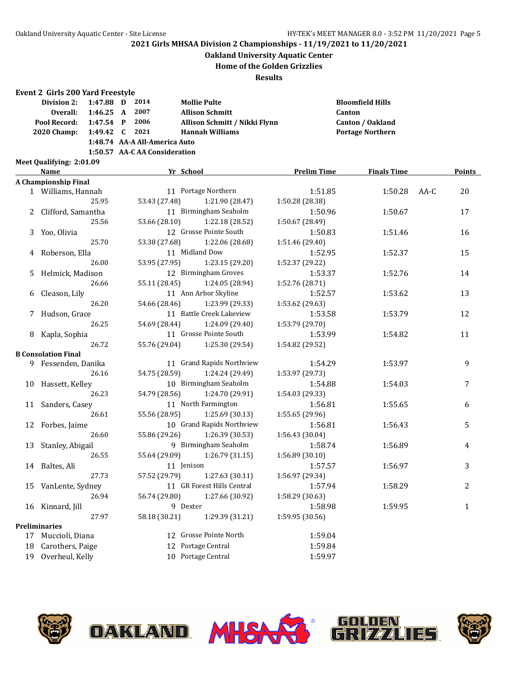## **Oakland University Aquatic Center**

**Home of the Golden Grizzlies**

**Results**

#### **Event 2 Girls 200 Yard Freestyle**

| Division 2: 1:47.88 D 2014  |  |                               | <b>Mollie Pulte</b>           | <b>Bloomfield Hills</b> |
|-----------------------------|--|-------------------------------|-------------------------------|-------------------------|
| Overall: 1:46.25 A 2007     |  |                               | <b>Allison Schmitt</b>        | <b>Canton</b>           |
| Pool Record: 1:47.54 P 2006 |  |                               | Allison Schmitt / Nikki Flynn | <b>Canton / Oakland</b> |
| 2020 Champ: 1:49.42 C 2021  |  |                               | Hannah Williams               | <b>Portage Northern</b> |
|                             |  | 1:48.74 AA-A All-America Auto |                               |                         |

#### **1:50.57 AA-C AA Consideration**

**Meet Qualifying: 2:01.09**

|    | Name                        | Yr School     |                            | <b>Prelim Time</b> | <b>Finals Time</b> |      | <b>Points</b> |
|----|-----------------------------|---------------|----------------------------|--------------------|--------------------|------|---------------|
|    | <b>A Championship Final</b> |               |                            |                    |                    |      |               |
|    | 1 Williams, Hannah          |               | 11 Portage Northern        | 1:51.85            | 1:50.28            | AA-C | 20            |
|    | 25.95                       | 53.43 (27.48) | 1:21.90 (28.47)            | 1:50.28 (28.38)    |                    |      |               |
|    | 2 Clifford, Samantha        |               | 11 Birmingham Seaholm      | 1:50.96            | 1:50.67            |      | 17            |
|    | 25.56                       | 53.66 (28.10) | 1:22.18 (28.52)            | 1:50.67 (28.49)    |                    |      |               |
|    | 3 Yoo, Olivia               |               | 12 Grosse Pointe South     | 1:50.83            | 1:51.46            |      | 16            |
|    | 25.70                       | 53.38 (27.68) | 1:22.06 (28.68)            | 1:51.46 (29.40)    |                    |      |               |
| 4  | Roberson, Ella              |               | 11 Midland Dow             | 1:52.95            | 1:52.37            |      | 15            |
|    | 26.00                       | 53.95 (27.95) | 1:23.15 (29.20)            | 1:52.37 (29.22)    |                    |      |               |
|    | 5 Helmick, Madison          |               | 12 Birmingham Groves       | 1:53.37            | 1:52.76            |      | 14            |
|    | 26.66                       | 55.11 (28.45) | 1:24.05 (28.94)            | 1:52.76 (28.71)    |                    |      |               |
| 6  | Cleason, Lily               |               | 11 Ann Arbor Skyline       | 1:52.57            | 1:53.62            |      | 13            |
|    | 26.20                       | 54.66 (28.46) | 1:23.99 (29.33)            | 1:53.62 (29.63)    |                    |      |               |
|    | 7 Hudson, Grace             |               | 11 Battle Creek Lakeview   | 1:53.58            | 1:53.79            |      | 12            |
|    | 26.25                       | 54.69 (28.44) | 1:24.09 (29.40)            | 1:53.79 (29.70)    |                    |      |               |
| 8  | Kapla, Sophia               |               | 11 Grosse Pointe South     | 1:53.99            | 1:54.82            |      | 11            |
|    | 26.72                       | 55.76 (29.04) | 1:25.30 (29.54)            | 1:54.82 (29.52)    |                    |      |               |
|    | <b>B</b> Consolation Final  |               |                            |                    |                    |      |               |
|    | 9 Fessenden, Danika         |               | 11 Grand Rapids Northview  | 1:54.29            | 1:53.97            |      | 9             |
|    | 26.16                       | 54.75 (28.59) | 1:24.24 (29.49)            | 1:53.97 (29.73)    |                    |      |               |
|    | 10 Hassett, Kelley          |               | 10 Birmingham Seaholm      | 1:54.88            | 1:54.03            |      | 7             |
|    | 26.23                       | 54.79 (28.56) | 1:24.70 (29.91)            | 1:54.03 (29.33)    |                    |      |               |
|    | 11 Sanders, Casey           |               | 11 North Farmington        | 1:56.81            | 1:55.65            |      | 6             |
|    | 26.61                       | 55.56 (28.95) | 1:25.69 (30.13)            | 1:55.65 (29.96)    |                    |      |               |
|    | 12 Forbes, Jaime            |               | 10 Grand Rapids Northview  | 1:56.81            | 1:56.43            |      | 5             |
|    | 26.60                       | 55.86 (29.26) | 1:26.39 (30.53)            | 1:56.43 (30.04)    |                    |      |               |
|    | 13 Stanley, Abigail         |               | 9 Birmingham Seaholm       | 1:58.74            | 1:56.89            |      | 4             |
|    | 26.55                       | 55.64 (29.09) | 1:26.79(31.15)             | 1:56.89(30.10)     |                    |      |               |
|    | 14 Baltes, Ali              | 11 Jenison    |                            | 1:57.57            | 1:56.97            |      | 3             |
|    | 27.73                       | 57.52 (29.79) | 1:27.63(30.11)             | 1:56.97 (29.34)    |                    |      |               |
|    | 15 VanLente, Sydney         |               | 11 GR Forest Hills Central | 1:57.94            | 1:58.29            |      | 2             |
|    | 26.94                       | 56.74 (29.80) | 1:27.66 (30.92)            | 1:58.29 (30.63)    |                    |      |               |
|    | 16 Kinnard, Jill            | 9 Dexter      |                            | 1:58.98            | 1:59.95            |      | $\mathbf{1}$  |
|    | 27.97                       | 58.18 (30.21) | 1:29.39 (31.21)            | 1:59.95 (30.56)    |                    |      |               |
|    | <b>Preliminaries</b>        |               |                            |                    |                    |      |               |
|    | 17 Muccioli, Diana          |               | 12 Grosse Pointe North     | 1:59.04            |                    |      |               |
| 18 | Carothers, Paige            |               | 12 Portage Central         | 1:59.84            |                    |      |               |
|    | 19 Overheul, Kelly          |               | 10 Portage Central         | 1:59.97            |                    |      |               |







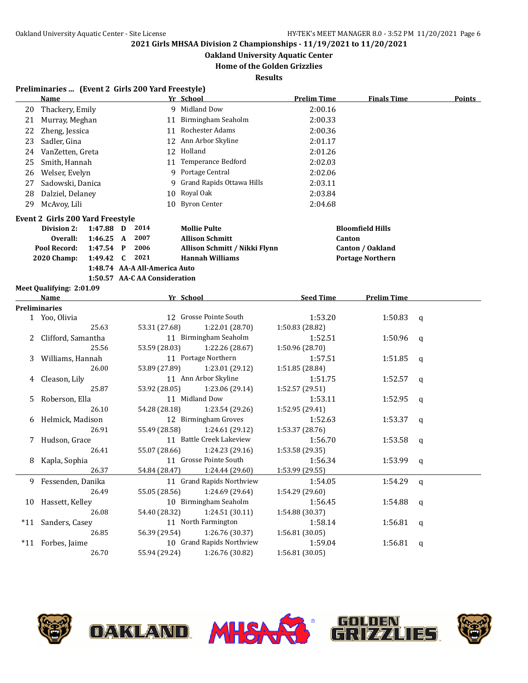**Oakland University Aquatic Center**

**Home of the Golden Grizzlies**

|    | Preliminaries  (Event 2 Girls 200 Yard Freestyle) |                |   |                               |    |                               |                    |                         |   |        |
|----|---------------------------------------------------|----------------|---|-------------------------------|----|-------------------------------|--------------------|-------------------------|---|--------|
|    | <b>Name</b>                                       |                |   |                               |    | Yr School                     | <b>Prelim Time</b> | <b>Finals Time</b>      |   | Points |
| 20 | Thackery, Emily                                   |                |   |                               |    | 9 Midland Dow                 | 2:00.16            |                         |   |        |
| 21 | Murray, Meghan                                    |                |   |                               |    | 11 Birmingham Seaholm         | 2:00.33            |                         |   |        |
| 22 | Zheng, Jessica                                    |                |   |                               | 11 | Rochester Adams               | 2:00.36            |                         |   |        |
| 23 | Sadler, Gina                                      |                |   |                               |    | 12 Ann Arbor Skyline          | 2:01.17            |                         |   |        |
| 24 | VanZetten, Greta                                  |                |   |                               |    | 12 Holland                    | 2:01.26            |                         |   |        |
| 25 | Smith, Hannah                                     |                |   |                               |    | 11 Temperance Bedford         | 2:02.03            |                         |   |        |
| 26 | Welser, Evelyn                                    |                |   |                               |    | 9 Portage Central             | 2:02.06            |                         |   |        |
| 27 | Sadowski, Danica                                  |                |   |                               |    | 9 Grand Rapids Ottawa Hills   | 2:03.11            |                         |   |        |
| 28 | Dalziel, Delaney                                  |                |   |                               |    | 10 Royal Oak                  | 2:03.84            |                         |   |        |
| 29 | McAvoy, Lili                                      |                |   |                               |    | 10 Byron Center               | 2:04.68            |                         |   |        |
|    | Event 2 Girls 200 Yard Freestyle                  |                |   |                               |    |                               |                    |                         |   |        |
|    | Division 2:                                       | 1:47.88 D 2014 |   |                               |    | <b>Mollie Pulte</b>           |                    | <b>Bloomfield Hills</b> |   |        |
|    | Overall:                                          | 1:46.25 A      |   | 2007                          |    | <b>Allison Schmitt</b>        |                    | Canton                  |   |        |
|    | Pool Record:                                      | $1:47.54$ P    |   | 2006                          |    | Allison Schmitt / Nikki Flynn |                    | Canton / Oakland        |   |        |
|    | <b>2020 Champ:</b>                                | 1:49.42        | C | 2021                          |    | <b>Hannah Williams</b>        |                    | <b>Portage Northern</b> |   |        |
|    |                                                   |                |   | 1:48.74 AA-A All-America Auto |    |                               |                    |                         |   |        |
|    |                                                   |                |   | 1:50.57 AA-C AA Consideration |    |                               |                    |                         |   |        |
|    | Meet Qualifying: 2:01.09                          |                |   |                               |    |                               |                    |                         |   |        |
|    | Name                                              |                |   |                               |    | Yr School                     | <b>Seed Time</b>   | <b>Prelim Time</b>      |   |        |
|    | <b>Preliminaries</b>                              |                |   |                               |    |                               |                    |                         |   |        |
|    | 1 Yoo, Olivia                                     |                |   |                               |    | 12 Grosse Pointe South        | 1:53.20            | 1:50.83                 | q |        |
|    |                                                   | 25.63          |   | 53.31 (27.68)                 |    | 1:22.01 (28.70)               | 1:50.83 (28.82)    |                         |   |        |
|    | Clifford, Samantha                                |                |   |                               |    | 11 Birmingham Seaholm         | 1:52.51            | 1:50.96                 | a |        |
|    |                                                   | 25.56          |   | 53.59 (28.03)                 |    | 1:22.26 (28.67)               | 1:50.96 (28.70)    |                         |   |        |
| 3  | Williams, Hannah                                  |                |   |                               |    | 11 Portage Northern           | 1:57.51            | 1:51.85                 | a |        |
|    |                                                   | 26.00          |   | 53.89 (27.89)                 |    | 1:23.01 (29.12)               | 1:51.85 (28.84)    |                         |   |        |
|    | Cleason, Lily                                     |                |   |                               |    | 11 Ann Arbor Skyline          | 1:51.75            | 1:52.57                 | a |        |
|    |                                                   | 25.87          |   | 53.92 (28.05)                 |    | 1:23.06 (29.14)               | 1:52.57 (29.51)    |                         |   |        |
| 5. | Roberson, Ella                                    |                |   |                               |    | 11 Midland Dow                | 1:53.11            | 1:52.95                 | a |        |
|    |                                                   | 26.10          |   | 54.28 (28.18)                 |    | 1:23.54 (29.26)               | 1:52.95 (29.41)    |                         |   |        |
| 6  | Helmick, Madison                                  |                |   |                               |    | 12 Birmingham Groves          | 1:52.63            | 1:53.37                 | q |        |
|    |                                                   | 26.91          |   | 55.49 (28.58)                 |    | 1:24.61 (29.12)               | 1:53.37 (28.76)    |                         |   |        |
| 7  | Hudson, Grace                                     |                |   |                               |    | 11 Battle Creek Lakeview      | 1:56.70            | 1:53.58                 | a |        |
|    |                                                   | 26.41          |   | 55.07 (28.66)                 |    | 1:24.23(29.16)                | 1:53.58 (29.35)    |                         |   |        |
| 8  | Kapla, Sophia                                     |                |   |                               |    | 11 Grosse Pointe South        | 1:56.34            | 1:53.99                 | q |        |
|    |                                                   | 26.37          |   | 54.84 (28.47)                 |    | 1:24.44(29.60)                | 1:53.99 (29.55)    |                         |   |        |
| 9. | Fessenden, Danika                                 |                |   |                               |    | 11 Grand Rapids Northview     | 1:54.05            | 1:54.29                 | q |        |
|    |                                                   | 26.49          |   | 55.05 (28.56)                 |    | 1:24.69 (29.64)               | 1:54.29 (29.60)    |                         |   |        |
|    | 10 Hassett, Kelley                                |                |   |                               |    | 10 Birmingham Seaholm         | 1:56.45            | 1:54.88                 | q |        |
|    |                                                   | 26.08          |   | 54.40 (28.32)                 |    | 1:24.51 (30.11)               | 1:54.88 (30.37)    |                         |   |        |
|    | *11 Sanders, Casey                                |                |   |                               |    | 11 North Farmington           | 1:58.14            | 1:56.81                 | q |        |
|    |                                                   | 26.85          |   | 56.39 (29.54)                 |    | 1:26.76 (30.37)               | 1:56.81 (30.05)    |                         |   |        |
|    | *11 Forbes, Jaime                                 |                |   |                               |    | 10 Grand Rapids Northview     | 1:59.04            | 1:56.81                 | q |        |
|    |                                                   | 26.70          |   | 55.94 (29.24)                 |    | 1:26.76 (30.82)               | 1:56.81 (30.05)    |                         |   |        |

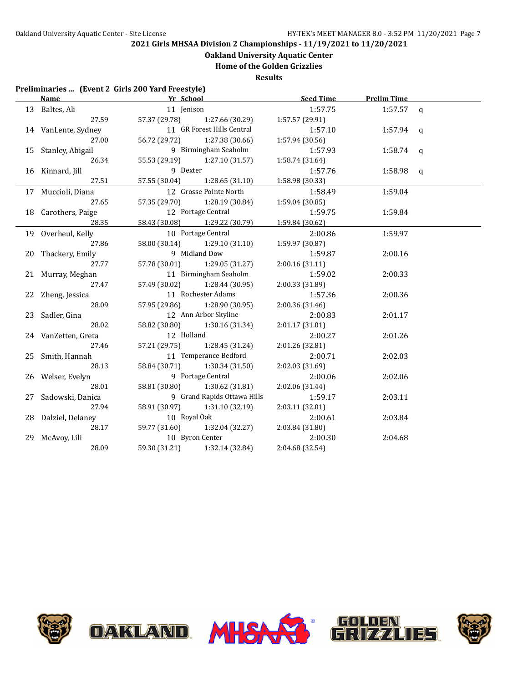**Oakland University Aquatic Center**

**Home of the Golden Grizzlies**

**Results**

### **Preliminaries ... (Event 2 Girls 200 Yard Freestyle)**

| <b>Name</b>         | Yr School                     |                               | Seed Time       | <b>Prelim Time</b> |  |
|---------------------|-------------------------------|-------------------------------|-----------------|--------------------|--|
| 13 Baltes, Ali      | 11 Jenison                    |                               | 1:57.75         | 1:57.57 $q$        |  |
| 27.59               |                               | 57.37 (29.78) 1:27.66 (30.29) | 1:57.57 (29.91) |                    |  |
| 14 VanLente, Sydney |                               | 11 GR Forest Hills Central    | 1:57.10         | $1:57.94$ q        |  |
| 27.00               |                               | 56.72 (29.72) 1:27.38 (30.66) | 1:57.94 (30.56) |                    |  |
| 15 Stanley, Abigail |                               | 9 Birmingham Seaholm          | 1:57.93         | 1:58.74 $q$        |  |
| 26.34               |                               | 55.53 (29.19) 1:27.10 (31.57) | 1:58.74(31.64)  |                    |  |
| 16 Kinnard, Jill    | 9 Dexter                      |                               | 1:57.76         | 1:58.98 $q$        |  |
| 27.51               | 57.55 (30.04) 1:28.65 (31.10) |                               | 1:58.98 (30.33) |                    |  |
| 17 Muccioli, Diana  |                               | 12 Grosse Pointe North        | 1:58.49         | 1:59.04            |  |
| 27.65               | 57.35 (29.70) 1:28.19 (30.84) |                               | 1:59.04 (30.85) |                    |  |
| 18 Carothers, Paige | 12 Portage Central            |                               | 1:59.75         | 1:59.84            |  |
| 28.35               |                               | 58.43 (30.08) 1:29.22 (30.79) | 1:59.84 (30.62) |                    |  |
| 19 Overheul, Kelly  |                               | 10 Portage Central            | 2:00.86         | 1:59.97            |  |
| 27.86               |                               | 58.00 (30.14) 1:29.10 (31.10) | 1:59.97 (30.87) |                    |  |
| 20 Thackery, Emily  |                               | 9 Midland Dow                 | 1:59.87         | 2:00.16            |  |
| 27.77               | 57.78 (30.01) 1:29.05 (31.27) |                               | 2:00.16 (31.11) |                    |  |
| 21 Murray, Meghan   |                               | 11 Birmingham Seaholm         | 1:59.02         | 2:00.33            |  |
| 27.47               | 57.49 (30.02)                 | 1:28.44 (30.95)               | 2:00.33 (31.89) |                    |  |
| 22 Zheng, Jessica   |                               | 11 Rochester Adams            | 1:57.36         | 2:00.36            |  |
| 28.09               |                               | 57.95 (29.86) 1:28.90 (30.95) | 2:00.36 (31.46) |                    |  |
| 23 Sadler, Gina     |                               | 12 Ann Arbor Skyline          | 2:00.83         | 2:01.17            |  |
| 28.02               |                               | 58.82 (30.80) 1:30.16 (31.34) | 2:01.17(31.01)  |                    |  |
| 24 VanZetten, Greta | 12 Holland                    |                               | 2:00.27         | 2:01.26            |  |
| 27.46               |                               | 57.21 (29.75) 1:28.45 (31.24) | 2:01.26 (32.81) |                    |  |
| 25 Smith, Hannah    |                               | 11 Temperance Bedford         | 2:00.71         | 2:02.03            |  |
| 28.13               |                               | 58.84 (30.71) 1:30.34 (31.50) | 2:02.03 (31.69) |                    |  |
| 26 Welser, Evelyn   |                               | 9 Portage Central             | 2:00.06         | 2:02.06            |  |
| 28.01               |                               | 58.81 (30.80) 1:30.62 (31.81) | 2:02.06 (31.44) |                    |  |
| 27 Sadowski, Danica |                               | 9 Grand Rapids Ottawa Hills   | 1:59.17         | 2:03.11            |  |
| 27.94               |                               | 58.91 (30.97) 1:31.10 (32.19) | 2:03.11 (32.01) |                    |  |
| 28 Dalziel, Delaney | 10 Royal Oak                  |                               | 2:00.61         | 2:03.84            |  |
| 28.17               | 59.77 (31.60)                 | 1:32.04 (32.27)               | 2:03.84 (31.80) |                    |  |
| 29 McAvoy, Lili     | 10 Byron Center               |                               | 2:00.30         | 2:04.68            |  |
| 28.09               |                               | 59.30 (31.21) 1:32.14 (32.84) | 2:04.68 (32.54) |                    |  |

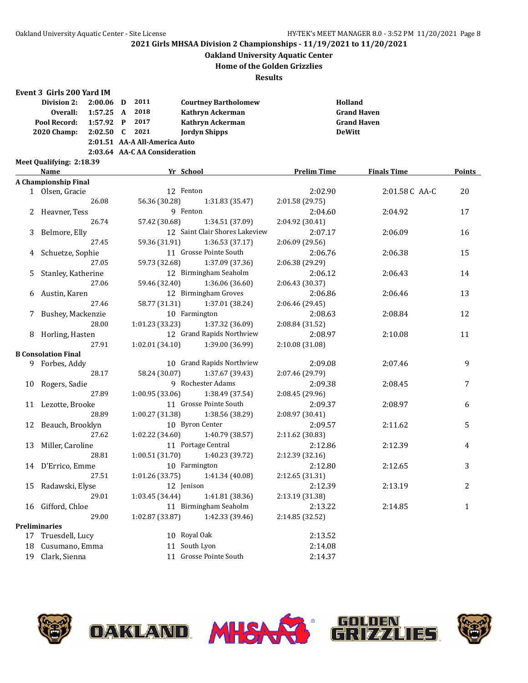### **Oakland University Aquatic Center**

#### **Home of the Golden Grizzlies**

**Results**

#### **Event 3 Girls 200 Yard IM**

| Division 2:                   | $2:00.06$ D      |  | 2011     | <b>Courtney Bartholomew</b> | Holland            |  |
|-------------------------------|------------------|--|----------|-----------------------------|--------------------|--|
| Overall:                      | $1:57.25$ A 2018 |  |          | Kathryn Ackerman            | <b>Grand Haven</b> |  |
| Pool Record:                  | $1:57.92$ P      |  | 2017     | Kathryn Ackerman            | <b>Grand Haven</b> |  |
| <b>2020 Champ:</b>            | 2:02.50          |  | $C$ 2021 | <b>Jordyn Shipps</b>        | <b>DeWitt</b>      |  |
| 2:01.51 AA-A All-America Auto |                  |  |          |                             |                    |  |
| 2:03.64 AA-CAA Consideration  |                  |  |          |                             |                    |  |
| Meet Qualifying: 2:18.39      |                  |  |          |                             |                    |  |

**Name Yr School Prelim Time Finals Time Points A Championship Final** 1 Olsen, Gracie 12 Fenton 2:02.90 2:01.58 C AA-C 20<br>26.08 56.36 (30.28) 1:31.83 (35.47) 2:01.58 (29.75) 26.08 56.36 (30.28) 1:31.83 (35.47) 2 Heavner, Tess 3 9 Fenton 3 9 April 2:04.60 2:04.92 17 26.74 57.42 (30.68) 1:34.51 (37.09) 2:04.92 (30.41) 3 Belmore, Elly 12 Saint Clair Shores Lakeview 2:07.17 2:06.09 16 27.45 59.36 (31.91) 1:36.53 (37.17) 2:06.09 (29.56) 4 Schuetze, Sophie 11 Grosse Pointe South 2:06.76 2:06.38 15 27.05 59.73 (32.68) 1:37.09 (37.36) 2:06.38 (29.29) 5 Stanley, Katherine 12 Birmingham Seaholm 2:06.12 2:06.43 14 27.06 59.46 (32.40) 1:36.06 (36.60) 2:06.43 (30.37) 6 Austin, Karen 12 Birmingham Groves 2:06.86 2:06.46 13 27.46 58.77 (31.31) 1:37.01 (38.24) 2:06.46 (29.45) 7 Bushey, Mackenzie 10 Farmington 2:08.63 2:08.84 12 28.00 1:01.23 (33.23) 1:37.32 (36.09) 2:08.84 (31.52) 8 Horling, Hasten 12 Grand Rapids Northview 2:08.97 2:10.08 11 27.91 1:02.01 (34.10) 1:39.00 (36.99) 2:10.08 (31.08) **B Consolation Final** 9 Forbes, Addy 10 Grand Rapids Northview 2:09.08 2:07.46 9 28.17 58.24 (30.07) 1:37.67 (39.43) 2:07.46 (29.79) 10 Rogers, Sadie 9 Rochester Adams 2:09.38 2:08.45 7 27.89 1:00.95 (33.06) 1:38.49 (37.54) 2:08.45 (29.96) 11 Lezotte, Brooke 11 Grosse Pointe South 2:09.37 2:08.97 6 28.89 1:00.27 (31.38) 1:38.56 (38.29) 2:08.97 (30.41) 12 Beauch, Brooklyn 10 Byron Center 2:09.57 2:11.62 5 27.62 1:02.22 (34.60) 1:40.79 (38.57) 2:11.62 (30.83) 13 Miller, Caroline 11 Portage Central 2:12.86 2:12.39 4 28.81 1:00.51 (31.70) 1:40.23 (39.72) 2:12.39 (32.16) 14 D'Errico, Emme 10 Farmington 2:12.80 2:12.65 3 27.51 1:01.26 (33.75) 1:41.34 (40.08) 2:12.65 (31.31) 15 Radawski, Elyse 12 Jenison 2:12.39 2:13.19 2 29.01 1:03.45 (34.44) 1:41.81 (38.36) 2:13.19 (31.38) 16 Gifford, Chloe 11 Birmingham Seaholm 2:13.22 2:14.85 1 29.00 1:02.87 (33.87) 1:42.33 (39.46) 2:14.85 (32.52) **Preliminaries** 17 Truesdell, Lucy 10 Royal Oak 2:13.52 18 Cusumano, Emma 11 South Lyon 2:14.08 19 Clark, Sienna 11 Grosse Pointe South 2:14.37







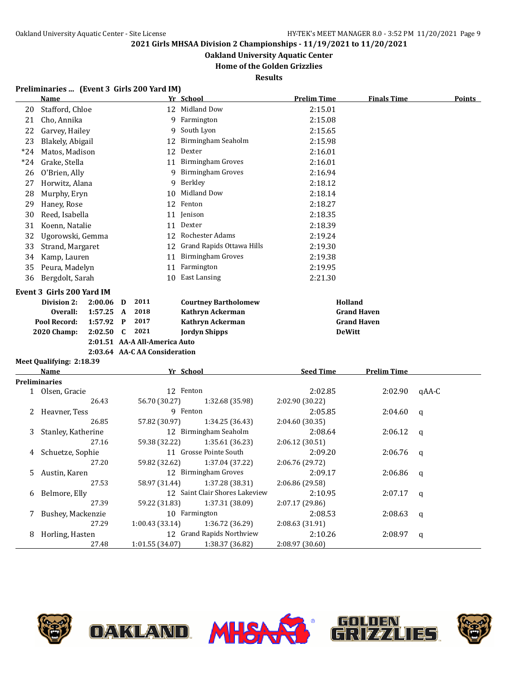**Oakland University Aquatic Center**

## **Home of the Golden Grizzlies**

**Results**

### **Preliminaries ... (Event 3 Girls 200 Yard IM)**

| <b>Name</b>       |                                                                                |                                                                                                                                                                                                                                                                                                                                                                                                                                                                                                           |                            |              |                                  | <b>Prelim Time</b>                                                                                                                                                                                                                                                                                                                                                                                                                                                                                                                                                                                                                                                     | <b>Finals Time</b>                                                                                                                                                                     | <b>Points</b>                                                                                                               |
|-------------------|--------------------------------------------------------------------------------|-----------------------------------------------------------------------------------------------------------------------------------------------------------------------------------------------------------------------------------------------------------------------------------------------------------------------------------------------------------------------------------------------------------------------------------------------------------------------------------------------------------|----------------------------|--------------|----------------------------------|------------------------------------------------------------------------------------------------------------------------------------------------------------------------------------------------------------------------------------------------------------------------------------------------------------------------------------------------------------------------------------------------------------------------------------------------------------------------------------------------------------------------------------------------------------------------------------------------------------------------------------------------------------------------|----------------------------------------------------------------------------------------------------------------------------------------------------------------------------------------|-----------------------------------------------------------------------------------------------------------------------------|
|                   |                                                                                |                                                                                                                                                                                                                                                                                                                                                                                                                                                                                                           |                            |              |                                  | 2:15.01                                                                                                                                                                                                                                                                                                                                                                                                                                                                                                                                                                                                                                                                |                                                                                                                                                                                        |                                                                                                                             |
| Cho, Annika       |                                                                                |                                                                                                                                                                                                                                                                                                                                                                                                                                                                                                           |                            |              |                                  | 2:15.08                                                                                                                                                                                                                                                                                                                                                                                                                                                                                                                                                                                                                                                                |                                                                                                                                                                                        |                                                                                                                             |
|                   |                                                                                |                                                                                                                                                                                                                                                                                                                                                                                                                                                                                                           |                            | 9            | South Lyon                       | 2:15.65                                                                                                                                                                                                                                                                                                                                                                                                                                                                                                                                                                                                                                                                |                                                                                                                                                                                        |                                                                                                                             |
|                   |                                                                                |                                                                                                                                                                                                                                                                                                                                                                                                                                                                                                           |                            |              |                                  | 2:15.98                                                                                                                                                                                                                                                                                                                                                                                                                                                                                                                                                                                                                                                                |                                                                                                                                                                                        |                                                                                                                             |
|                   |                                                                                |                                                                                                                                                                                                                                                                                                                                                                                                                                                                                                           |                            |              |                                  | 2:16.01                                                                                                                                                                                                                                                                                                                                                                                                                                                                                                                                                                                                                                                                |                                                                                                                                                                                        |                                                                                                                             |
|                   |                                                                                |                                                                                                                                                                                                                                                                                                                                                                                                                                                                                                           |                            |              |                                  | 2:16.01                                                                                                                                                                                                                                                                                                                                                                                                                                                                                                                                                                                                                                                                |                                                                                                                                                                                        |                                                                                                                             |
|                   |                                                                                |                                                                                                                                                                                                                                                                                                                                                                                                                                                                                                           |                            | 9            | <b>Birmingham Groves</b>         | 2:16.94                                                                                                                                                                                                                                                                                                                                                                                                                                                                                                                                                                                                                                                                |                                                                                                                                                                                        |                                                                                                                             |
|                   |                                                                                |                                                                                                                                                                                                                                                                                                                                                                                                                                                                                                           |                            | 9            | Berkley                          | 2:18.12                                                                                                                                                                                                                                                                                                                                                                                                                                                                                                                                                                                                                                                                |                                                                                                                                                                                        |                                                                                                                             |
|                   |                                                                                |                                                                                                                                                                                                                                                                                                                                                                                                                                                                                                           |                            | 10           | Midland Dow                      | 2:18.14                                                                                                                                                                                                                                                                                                                                                                                                                                                                                                                                                                                                                                                                |                                                                                                                                                                                        |                                                                                                                             |
| Haney, Rose       |                                                                                |                                                                                                                                                                                                                                                                                                                                                                                                                                                                                                           |                            |              |                                  | 2:18.27                                                                                                                                                                                                                                                                                                                                                                                                                                                                                                                                                                                                                                                                |                                                                                                                                                                                        |                                                                                                                             |
|                   |                                                                                |                                                                                                                                                                                                                                                                                                                                                                                                                                                                                                           |                            |              |                                  | 2:18.35                                                                                                                                                                                                                                                                                                                                                                                                                                                                                                                                                                                                                                                                |                                                                                                                                                                                        |                                                                                                                             |
|                   |                                                                                |                                                                                                                                                                                                                                                                                                                                                                                                                                                                                                           |                            |              |                                  | 2:18.39                                                                                                                                                                                                                                                                                                                                                                                                                                                                                                                                                                                                                                                                |                                                                                                                                                                                        |                                                                                                                             |
|                   |                                                                                |                                                                                                                                                                                                                                                                                                                                                                                                                                                                                                           |                            |              |                                  | 2:19.24                                                                                                                                                                                                                                                                                                                                                                                                                                                                                                                                                                                                                                                                |                                                                                                                                                                                        |                                                                                                                             |
|                   |                                                                                |                                                                                                                                                                                                                                                                                                                                                                                                                                                                                                           |                            |              |                                  | 2:19.30                                                                                                                                                                                                                                                                                                                                                                                                                                                                                                                                                                                                                                                                |                                                                                                                                                                                        |                                                                                                                             |
|                   |                                                                                |                                                                                                                                                                                                                                                                                                                                                                                                                                                                                                           |                            |              |                                  | 2:19.38                                                                                                                                                                                                                                                                                                                                                                                                                                                                                                                                                                                                                                                                |                                                                                                                                                                                        |                                                                                                                             |
|                   |                                                                                |                                                                                                                                                                                                                                                                                                                                                                                                                                                                                                           |                            |              | Farmington                       | 2:19.95                                                                                                                                                                                                                                                                                                                                                                                                                                                                                                                                                                                                                                                                |                                                                                                                                                                                        |                                                                                                                             |
|                   |                                                                                |                                                                                                                                                                                                                                                                                                                                                                                                                                                                                                           |                            | 10           | <b>East Lansing</b>              | 2:21.30                                                                                                                                                                                                                                                                                                                                                                                                                                                                                                                                                                                                                                                                |                                                                                                                                                                                        |                                                                                                                             |
|                   |                                                                                |                                                                                                                                                                                                                                                                                                                                                                                                                                                                                                           |                            |              |                                  |                                                                                                                                                                                                                                                                                                                                                                                                                                                                                                                                                                                                                                                                        |                                                                                                                                                                                        |                                                                                                                             |
|                   |                                                                                |                                                                                                                                                                                                                                                                                                                                                                                                                                                                                                           |                            |              |                                  |                                                                                                                                                                                                                                                                                                                                                                                                                                                                                                                                                                                                                                                                        |                                                                                                                                                                                        |                                                                                                                             |
|                   |                                                                                |                                                                                                                                                                                                                                                                                                                                                                                                                                                                                                           |                            |              |                                  |                                                                                                                                                                                                                                                                                                                                                                                                                                                                                                                                                                                                                                                                        |                                                                                                                                                                                        |                                                                                                                             |
|                   |                                                                                | P                                                                                                                                                                                                                                                                                                                                                                                                                                                                                                         | 2017                       |              |                                  |                                                                                                                                                                                                                                                                                                                                                                                                                                                                                                                                                                                                                                                                        |                                                                                                                                                                                        |                                                                                                                             |
|                   | 2:02.50                                                                        | C                                                                                                                                                                                                                                                                                                                                                                                                                                                                                                         | 2021                       |              |                                  |                                                                                                                                                                                                                                                                                                                                                                                                                                                                                                                                                                                                                                                                        |                                                                                                                                                                                        |                                                                                                                             |
|                   |                                                                                |                                                                                                                                                                                                                                                                                                                                                                                                                                                                                                           |                            |              |                                  |                                                                                                                                                                                                                                                                                                                                                                                                                                                                                                                                                                                                                                                                        |                                                                                                                                                                                        |                                                                                                                             |
|                   |                                                                                |                                                                                                                                                                                                                                                                                                                                                                                                                                                                                                           |                            |              |                                  |                                                                                                                                                                                                                                                                                                                                                                                                                                                                                                                                                                                                                                                                        |                                                                                                                                                                                        |                                                                                                                             |
|                   |                                                                                |                                                                                                                                                                                                                                                                                                                                                                                                                                                                                                           |                            |              |                                  |                                                                                                                                                                                                                                                                                                                                                                                                                                                                                                                                                                                                                                                                        |                                                                                                                                                                                        |                                                                                                                             |
| <b>Name</b>       |                                                                                |                                                                                                                                                                                                                                                                                                                                                                                                                                                                                                           |                            |              |                                  | <b>Seed Time</b>                                                                                                                                                                                                                                                                                                                                                                                                                                                                                                                                                                                                                                                       | <b>Prelim Time</b>                                                                                                                                                                     |                                                                                                                             |
|                   |                                                                                |                                                                                                                                                                                                                                                                                                                                                                                                                                                                                                           |                            |              |                                  |                                                                                                                                                                                                                                                                                                                                                                                                                                                                                                                                                                                                                                                                        |                                                                                                                                                                                        |                                                                                                                             |
|                   |                                                                                |                                                                                                                                                                                                                                                                                                                                                                                                                                                                                                           |                            |              |                                  |                                                                                                                                                                                                                                                                                                                                                                                                                                                                                                                                                                                                                                                                        |                                                                                                                                                                                        | gAA-C                                                                                                                       |
|                   |                                                                                |                                                                                                                                                                                                                                                                                                                                                                                                                                                                                                           |                            |              |                                  |                                                                                                                                                                                                                                                                                                                                                                                                                                                                                                                                                                                                                                                                        |                                                                                                                                                                                        |                                                                                                                             |
|                   |                                                                                |                                                                                                                                                                                                                                                                                                                                                                                                                                                                                                           |                            |              |                                  |                                                                                                                                                                                                                                                                                                                                                                                                                                                                                                                                                                                                                                                                        |                                                                                                                                                                                        | q                                                                                                                           |
|                   |                                                                                |                                                                                                                                                                                                                                                                                                                                                                                                                                                                                                           |                            |              |                                  |                                                                                                                                                                                                                                                                                                                                                                                                                                                                                                                                                                                                                                                                        |                                                                                                                                                                                        |                                                                                                                             |
|                   |                                                                                |                                                                                                                                                                                                                                                                                                                                                                                                                                                                                                           |                            |              |                                  |                                                                                                                                                                                                                                                                                                                                                                                                                                                                                                                                                                                                                                                                        |                                                                                                                                                                                        | $\mathbf q$                                                                                                                 |
|                   |                                                                                |                                                                                                                                                                                                                                                                                                                                                                                                                                                                                                           |                            |              |                                  |                                                                                                                                                                                                                                                                                                                                                                                                                                                                                                                                                                                                                                                                        |                                                                                                                                                                                        |                                                                                                                             |
|                   |                                                                                |                                                                                                                                                                                                                                                                                                                                                                                                                                                                                                           |                            |              |                                  |                                                                                                                                                                                                                                                                                                                                                                                                                                                                                                                                                                                                                                                                        |                                                                                                                                                                                        | q                                                                                                                           |
|                   |                                                                                |                                                                                                                                                                                                                                                                                                                                                                                                                                                                                                           |                            |              |                                  |                                                                                                                                                                                                                                                                                                                                                                                                                                                                                                                                                                                                                                                                        |                                                                                                                                                                                        |                                                                                                                             |
|                   |                                                                                |                                                                                                                                                                                                                                                                                                                                                                                                                                                                                                           |                            |              |                                  |                                                                                                                                                                                                                                                                                                                                                                                                                                                                                                                                                                                                                                                                        |                                                                                                                                                                                        | $\mathbf q$                                                                                                                 |
| Belmore, Elly     |                                                                                |                                                                                                                                                                                                                                                                                                                                                                                                                                                                                                           |                            |              |                                  |                                                                                                                                                                                                                                                                                                                                                                                                                                                                                                                                                                                                                                                                        |                                                                                                                                                                                        |                                                                                                                             |
|                   |                                                                                |                                                                                                                                                                                                                                                                                                                                                                                                                                                                                                           |                            |              |                                  |                                                                                                                                                                                                                                                                                                                                                                                                                                                                                                                                                                                                                                                                        |                                                                                                                                                                                        |                                                                                                                             |
|                   |                                                                                |                                                                                                                                                                                                                                                                                                                                                                                                                                                                                                           |                            |              | 12 Saint Clair Shores Lakeview   | 2:10.95                                                                                                                                                                                                                                                                                                                                                                                                                                                                                                                                                                                                                                                                | 2:07.17                                                                                                                                                                                | q                                                                                                                           |
|                   | 27.39                                                                          |                                                                                                                                                                                                                                                                                                                                                                                                                                                                                                           | 59.22 (31.83)              |              | 1:37.31 (38.09)                  | 2:07.17 (29.86)                                                                                                                                                                                                                                                                                                                                                                                                                                                                                                                                                                                                                                                        |                                                                                                                                                                                        |                                                                                                                             |
| Bushey, Mackenzie | 27.29                                                                          |                                                                                                                                                                                                                                                                                                                                                                                                                                                                                                           | 1:00.43(33.14)             |              | 10 Farmington<br>1:36.72 (36.29) | 2:08.53<br>2:08.63 (31.91)                                                                                                                                                                                                                                                                                                                                                                                                                                                                                                                                                                                                                                             | 2:08.63                                                                                                                                                                                | q                                                                                                                           |
|                   | Division 2:<br>Overall:<br>Pool Record:<br>2020 Champ:<br><b>Preliminaries</b> | Stafford, Chloe<br>Garvey, Hailey<br>Blakely, Abigail<br>Matos, Madison<br>Grake, Stella<br>O'Brien, Ally<br>Horwitz, Alana<br>Murphy, Eryn<br>Reed, Isabella<br>Koenn, Natalie<br>Ugorowski, Gemma<br>Strand, Margaret<br>Kamp, Lauren<br>Peura, Madelyn<br>Bergdolt, Sarah<br>Event 3 Girls 200 Yard IM<br>2:00.06<br>1:57.25<br>1:57.92<br>Meet Qualifying: 2:18.39<br>1 Olsen, Gracie<br>26.43<br>Heavner, Tess<br>26.85<br>Stanley, Katherine<br>27.16<br>Schuetze, Sophie<br>27.20<br>Austin, Karen | D<br>$\mathbf{A}$<br>27.53 | 2011<br>2018 |                                  | Yr School<br>12 Midland Dow<br>9 Farmington<br>12 Birmingham Seaholm<br>12 Dexter<br>11 Birmingham Groves<br>12 Fenton<br>11 Jenison<br>11 Dexter<br>12 Rochester Adams<br>12 Grand Rapids Ottawa Hills<br>11 Birmingham Groves<br>11<br><b>Courtney Bartholomew</b><br>Kathryn Ackerman<br>Kathryn Ackerman<br><b>Jordyn Shipps</b><br>2:01.51 AA-A All-America Auto<br>2:03.64 AA-C AA Consideration<br>Yr School<br>12 Fenton<br>56.70 (30.27)<br>1:32.68 (35.98)<br>9 Fenton<br>57.82 (30.97)<br>1:34.25 (36.43)<br>12 Birmingham Seaholm<br>59.38 (32.22)<br>1:35.61(36.23)<br>11 Grosse Pointe South<br>59.82 (32.62)<br>1:37.04 (37.22)<br>12 Birmingham Groves | 2:02.85<br>2:02.90 (30.22)<br>2:05.85<br>2:04.60 (30.35)<br>2:08.64<br>2:06.12 (30.51)<br>2:09.20<br>2:06.76 (29.72)<br>2:09.17<br>58.97 (31.44)<br>1:37.28 (38.31)<br>2:06.86 (29.58) | Holland<br><b>Grand Haven</b><br><b>Grand Haven</b><br><b>DeWitt</b><br>2:02.90<br>2:04.60<br>2:06.12<br>2:06.76<br>2:06.86 |





27.48 1:01.55 (34.07) 1:38.37 (36.82) 2:08.97 (30.60)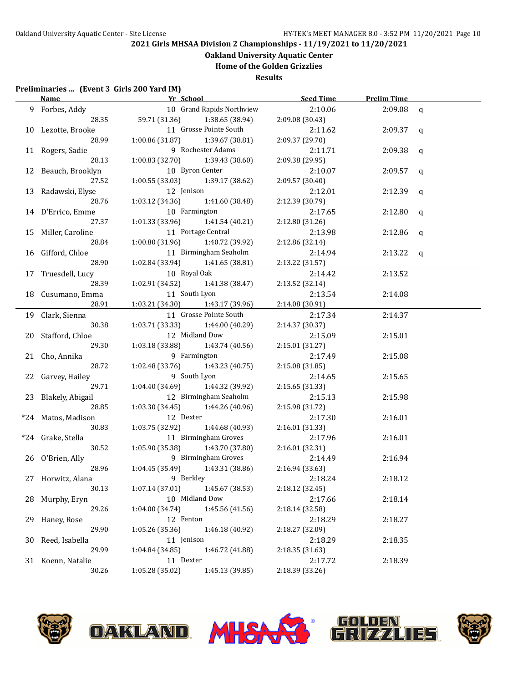**Oakland University Aquatic Center**

# **Home of the Golden Grizzlies**

**Results**

### **Preliminaries ... (Event 3 Girls 200 Yard IM)**

|    | <b>Name</b>         | Yr School and The School            |                           | Seed Time       | <b>Prelim Time</b> |              |
|----|---------------------|-------------------------------------|---------------------------|-----------------|--------------------|--------------|
|    | 9 Forbes, Addy      |                                     | 10 Grand Rapids Northview | 2:10.06         | 2:09.08            | $\mathbf{q}$ |
|    | 28.35               | 59.71 (31.36) 1:38.65 (38.94)       |                           | 2:09.08 (30.43) |                    |              |
|    | 10 Lezotte, Brooke  |                                     | 11 Grosse Pointe South    | 2:11.62         | $2:09.37$ q        |              |
|    | 28.99               | $1:00.86(31.87)$ $1:39.67(38.81)$   |                           | 2:09.37 (29.70) |                    |              |
|    | 11 Rogers, Sadie    |                                     | 9 Rochester Adams         | 2:11.71         | 2:09.38            | q            |
|    | 28.13               | $1:00.83$ (32.70) $1:39.43$ (38.60) |                           | 2:09.38 (29.95) |                    |              |
|    | 12 Beauch, Brooklyn | 10 Byron Center                     |                           | 2:10.07         | 2:09.57            | q            |
|    | 27.52               | 1:00.55 (33.03)                     | 1:39.17 (38.62)           | 2:09.57 (30.40) |                    |              |
|    | 13 Radawski, Elyse  | 12 Jenison                          |                           | 2:12.01         | 2:12.39            | q            |
|    | 28.76               | 1:03.12 (34.36)                     | 1:41.60 (38.48)           | 2:12.39 (30.79) |                    |              |
|    | 14 D'Errico, Emme   | 10 Farmington                       |                           | 2:17.65         | 2:12.80            | q            |
|    | 27.37               | 1:01.33 (33.96)                     | 1:41.54 (40.21)           | 2:12.80 (31.26) |                    |              |
|    | 15 Miller, Caroline |                                     | 11 Portage Central        | 2:13.98         | 2:12.86            | q            |
|    | 28.84               | 1:00.80 (31.96)                     | 1:40.72 (39.92)           | 2:12.86 (32.14) |                    |              |
|    | 16 Gifford, Chloe   |                                     | 11 Birmingham Seaholm     | 2:14.94         | $2:13.22$ q        |              |
|    | 28.90               | 1:02.84 (33.94) 1:41.65 (38.81)     |                           | 2:13.22 (31.57) |                    |              |
|    | 17 Truesdell, Lucy  | 10 Royal Oak                        |                           | 2:14.42         | 2:13.52            |              |
|    | 28.39               | 1:02.91 (34.52)                     | 1:41.38 (38.47)           | 2:13.52 (32.14) |                    |              |
|    | 18 Cusumano, Emma   | 11 South Lyon                       |                           | 2:13.54         | 2:14.08            |              |
|    | 28.91               | 1:03.21 (34.30) 1:43.17 (39.96)     |                           | 2:14.08(30.91)  |                    |              |
|    | 19 Clark, Sienna    |                                     | 11 Grosse Pointe South    | 2:17.34         | 2:14.37            |              |
|    | 30.38               | 1:03.71 (33.33)                     | 1:44.00 (40.29)           | 2:14.37 (30.37) |                    |              |
|    | 20 Stafford, Chloe  | 12 Midland Dow                      |                           | 2:15.09         | 2:15.01            |              |
|    | 29.30               | 1:03.18 (33.88)                     | 1:43.74 (40.56)           | 2:15.01 (31.27) |                    |              |
|    | 21 Cho, Annika      | 9 Farmington                        |                           | 2:17.49         | 2:15.08            |              |
|    | 28.72               | 1:02.48 (33.76)                     | 1:43.23 (40.75)           | 2:15.08 (31.85) |                    |              |
|    | 22 Garvey, Hailey   | 9 South Lyon                        |                           | 2:14.65         | 2:15.65            |              |
|    | 29.71               | $1:04.40(34.69)$ $1:44.32(39.92)$   |                           | 2:15.65 (31.33) |                    |              |
|    | 23 Blakely, Abigail |                                     | 12 Birmingham Seaholm     | 2:15.13         | 2:15.98            |              |
|    | 28.85               | $1:03.30(34.45)$ $1:44.26(40.96)$   |                           | 2:15.98 (31.72) |                    |              |
|    | *24 Matos, Madison  | 12 Dexter                           |                           | 2:17.30         | 2:16.01            |              |
|    | 30.83               | $1:03.75(32.92)$ $1:44.68(40.93)$   |                           | 2:16.01 (31.33) |                    |              |
|    | *24 Grake, Stella   |                                     | 11 Birmingham Groves      | 2:17.96         | 2:16.01            |              |
|    | 30.52               | 1:05.90 (35.38)                     | 1:43.70 (37.80)           | 2:16.01 (32.31) |                    |              |
|    | 26 O'Brien, Ally    |                                     | 9 Birmingham Groves       | 2:14.49         | 2:16.94            |              |
|    | 28.96               | $1:04.45(35.49)$ $1:43.31(38.86)$   |                           | 2:16.94 (33.63) |                    |              |
|    | 27 Horwitz, Alana   |                                     | 9 Berkley                 | 2:18.24         | 2:18.12            |              |
|    | 30.13               | 1:07.14(37.01)                      | 1:45.67 (38.53)           | 2:18.12 (32.45) |                    |              |
|    | 28 Murphy, Eryn     | 10 Midland Dow                      |                           | 2:17.66         | 2:18.14            |              |
|    | 29.26               | 1:04.00(34.74)                      | 1:45.56 (41.56)           | 2:18.14 (32.58) |                    |              |
| 29 | Haney, Rose         | 12 Fenton                           |                           | 2:18.29         | 2:18.27            |              |
|    | 29.90               | 1:05.26(35.36)                      | 1:46.18 (40.92)           | 2:18.27 (32.09) |                    |              |
| 30 | Reed, Isabella      | 11 Jenison                          |                           | 2:18.29         | 2:18.35            |              |
|    | 29.99               | 1:04.84 (34.85)                     | 1:46.72 (41.88)           | 2:18.35 (31.63) |                    |              |
|    | 31 Koenn, Natalie   | 11 Dexter                           |                           | 2:17.72         | 2:18.39            |              |
|    | 30.26               | 1:05.28 (35.02)                     | 1:45.13 (39.85)           | 2:18.39 (33.26) |                    |              |
|    |                     |                                     |                           |                 |                    |              |

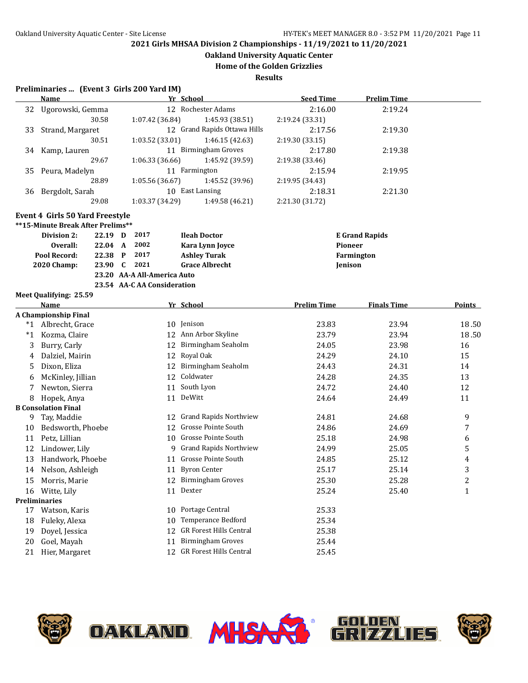**Oakland University Aquatic Center**

**Home of the Golden Grizzlies**

**Results**

#### **Preliminaries ... (Event 3 Girls 200 Yard IM)**

|    | <b>Name</b>                                                                                                           |              |                             | Yr School                              | <b>Seed Time</b>   | <b>Prelim Time</b>    |                         |
|----|-----------------------------------------------------------------------------------------------------------------------|--------------|-----------------------------|----------------------------------------|--------------------|-----------------------|-------------------------|
| 32 | Ugorowski, Gemma                                                                                                      |              |                             | 12 Rochester Adams                     | 2:16.00            | 2:19.24               |                         |
|    | 30.58                                                                                                                 |              | 1:07.42 (36.84)             | 1:45.93 (38.51)                        | 2:19.24 (33.31)    |                       |                         |
| 33 | Strand, Margaret                                                                                                      |              |                             | 12 Grand Rapids Ottawa Hills           | 2:17.56            | 2:19.30               |                         |
|    | 30.51                                                                                                                 |              | 1:03.52 (33.01)             | 1:46.15 (42.63)                        | 2:19.30 (33.15)    |                       |                         |
| 34 | Kamp, Lauren                                                                                                          |              |                             | 11 Birmingham Groves                   | 2:17.80            | 2:19.38               |                         |
|    | 29.67                                                                                                                 |              | 1:06.33 (36.66)             | 1:45.92 (39.59)                        | 2:19.38 (33.46)    |                       |                         |
| 35 | Peura, Madelyn                                                                                                        |              |                             | 11 Farmington                          | 2:15.94            | 2:19.95               |                         |
|    | 28.89                                                                                                                 |              | 1:05.56 (36.67)             | 1:45.52 (39.96)                        | 2:19.95 (34.43)    |                       |                         |
|    | 36 Bergdolt, Sarah                                                                                                    |              |                             | 10 East Lansing                        | 2:18.31            | 2:21.30               |                         |
|    | 29.08                                                                                                                 |              | 1:03.37 (34.29)             | 1:49.58(46.21)                         | 2:21.30 (31.72)    |                       |                         |
|    | Event 4 Girls 50 Yard Freestyle<br>**15-Minute Break After Prelims**<br>Division 2:<br>22.19 D<br>Overall:<br>22.04 A |              | 2017<br>2002                | <b>Ileah Doctor</b><br>Kara Lynn Joyce | Pioneer            | <b>E</b> Grand Rapids |                         |
|    | Pool Record:<br>22.38                                                                                                 | $\mathbf{P}$ | 2017                        | <b>Ashley Turak</b>                    |                    | Farmington            |                         |
|    | <b>2020 Champ:</b><br>23.90                                                                                           | $\mathbf{C}$ | 2021                        | <b>Grace Albrecht</b>                  | Jenison            |                       |                         |
|    |                                                                                                                       |              | 23.20 AA-A All-America Auto |                                        |                    |                       |                         |
|    | Meet Qualifying: 25.59                                                                                                |              | 23.54 AA-C AA Consideration |                                        |                    |                       |                         |
|    | Name                                                                                                                  |              |                             | Yr School                              | <b>Prelim Time</b> | <b>Finals Time</b>    | Points                  |
|    | A Championship Final                                                                                                  |              |                             |                                        |                    |                       |                         |
|    | *1 Albrecht, Grace                                                                                                    |              |                             | 10 Jenison                             | 23.83              | 23.94                 | 18.50                   |
| *1 | Kozma, Claire                                                                                                         |              |                             | 12 Ann Arbor Skyline                   | 23.79              | 23.94                 | 18.50                   |
| 3  | Burry, Carly                                                                                                          |              |                             | 12 Birmingham Seaholm                  | 24.05              | 23.98                 | 16                      |
| 4  | Dalziel, Mairin                                                                                                       |              |                             | 12 Royal Oak                           | 24.29              | 24.10                 | 15                      |
| 5  | Dixon, Eliza                                                                                                          |              |                             | 12 Birmingham Seaholm                  | 24.43              | 24.31                 | 14                      |
| 6  | McKinley, Jillian                                                                                                     |              |                             | 12 Coldwater                           | 24.28              | 24.35                 | 13                      |
| 7  | Newton, Sierra                                                                                                        |              |                             | 11 South Lyon                          | 24.72              | 24.40                 | 12                      |
| 8  | Hopek, Anya                                                                                                           |              |                             | 11 DeWitt                              | 24.64              | 24.49                 | 11                      |
|    | <b>B</b> Consolation Final                                                                                            |              |                             |                                        |                    |                       |                         |
| 9  | Tay, Maddie                                                                                                           |              |                             | 12 Grand Rapids Northview              | 24.81              | 24.68                 | 9                       |
| 10 | Bedsworth, Phoebe                                                                                                     |              |                             | 12 Grosse Pointe South                 | 24.86              | 24.69                 | 7                       |
| 11 | Petz, Lillian                                                                                                         |              |                             | 10 Grosse Pointe South                 | 25.18              | 24.98                 | 6                       |
| 12 | Lindower, Lily                                                                                                        |              | 9                           | <b>Grand Rapids Northview</b>          | 24.99              | 25.05                 | 5                       |
| 13 | Handwork, Phoebe                                                                                                      |              |                             | 11 Grosse Pointe South                 | 24.85              | 25.12                 | $\overline{\mathbf{4}}$ |
| 14 | Nelson, Ashleigh                                                                                                      |              |                             | 11 Byron Center                        | 25.17              | 25.14                 | 3                       |
| 15 | Morris, Marie                                                                                                         |              |                             | 12 Birmingham Groves                   | 25.30              | 25.28                 | $\overline{c}$          |
|    | 16 Witte, Lily                                                                                                        |              |                             | 11 Dexter                              | 25.24              | 25.40                 | $\mathbf{1}$            |
|    | <b>Preliminaries</b>                                                                                                  |              |                             |                                        |                    |                       |                         |
| 17 | Watson, Karis                                                                                                         |              |                             | 10 Portage Central                     | 25.33              |                       |                         |
| 18 | Fuleky, Alexa                                                                                                         |              |                             | 10 Temperance Bedford                  | 25.34              |                       |                         |
| 19 | Doyel, Jessica                                                                                                        |              |                             | 12 GR Forest Hills Central             | 25.38              |                       |                         |

- 20 Goel, Mayah 11 Birmingham Groves 25.44
- 21 Hier, Margaret 12 GR Forest Hills Central 25.45
	- **OAKLAND MHSA** J



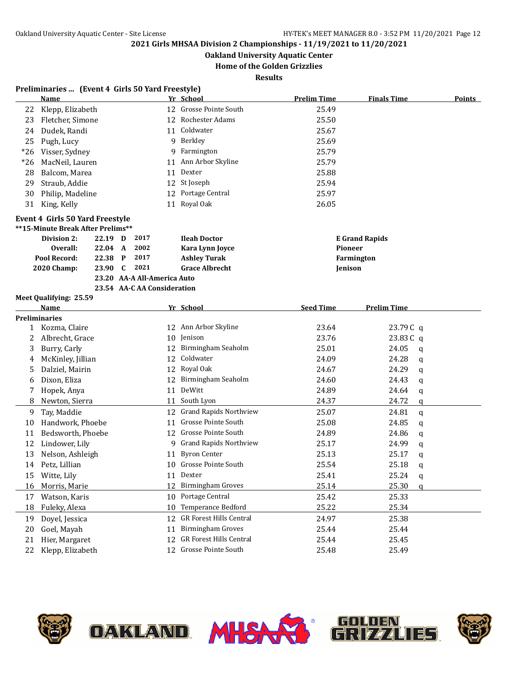**Oakland University Aquatic Center**

### **Home of the Golden Grizzlies**

**Results**

|       | Preliminaries  (Event 4 Girls 50 Yard Freestyle) |         |              |                             |    |                                                            |                    |                       |        |
|-------|--------------------------------------------------|---------|--------------|-----------------------------|----|------------------------------------------------------------|--------------------|-----------------------|--------|
|       | Name                                             |         |              |                             |    | Yr School                                                  | <b>Prelim Time</b> | <b>Finals Time</b>    | Points |
| 22    | Klepp, Elizabeth                                 |         |              |                             |    | 12 Grosse Pointe South                                     | 25.49              |                       |        |
| 23    | Fletcher, Simone                                 |         |              |                             | 12 | Rochester Adams                                            | 25.50              |                       |        |
| 24    | Dudek, Randi                                     |         |              |                             | 11 | Coldwater                                                  | 25.67              |                       |        |
| 25    | Pugh, Lucy                                       |         |              |                             |    | 9 Berkley                                                  | 25.69              |                       |        |
| $*26$ | Visser, Sydney                                   |         |              |                             |    | 9 Farmington                                               | 25.79              |                       |        |
| $*26$ | MacNeil, Lauren                                  |         |              |                             |    | 11 Ann Arbor Skyline                                       | 25.79              |                       |        |
| 28    | Balcom, Marea                                    |         |              |                             | 11 | Dexter                                                     | 25.88              |                       |        |
| 29    | Straub, Addie                                    |         |              |                             |    | 12 St Joseph                                               | 25.94              |                       |        |
| 30    | Philip, Madeline                                 |         |              |                             |    | 12 Portage Central                                         | 25.97              |                       |        |
| 31    | King, Kelly                                      |         |              |                             |    | 11 Royal Oak                                               | 26.05              |                       |        |
|       | Event 4 Girls 50 Yard Freestyle                  |         |              |                             |    |                                                            |                    |                       |        |
|       | **15-Minute Break After Prelims**                |         |              |                             |    |                                                            |                    |                       |        |
|       | Division 2:                                      | 22.19 D |              | 2017                        |    | <b>Ileah Doctor</b>                                        |                    | <b>E</b> Grand Rapids |        |
|       | Overall:                                         | 22.04 A |              | 2002                        |    | Kara Lynn Joyce                                            | Pioneer            |                       |        |
|       | Pool Record:                                     | 22.38   | $\mathbf{P}$ | 2017                        |    | <b>Ashley Turak</b>                                        |                    | Farmington            |        |
|       | 2020 Champ:                                      | 23.90   | C            | 2021                        |    | <b>Grace Albrecht</b>                                      | Jenison            |                       |        |
|       |                                                  |         |              | 23.20 AA-A All-America Auto |    |                                                            |                    |                       |        |
|       |                                                  |         |              | 23.54 AA-C AA Consideration |    |                                                            |                    |                       |        |
|       | Meet Qualifying: 25.59                           |         |              |                             |    |                                                            |                    |                       |        |
|       | Name                                             |         |              |                             |    | Yr School                                                  | <b>Seed Time</b>   | Prelim Time           |        |
|       | <b>Preliminaries</b><br>1 Kozma, Claire          |         |              |                             |    | 12 Ann Arbor Skyline                                       | 23.64              | 23.79C q              |        |
| 2     | Albrecht, Grace                                  |         |              |                             |    | 10 Jenison                                                 | 23.76              | 23.83 C q             |        |
| 3     | Burry, Carly                                     |         |              |                             | 12 | Birmingham Seaholm                                         | 25.01              | 24.05<br>$\mathbf q$  |        |
| 4     | McKinley, Jillian                                |         |              |                             |    | 12 Coldwater                                               | 24.09              | 24.28<br>a            |        |
| 5     | Dalziel, Mairin                                  |         |              |                             |    | 12 Royal Oak                                               | 24.67              | 24.29<br>a            |        |
| 6     | Dixon, Eliza                                     |         |              |                             | 12 | Birmingham Seaholm                                         | 24.60              | 24.43<br>q            |        |
| 7     | Hopek, Anya                                      |         |              |                             |    | 11 DeWitt                                                  | 24.89              | 24.64<br>q            |        |
| 8     | Newton, Sierra                                   |         |              |                             | 11 | South Lyon                                                 | 24.37              | 24.72<br>$\mathbf q$  |        |
| 9     | Tay, Maddie                                      |         |              |                             | 12 | <b>Grand Rapids Northview</b>                              | 25.07              | 24.81<br>$\mathbf q$  |        |
| 10    | Handwork, Phoebe                                 |         |              |                             | 11 | <b>Grosse Pointe South</b>                                 | 25.08              | 24.85                 |        |
| 11    | Bedsworth, Phoebe                                |         |              |                             | 12 | <b>Grosse Pointe South</b>                                 | 24.89              | q<br>24.86            |        |
| 12    | Lindower, Lily                                   |         |              |                             |    | 9 Grand Rapids Northview                                   | 25.17              | q<br>24.99            |        |
| 13    | Nelson, Ashleigh                                 |         |              |                             | 11 | <b>Byron Center</b>                                        | 25.13              | q<br>25.17<br>q       |        |
| 14    | Petz, Lillian                                    |         |              |                             |    | 10 Grosse Pointe South                                     | 25.54              | 25.18<br>q            |        |
| 15    | Witte, Lily                                      |         |              |                             |    | 11 Dexter                                                  | 25.41              | 25.24                 |        |
| 16    | Morris, Marie                                    |         |              |                             |    | 12 Birmingham Groves                                       | 25.14              | q<br>25.30            |        |
|       | Watson, Karis                                    |         |              |                             | 10 | Portage Central                                            | 25.42              | q<br>25.33            |        |
| 17    | Fuleky, Alexa                                    |         |              |                             | 10 | Temperance Bedford                                         | 25.22              | 25.34                 |        |
| 18    |                                                  |         |              |                             |    | GR Forest Hills Central                                    |                    |                       |        |
| 19    | Doyel, Jessica                                   |         |              |                             | 12 |                                                            | 24.97              | 25.38                 |        |
| 20    | Goel, Mayah                                      |         |              |                             | 11 | <b>Birmingham Groves</b><br><b>GR Forest Hills Central</b> | 25.44              | 25.44                 |        |
| 21    | Hier, Margaret                                   |         |              |                             | 12 |                                                            | 25.44              | 25.45                 |        |
| 22    | Klepp, Elizabeth                                 |         |              |                             | 12 | Grosse Pointe South                                        | 25.48              | 25.49                 |        |

<del>UN</del>



**OAKLAND MHSA** 



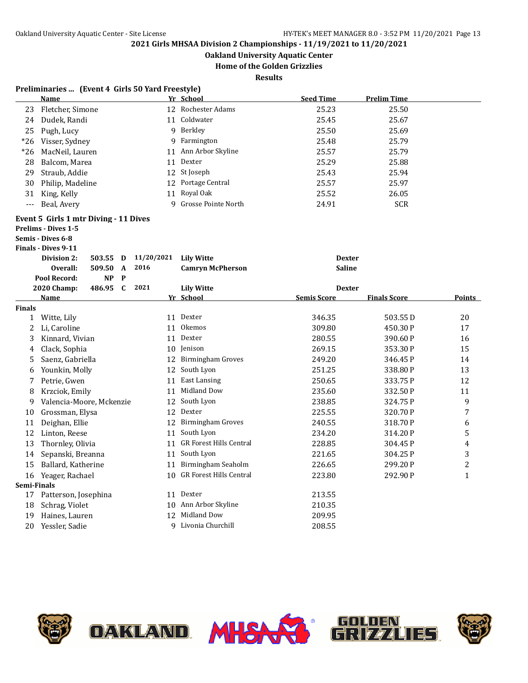**Oakland University Aquatic Center**

**Home of the Golden Grizzlies**

| Preliminaries  (Event 4 Girls 50 Yard Freestyle) |  |  |  |  |
|--------------------------------------------------|--|--|--|--|
|--------------------------------------------------|--|--|--|--|

|                      | <b>Name</b>                               |            | Yr School                  | <b>Seed Time</b>   | <b>Prelim Time</b>  |                |
|----------------------|-------------------------------------------|------------|----------------------------|--------------------|---------------------|----------------|
| 23                   | Fletcher, Simone                          |            | 12 Rochester Adams         | 25.23              | 25.50               |                |
| 24                   | Dudek, Randi                              |            | 11 Coldwater               | 25.45              | 25.67               |                |
| 25                   | Pugh, Lucy                                |            | 9 Berkley                  | 25.50              | 25.69               |                |
| $*26$                | Visser, Sydney                            |            | 9 Farmington               | 25.48              | 25.79               |                |
| $*26$                | MacNeil, Lauren                           |            | 11 Ann Arbor Skyline       | 25.57              | 25.79               |                |
| 28                   | Balcom, Marea                             |            | 11 Dexter                  | 25.29              | 25.88               |                |
| 29                   | Straub, Addie                             |            | 12 St Joseph               | 25.43              | 25.94               |                |
| 30                   | Philip, Madeline                          |            | 12 Portage Central         | 25.57              | 25.97               |                |
| 31                   | King, Kelly                               | 11         | Royal Oak                  | 25.52              | 26.05               |                |
| $\scriptstyle\cdots$ | Beal, Avery                               | 9          | Grosse Pointe North        | 24.91              | <b>SCR</b>          |                |
|                      | Event 5 Girls 1 mtr Diving - 11 Dives     |            |                            |                    |                     |                |
|                      | <b>Prelims - Dives 1-5</b>                |            |                            |                    |                     |                |
|                      | Semis - Dives 6-8                         |            |                            |                    |                     |                |
|                      | <b>Finals - Dives 9-11</b>                |            |                            |                    |                     |                |
|                      | Division 2:<br>503.55<br>D                | 11/20/2021 | <b>Lily Witte</b>          | <b>Dexter</b>      |                     |                |
|                      | 509.50<br>Overall:<br>$\mathbf{A}$        | 2016       | <b>Camryn McPherson</b>    | <b>Saline</b>      |                     |                |
|                      | <b>NP</b><br>$\mathbf{P}$<br>Pool Record: |            |                            |                    |                     |                |
|                      | 486.95 C<br>2020 Champ:                   | 2021       | <b>Lily Witte</b>          | <b>Dexter</b>      |                     |                |
|                      | <b>Name</b>                               |            | Yr School                  | <b>Semis Score</b> | <b>Finals Score</b> | Points         |
| <b>Finals</b>        | 1 Witte, Lily                             |            | 11 Dexter                  | 346.35             | 503.55D             | 20             |
| 2                    | Li, Caroline                              |            | 11 Okemos                  | 309.80             | 450.30 P            | 17             |
| 3                    | Kinnard, Vivian                           |            | 11 Dexter                  | 280.55             | 390.60 P            | 16             |
| 4                    | Clack, Sophia                             |            | 10 Jenison                 | 269.15             | 353.30 P            | 15             |
| 5                    | Saenz, Gabriella                          |            | 12 Birmingham Groves       | 249.20             | 346.45 P            | 14             |
| 6                    | Younkin, Molly                            |            | 12 South Lyon              | 251.25             | 338.80 P            | 13             |
| 7                    | Petrie, Gwen                              | 11         | <b>East Lansing</b>        | 250.65             | 333.75 P            | 12             |
| 8                    | Krzciok, Emily                            |            | 11 Midland Dow             | 235.60             | 332.50 P            | 11             |
| 9                    | Valencia-Moore, Mckenzie                  |            | 12 South Lyon              | 238.85             | 324.75 P            | 9              |
| 10                   | Grossman, Elysa                           |            | 12 Dexter                  | 225.55             | 320.70 P            | 7              |
| 11                   | Deighan, Ellie                            |            | 12 Birmingham Groves       | 240.55             | 318.70P             | 6              |
| 12                   | Linton, Reese                             |            | 11 South Lyon              | 234.20             | 314.20 P            | 5              |
| 13                   | Thornley, Olivia                          |            | 11 GR Forest Hills Central | 228.85             | 304.45 P            | $\overline{4}$ |
| 14                   | Sepanski, Breanna                         |            | 11 South Lyon              | 221.65             | 304.25 P            | 3              |
| 15                   | Ballard, Katherine                        |            | 11 Birmingham Seaholm      | 226.65             | 299.20P             | $\overline{2}$ |
|                      | 16 Yeager, Rachael                        |            | 10 GR Forest Hills Central | 223.80             | 292.90 P            | $\mathbf{1}$   |
| Semi-Finals          |                                           |            |                            |                    |                     |                |
| 17                   | Patterson, Josephina                      |            | 11 Dexter                  | 213.55             |                     |                |
| 18                   | Schrag, Violet                            |            | 10 Ann Arbor Skyline       | 210.35             |                     |                |
| 19                   | Haines, Lauren                            |            | 12 Midland Dow             | 209.95             |                     |                |
| 20                   | Yessler, Sadie                            | 9          | Livonia Churchill          | 208.55             |                     |                |







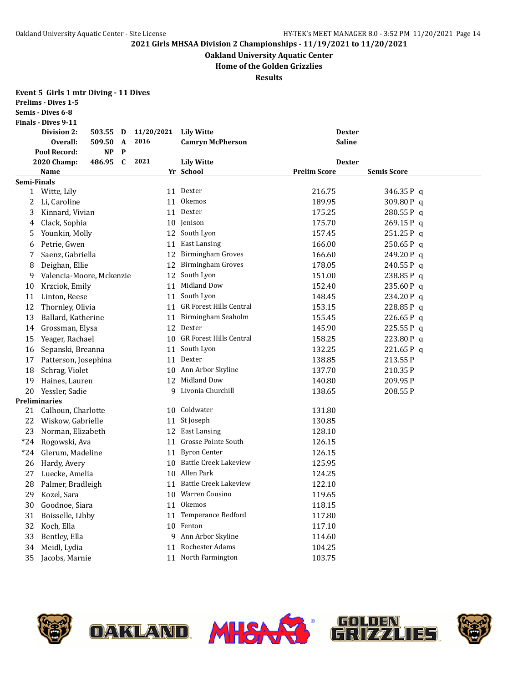**Oakland University Aquatic Center**

**Home of the Golden Grizzlies**

**Results**

|              | Event 5 Girls 1 mtr Diving - 11 Dives<br><b>Prelims - Dives 1-5</b><br>Semis - Dives 6-8 |           |              |            |                                |                     |                    |
|--------------|------------------------------------------------------------------------------------------|-----------|--------------|------------|--------------------------------|---------------------|--------------------|
|              | <b>Finals - Dives 9-11</b>                                                               |           |              |            |                                |                     |                    |
|              | <b>Division 2:</b>                                                                       | 503.55    | D            | 11/20/2021 | <b>Lily Witte</b>              | <b>Dexter</b>       |                    |
|              | Overall:                                                                                 | 509.50    | A            | 2016       | <b>Camryn McPherson</b>        | <b>Saline</b>       |                    |
|              | Pool Record:                                                                             | <b>NP</b> | $\mathbf{P}$ |            |                                |                     |                    |
|              | 2020 Champ:                                                                              | 486.95    | C            | 2021       | <b>Lily Witte</b>              | <b>Dexter</b>       |                    |
|              | <b>Name</b>                                                                              |           |              |            | Yr School                      | <b>Prelim Score</b> | <b>Semis Score</b> |
| Semi-Finals  |                                                                                          |           |              |            |                                |                     |                    |
| $\mathbf{1}$ | Witte, Lily                                                                              |           |              |            | 11 Dexter                      | 216.75              | 346.35P q          |
| 2            | Li, Caroline                                                                             |           |              | 11         | Okemos                         | 189.95              | 309.80 Pq          |
| 3            | Kinnard, Vivian                                                                          |           |              | 11         | Dexter                         | 175.25              | 280.55 Pq          |
| 4            | Clack, Sophia                                                                            |           |              | 10         | Jenison                        | 175.70              | $269.15P$ q        |
| 5            | Younkin, Molly                                                                           |           |              | 12         | South Lyon                     | 157.45              | $251.25P$ q        |
| 6            | Petrie, Gwen                                                                             |           |              | 11         | <b>East Lansing</b>            | 166.00              | 250.65P q          |
| 7            | Saenz, Gabriella                                                                         |           |              | 12         | <b>Birmingham Groves</b>       | 166.60              | 249.20P q          |
| 8            | Deighan, Ellie                                                                           |           |              | 12         | <b>Birmingham Groves</b>       | 178.05              | $240.55P$ q        |
| 9            | Valencia-Moore, Mckenzie                                                                 |           |              | 12         | South Lyon                     | 151.00              | 238.85P q          |
| 10           | Krzciok, Emily                                                                           |           |              | 11         | Midland Dow                    | 152.40              | $235.60P$ q        |
| 11           | Linton, Reese                                                                            |           |              | 11         | South Lyon                     | 148.45              | 234.20P q          |
| 12           | Thornley, Olivia                                                                         |           |              | 11         | <b>GR Forest Hills Central</b> | 153.15              | 228.85 Pq          |
| 13           | Ballard, Katherine                                                                       |           |              | 11         | Birmingham Seaholm             | 155.45              | 226.65P q          |
| 14           | Grossman, Elysa                                                                          |           |              | 12         | Dexter                         | 145.90              | $225.55P$ q        |
| 15           | Yeager, Rachael                                                                          |           |              | 10         | <b>GR Forest Hills Central</b> | 158.25              | 223.80 P q         |
| 16           | Sepanski, Breanna                                                                        |           |              | 11         | South Lyon                     | 132.25              | 221.65 Pq          |
| 17           | Patterson, Josephina                                                                     |           |              | 11         | Dexter                         | 138.85              | 213.55 P           |
| 18           | Schrag, Violet                                                                           |           |              | 10         | Ann Arbor Skyline              | 137.70              | 210.35 P           |
| 19           | Haines, Lauren                                                                           |           |              | 12         | Midland Dow                    | 140.80              | 209.95 P           |
| 20           | Yessler, Sadie                                                                           |           |              | 9          | Livonia Churchill              | 138.65              | 208.55 P           |
|              | <b>Preliminaries</b>                                                                     |           |              |            |                                |                     |                    |
| 21           | Calhoun, Charlotte                                                                       |           |              | 10         | Coldwater                      | 131.80              |                    |
| 22           | Wiskow, Gabrielle                                                                        |           |              | 11         | St Joseph                      | 130.85              |                    |
| 23           | Norman, Elizabeth                                                                        |           |              | 12         | <b>East Lansing</b>            | 128.10              |                    |
| $*24$        | Rogowski, Ava                                                                            |           |              | 11         | Grosse Pointe South            | 126.15              |                    |
| $*24$        | Glerum, Madeline                                                                         |           |              | 11         | <b>Byron Center</b>            | 126.15              |                    |
| 26           | Hardy, Avery                                                                             |           |              |            | 10 Battle Creek Lakeview       | 125.95              |                    |
|              | 27 Luecke, Amelia                                                                        |           |              |            | 10 Allen Park                  | 124.25              |                    |
| 28           | Palmer, Bradleigh                                                                        |           |              | 11         | <b>Battle Creek Lakeview</b>   | 122.10              |                    |
| 29           | Kozel, Sara                                                                              |           |              | 10         | Warren Cousino                 | 119.65              |                    |
| 30           | Goodnoe, Siara                                                                           |           |              | 11         | Okemos                         | 118.15              |                    |
| 31           | Boisselle, Libby                                                                         |           |              | 11         | Temperance Bedford             | 117.80              |                    |
| 32           | Koch, Ella                                                                               |           |              | 10         | Fenton                         | 117.10              |                    |
| 33           | Bentley, Ella                                                                            |           |              | 9          | Ann Arbor Skyline              | 114.60              |                    |
| 34           | Meidl, Lydia                                                                             |           |              | 11         | <b>Rochester Adams</b>         | 104.25              |                    |
| 35           | Jacobs, Marnie                                                                           |           |              | 11         | North Farmington               | 103.75              |                    |

<del>UN</del>







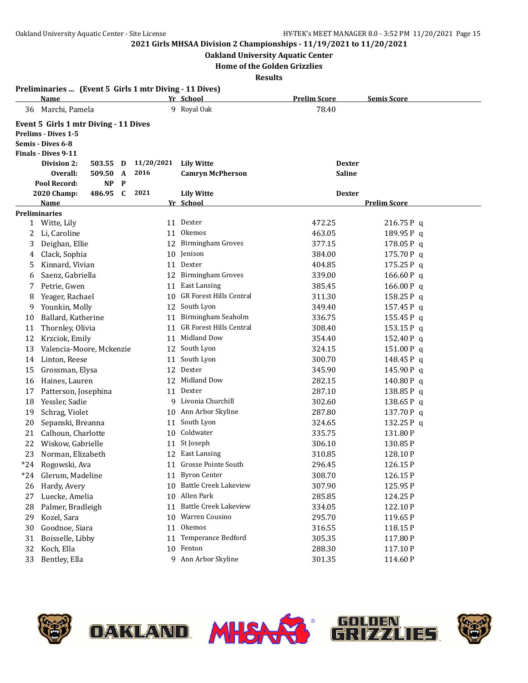### **Oakland University Aquatic Center**

**Home of the Golden Grizzlies**

|       | Preliminaries  (Event 5 Girls 1 mtr Diving - 11 Dives) |            |                                |                     |                     |
|-------|--------------------------------------------------------|------------|--------------------------------|---------------------|---------------------|
|       | Name                                                   |            | Yr School                      | <b>Prelim Score</b> | <b>Semis Score</b>  |
| 36    | Marchi, Pamela                                         |            | 9 Royal Oak                    | 78.40               |                     |
|       | Event 5 Girls 1 mtr Diving - 11 Dives                  |            |                                |                     |                     |
|       | <b>Prelims - Dives 1-5</b>                             |            |                                |                     |                     |
|       | Semis - Dives 6-8                                      |            |                                |                     |                     |
|       | <b>Finals - Dives 9-11</b>                             |            |                                |                     |                     |
|       | <b>Division 2:</b><br>503.55<br>D                      | 11/20/2021 | <b>Lily Witte</b>              | <b>Dexter</b>       |                     |
|       | Overall:<br>509.50<br>A                                | 2016       | <b>Camryn McPherson</b>        | <b>Saline</b>       |                     |
|       | Pool Record:<br><b>NP</b><br>P                         | 2021       |                                |                     |                     |
|       | 486.95<br>$\mathbf{C}$<br>2020 Champ:                  |            | <b>Lily Witte</b><br>Yr School | <b>Dexter</b>       | <b>Prelim Score</b> |
|       | <u>Name</u><br><b>Preliminaries</b>                    |            |                                |                     |                     |
|       | 1 Witte, Lily                                          |            | 11 Dexter                      | 472.25              | 216.75P q           |
| 2     | Li, Caroline                                           | 11         | <b>Okemos</b>                  | 463.05              | 189.95 Pq           |
| 3     | Deighan, Ellie                                         |            | 12 Birmingham Groves           | 377.15              | 178.05 Pq           |
| 4     | Clack, Sophia                                          |            | 10 Jenison                     | 384.00              | 175.70P q           |
| 5     | Kinnard, Vivian                                        | 11         | Dexter                         | 404.85              | 175.25 P q          |
| 6     | Saenz, Gabriella                                       |            | 12 Birmingham Groves           | 339.00              | 166.60P q           |
| 7     | Petrie, Gwen                                           | 11         | <b>East Lansing</b>            | 385.45              | 166.00 P q          |
| 8     | Yeager, Rachael                                        | 10         | <b>GR Forest Hills Central</b> | 311.30              | 158.25P q           |
| 9     | Younkin, Molly                                         | 12         | South Lyon                     | 349.40              | 157.45 Pq           |
| 10    | Ballard, Katherine                                     | 11         | Birmingham Seaholm             | 336.75              | 155.45P q           |
| 11    | Thornley, Olivia                                       | 11         | <b>GR Forest Hills Central</b> | 308.40              | 153.15P q           |
| 12    | Krzciok, Emily                                         | 11         | Midland Dow                    | 354.40              | 152.40 P q          |
| 13    | Valencia-Moore, Mckenzie                               | 12         | South Lyon                     | 324.15              | 151.00 Pq           |
| 14    | Linton, Reese                                          | 11         | South Lyon                     | 300.70              | 148.45 Pq           |
| 15    | Grossman, Elysa                                        | 12         | Dexter                         | 345.90              | 145.90 Pq           |
| 16    | Haines, Lauren                                         | 12         | Midland Dow                    | 282.15              | 140.80 Pq           |
| 17    | Patterson, Josephina                                   |            | 11 Dexter                      | 287.10              | 138.85 Pq           |
| 18    | Yessler, Sadie                                         |            | 9 Livonia Churchill            | 302.60              | 138.65 Pq           |
| 19    | Schrag, Violet                                         |            | 10 Ann Arbor Skyline           | 287.80              | 137.70 Pq           |
| 20    | Sepanski, Breanna                                      | 11         | South Lyon                     | 324.65              | 132.25 Pq           |
| 21    | Calhoun, Charlotte                                     |            | 10 Coldwater                   | 335.75              | 131.80P             |
| 22    | Wiskow, Gabrielle                                      | 11         | St Joseph                      | 306.10              | 130.85 P            |
| 23    | Norman, Elizabeth                                      |            | 12 East Lansing                | 310.85              | 128.10P             |
| $*24$ | Rogowski, Ava                                          |            | 11 Grosse Pointe South         | 296.45              | 126.15P             |
| $*24$ | Glerum, Madeline                                       |            | 11 Byron Center                | 308.70              | 126.15P             |
| 26    | Hardy, Avery                                           |            | 10 Battle Creek Lakeview       | 307.90              | 125.95P             |
| 27    | Luecke, Amelia                                         |            | 10 Allen Park                  | 285.85              | 124.25 P            |
| 28    | Palmer, Bradleigh                                      | 11         | <b>Battle Creek Lakeview</b>   | 334.05              | 122.10P             |
| 29    | Kozel, Sara                                            | 10         | Warren Cousino                 | 295.70              | 119.65P             |
| 30    | Goodnoe, Siara                                         |            | 11 Okemos                      | 316.55              | 118.15 P            |
| 31    | Boisselle, Libby                                       | 11         | Temperance Bedford             | 305.35              | 117.80 P            |
| 32    | Koch, Ella                                             |            | 10 Fenton                      | 288.30              | 117.10P             |
| 33    | Bentley, Ella                                          |            | 9 Ann Arbor Skyline            | 301.35              | 114.60P             |







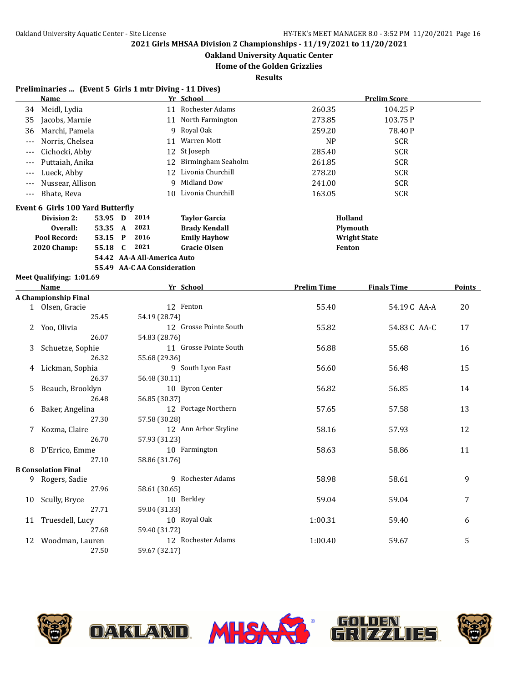**Oakland University Aquatic Center**

**Home of the Golden Grizzlies**

**Results**

### **Preliminaries ... (Event 5 Girls 1 mtr Diving - 11 Dives)**

|       | <b>Name</b>                             |         |              |                             | Yr School              |                    | <b>Prelim Score</b> |               |
|-------|-----------------------------------------|---------|--------------|-----------------------------|------------------------|--------------------|---------------------|---------------|
| 34    | Meidl, Lydia                            |         |              |                             | 11 Rochester Adams     | 260.35             | 104.25P             |               |
| 35    | Jacobs, Marnie                          |         |              |                             | 11 North Farmington    | 273.85             | 103.75P             |               |
| 36    | Marchi, Pamela                          |         |              |                             | 9 Royal Oak            | 259.20             | 78.40P              |               |
| $---$ | Norris, Chelsea                         |         |              | 11                          | Warren Mott            | <b>NP</b>          | <b>SCR</b>          |               |
| $---$ | Cichocki, Abby                          |         |              | 12                          | St Joseph              | 285.40             | <b>SCR</b>          |               |
| $---$ | Puttaiah, Anika                         |         |              | 12                          | Birmingham Seaholm     | 261.85             | <b>SCR</b>          |               |
| ---   | Lueck, Abby                             |         |              | 12                          | Livonia Churchill      | 278.20             | <b>SCR</b>          |               |
| ---   | Nussear, Allison                        |         |              | 9                           | Midland Dow            | 241.00             | <b>SCR</b>          |               |
| ---   | Bhate, Reva                             |         |              |                             | 10 Livonia Churchill   | 163.05             | <b>SCR</b>          |               |
|       | <b>Event 6 Girls 100 Yard Butterfly</b> |         |              |                             |                        |                    |                     |               |
|       | Division 2:                             | 53.95 D |              | 2014                        | <b>Taylor Garcia</b>   | Holland            |                     |               |
|       | Overall:                                | 53.35 A |              | 2021                        | <b>Brady Kendall</b>   | Plymouth           |                     |               |
|       | Pool Record:                            | 53.15 P |              | 2016                        | <b>Emily Hayhow</b>    |                    | <b>Wright State</b> |               |
|       | 2020 Champ:                             | 55.18   | $\mathbf{C}$ | 2021                        | <b>Gracie Olsen</b>    | Fenton             |                     |               |
|       |                                         |         |              | 54.42 AA-A All-America Auto |                        |                    |                     |               |
|       |                                         |         |              | 55.49 AA-C AA Consideration |                        |                    |                     |               |
|       | Meet Qualifying: 1:01.69                |         |              |                             |                        |                    |                     |               |
|       | Name                                    |         |              |                             | Yr School              | <b>Prelim Time</b> | <b>Finals Time</b>  | <b>Points</b> |
|       | <b>A Championship Final</b>             |         |              |                             |                        |                    |                     |               |
|       | 1 Olsen, Gracie                         |         |              |                             | 12 Fenton              | 55.40              | 54.19C AA-A         | 20            |
|       |                                         | 25.45   |              | 54.19 (28.74)               |                        |                    |                     |               |
| 2     | Yoo, Olivia                             |         |              |                             | 12 Grosse Pointe South | 55.82              | 54.83 C AA-C        | 17            |
|       |                                         | 26.07   |              | 54.83 (28.76)               |                        |                    |                     |               |
| 3     | Schuetze, Sophie                        |         |              |                             | 11 Grosse Pointe South | 56.88              | 55.68               | 16            |
|       |                                         | 26.32   |              | 55.68 (29.36)               |                        |                    |                     |               |
| 4     | Lickman, Sophia                         | 26.37   |              | 56.48 (30.11)               | 9 South Lyon East      | 56.60              | 56.48               | 15            |
|       |                                         |         |              |                             | 10 Byron Center        | 56.82              | 56.85               | 14            |
| 5.    | Beauch, Brooklyn                        | 26.48   |              | 56.85 (30.37)               |                        |                    |                     |               |
| 6     | Baker, Angelina                         |         |              |                             | 12 Portage Northern    | 57.65              | 57.58               | 13            |
|       |                                         | 27.30   |              | 57.58 (30.28)               |                        |                    |                     |               |
| 7     | Kozma, Claire                           |         |              |                             | 12 Ann Arbor Skyline   | 58.16              | 57.93               | 12            |
|       |                                         | 26.70   |              | 57.93 (31.23)               |                        |                    |                     |               |
| 8     | D'Errico, Emme                          |         |              |                             | 10 Farmington          | 58.63              | 58.86               | 11            |
|       |                                         | 27.10   |              | 58.86 (31.76)               |                        |                    |                     |               |
|       | <b>B</b> Consolation Final              |         |              |                             |                        |                    |                     |               |
|       | 9 Rogers, Sadie                         |         |              |                             | 9 Rochester Adams      | 58.98              | 58.61               | 9             |
|       |                                         | 27.96   |              | 58.61 (30.65)               |                        |                    |                     |               |
| 10    | Scully, Bryce                           |         |              |                             | 10 Berkley             | 59.04              | 59.04               | 7             |
|       |                                         | 27.71   |              | 59.04 (31.33)               |                        |                    |                     |               |
| 11    | Truesdell, Lucy                         |         |              |                             | 10 Royal Oak           | 1:00.31            | 59.40               | 6             |
|       |                                         | 27.68   |              | 59.40 (31.72)               |                        |                    |                     |               |
| 12    | Woodman, Lauren                         |         |              |                             | 12 Rochester Adams     | 1:00.40            | 59.67               | 5             |
|       |                                         | 27.50   |              | 59.67 (32.17)               |                        |                    |                     |               |





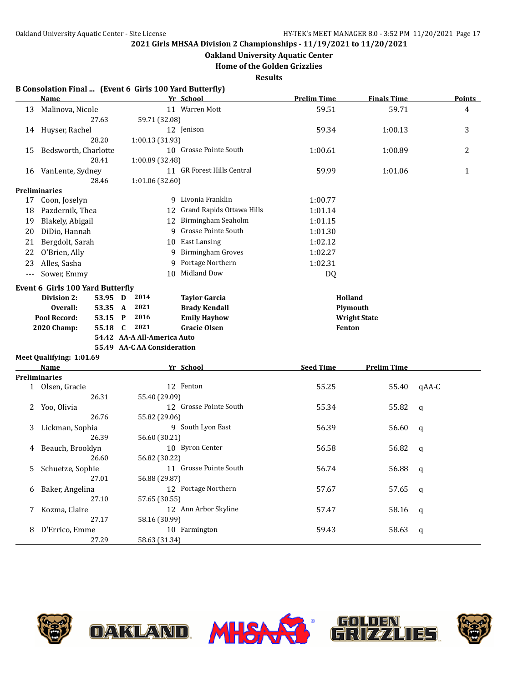**Oakland University Aquatic Center**

**Home of the Golden Grizzlies**

**Results**

### **B Consolation Final ... (Event 6 Girls 100 Yard Butterfly)**

|       | <b>Name</b>                      |                             | Yr School                                    | <b>Prelim Time</b> | <b>Finals Time</b>  | <b>Points</b> |
|-------|----------------------------------|-----------------------------|----------------------------------------------|--------------------|---------------------|---------------|
| 13    | Malinova, Nicole                 |                             | 11 Warren Mott                               | 59.51              | 59.71               | 4             |
|       | 27.63                            | 59.71 (32.08)               |                                              |                    |                     |               |
| 14    | Huyser, Rachel                   |                             | 12 Jenison                                   | 59.34              | 1:00.13             | 3             |
|       | 28.20                            | 1:00.13 (31.93)             |                                              |                    |                     |               |
| 15    | Bedsworth, Charlotte             |                             | 10 Grosse Pointe South                       | 1:00.61            | 1:00.89             | 2             |
|       | 28.41                            | 1:00.89 (32.48)             |                                              |                    |                     |               |
| 16    | VanLente, Sydney                 |                             | 11 GR Forest Hills Central                   | 59.99              | 1:01.06             | $\mathbf{1}$  |
|       | 28.46                            | 1:01.06(32.60)              |                                              |                    |                     |               |
|       | Preliminaries                    |                             |                                              |                    |                     |               |
| 17    | Coon, Joselyn                    |                             | 9 Livonia Franklin                           | 1:00.77            |                     |               |
| 18    | Pazdernik, Thea                  |                             | 12 Grand Rapids Ottawa Hills                 | 1:01.14            |                     |               |
| 19    | Blakely, Abigail                 |                             | 12 Birmingham Seaholm                        | 1:01.15            |                     |               |
| 20    | DiDio, Hannah                    |                             | 9 Grosse Pointe South                        | 1:01.30            |                     |               |
| 21    | Bergdolt, Sarah                  |                             | 10 East Lansing                              | 1:02.12            |                     |               |
| 22    | O'Brien, Ally                    | 9                           | <b>Birmingham Groves</b>                     | 1:02.27            |                     |               |
| 23    | Alles, Sasha                     |                             | 9 Portage Northern                           | 1:02.31            |                     |               |
| $---$ | Sower, Emmy                      |                             | 10 Midland Dow                               | DQ                 |                     |               |
|       | Event 6 Girls 100 Yard Butterfly |                             |                                              |                    |                     |               |
|       | Division 2:<br>53.95 D           | 2014                        |                                              | Holland            |                     |               |
|       | Overall:<br>53.35 A              | 2021                        | <b>Taylor Garcia</b><br><b>Brady Kendall</b> |                    | Plymouth            |               |
|       | Pool Record:<br>53.15            | 2016<br>P                   | <b>Emily Hayhow</b>                          |                    | <b>Wright State</b> |               |
|       | 2020 Champ:<br>55.18             | 2021<br>C                   | <b>Gracie Olsen</b>                          | Fenton             |                     |               |
|       |                                  | 54.42 AA-A All-America Auto |                                              |                    |                     |               |
|       |                                  | 55.49 AA-C AA Consideration |                                              |                    |                     |               |
|       | Meet Qualifying: 1:01.69         |                             |                                              |                    |                     |               |
|       | <b>Name</b>                      |                             | Yr School                                    | <b>Seed Time</b>   | <b>Prelim Time</b>  |               |
|       | Preliminaries                    |                             |                                              |                    |                     |               |
|       | 1 Olsen, Gracie                  |                             | 12 Fenton                                    | 55.25              | 55.40               | qAA-C         |
|       | 26.31                            | 55.40 (29.09)               |                                              |                    |                     |               |
| 2     | Yoo, Olivia                      |                             | 12 Grosse Pointe South                       | 55.34              | 55.82               | $\mathbf q$   |
|       | 26.76                            | 55.82 (29.06)               |                                              |                    |                     |               |
| 3     | Lickman, Sophia                  |                             | 9 South Lyon East                            | 56.39              | 56.60               | q             |
|       | 26.39                            | 56.60 (30.21)               |                                              |                    |                     |               |
| 4     | Beauch, Brooklyn                 |                             | 10 Byron Center                              | 56.58              | 56.82               | $\mathbf q$   |
|       | 26.60                            | 56.82 (30.22)               |                                              |                    |                     |               |
| 5     | Schuetze, Sophie                 |                             | 11 Grosse Pointe South                       | 56.74              | 56.88               | $\mathsf{q}$  |
|       | 27.01                            | 56.88 (29.87)               |                                              |                    |                     |               |
| 6     | Baker, Angelina                  |                             | 12 Portage Northern                          | 57.67              | 57.65               | $\mathsf{q}$  |
|       | 27.10                            | 57.65 (30.55)               |                                              |                    |                     |               |
| 7     | Kozma, Claire                    |                             | 12 Ann Arbor Skyline                         | 57.47              | 58.16               | q             |
|       | 27.17                            | 58.16 (30.99)               |                                              |                    |                     |               |
| 8     | D'Errico, Emme                   |                             | 10 Farmington                                | 59.43              | 58.63               | q             |
|       | 27.29                            | 58.63 (31.34)               |                                              |                    |                     |               |



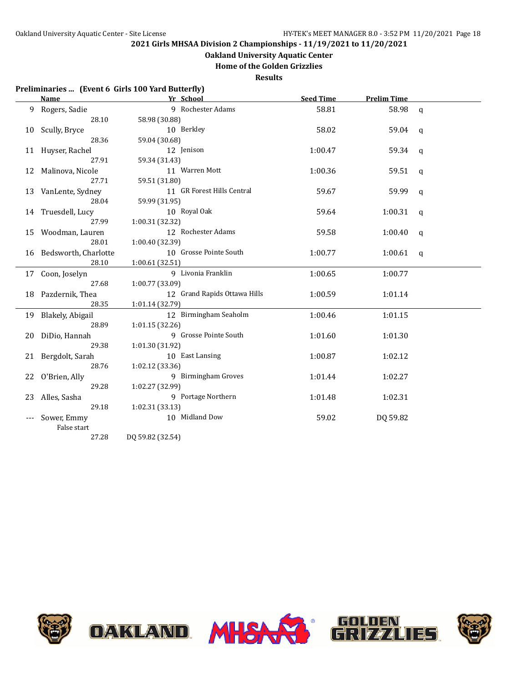## **Oakland University Aquatic Center**

**Home of the Golden Grizzlies**

**Results**

### **Preliminaries ... (Event 6 Girls 100 Yard Butterfly)**

|    | Name                    | Yr School                    | <b>Seed Time</b> | <b>Prelim Time</b> |              |
|----|-------------------------|------------------------------|------------------|--------------------|--------------|
|    | 9 Rogers, Sadie         | 9 Rochester Adams            | 58.81            | 58.98              | $\mathbf{q}$ |
|    | 28.10                   | 58.98 (30.88)                |                  |                    |              |
| 10 | Scully, Bryce           | 10 Berkley                   | 58.02            | 59.04              | q            |
|    | 28.36                   | 59.04 (30.68)                |                  |                    |              |
|    | 11 Huyser, Rachel       | 12 Jenison                   | 1:00.47          | 59.34              | q            |
|    | 27.91                   | 59.34 (31.43)                |                  |                    |              |
|    | 12 Malinova, Nicole     | 11 Warren Mott               | 1:00.36          | 59.51              | q            |
|    | 27.71                   | 59.51 (31.80)                |                  |                    |              |
|    | 13 VanLente, Sydney     | 11 GR Forest Hills Central   | 59.67            | 59.99              | q            |
|    | 28.04                   | 59.99 (31.95)                |                  |                    |              |
|    | 14 Truesdell, Lucy      | 10 Royal Oak                 | 59.64            | 1:00.31            | q            |
|    | 27.99                   | 1:00.31 (32.32)              |                  |                    |              |
|    | 15 Woodman, Lauren      | 12 Rochester Adams           | 59.58            | 1:00.40            | q            |
|    | 28.01                   | 1:00.40 (32.39)              |                  |                    |              |
|    | 16 Bedsworth, Charlotte | 10 Grosse Pointe South       | 1:00.77          | 1:00.61            | $\mathbf{q}$ |
|    | 28.10                   | 1:00.61 (32.51)              |                  |                    |              |
|    | 17 Coon, Joselyn        | 9 Livonia Franklin           | 1:00.65          | 1:00.77            |              |
|    | 27.68                   | 1:00.77 (33.09)              |                  |                    |              |
|    | 18 Pazdernik, Thea      | 12 Grand Rapids Ottawa Hills | 1:00.59          | 1:01.14            |              |
|    | 28.35                   | 1:01.14 (32.79)              |                  |                    |              |
|    | 19 Blakely, Abigail     | 12 Birmingham Seaholm        | 1:00.46          | 1:01.15            |              |
|    | 28.89                   | 1:01.15(32.26)               |                  |                    |              |
| 20 | DiDio, Hannah           | 9 Grosse Pointe South        | 1:01.60          | 1:01.30            |              |
|    | 29.38                   | 1:01.30 (31.92)              |                  |                    |              |
| 21 | Bergdolt, Sarah         | 10 East Lansing              | 1:00.87          | 1:02.12            |              |
|    | 28.76                   | 1:02.12 (33.36)              |                  |                    |              |
| 22 | O'Brien, Ally           | 9 Birmingham Groves          | 1:01.44          | 1:02.27            |              |
|    | 29.28                   | 1:02.27 (32.99)              |                  |                    |              |
| 23 | Alles, Sasha            | 9 Portage Northern           | 1:01.48          | 1:02.31            |              |
|    | 29.18                   | 1:02.31 (33.13)              |                  |                    |              |
|    | Sower, Emmy             | 10 Midland Dow               | 59.02            | DQ 59.82           |              |
|    | False start             |                              |                  |                    |              |
|    | 27.28                   | DQ 59.82 (32.54)             |                  |                    |              |

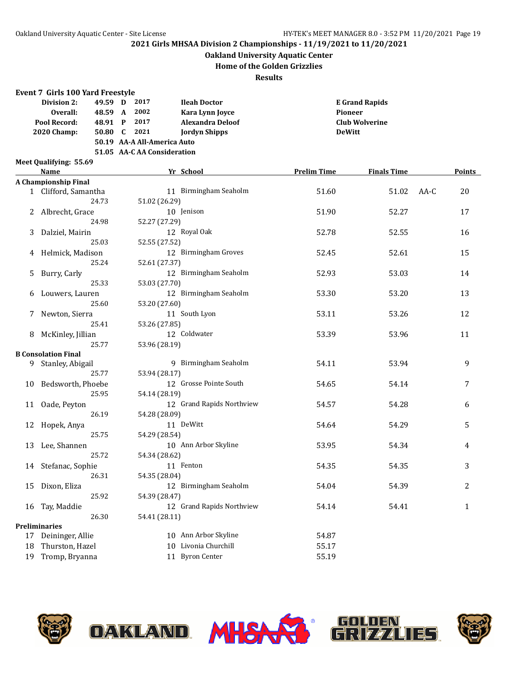### **Oakland University Aquatic Center**

**Home of the Golden Grizzlies**

**Results**

#### **Event 7 Girls 100 Yard Freestyle**

| Division 2:        | 49.59 D |     | 2017 | <b>Ileah Doctor</b>         | <b>E</b> Grand Rapids |  |  |  |
|--------------------|---------|-----|------|-----------------------------|-----------------------|--|--|--|
| Overall:           | 48.59   | A   | 2002 | Kara Lynn Joyce             | <b>Pioneer</b>        |  |  |  |
| Pool Record:       | 48.91 P |     | 2017 | Alexandra Deloof            | <b>Club Wolverine</b> |  |  |  |
| <b>2020 Champ:</b> | 50.80   | - C | 2021 | <b>Jordyn Shipps</b>        | <b>DeWitt</b>         |  |  |  |
|                    |         |     |      | 50.19 AA-A All-America Auto |                       |  |  |  |
|                    |         |     |      | 51.05 AA-C AA Consideration |                       |  |  |  |
| .                  | ---     |     |      |                             |                       |  |  |  |

**Meet Qualifying: 55.69**

|    | Name                       | Yr School                 | <b>Prelim Time</b> | <b>Finals Time</b> | <b>Points</b> |
|----|----------------------------|---------------------------|--------------------|--------------------|---------------|
|    | A Championship Final       |                           |                    |                    |               |
|    | 1 Clifford, Samantha       | 11 Birmingham Seaholm     | 51.60              | 51.02              | 20<br>AA-C    |
|    | 24.73                      | 51.02 (26.29)             |                    |                    |               |
|    | 2 Albrecht, Grace          | 10 Jenison                | 51.90              | 52.27              | 17            |
|    | 24.98                      | 52.27 (27.29)             |                    |                    |               |
| 3  | Dalziel, Mairin            | 12 Royal Oak              | 52.78              | 52.55              | 16            |
|    | 25.03                      | 52.55 (27.52)             |                    |                    |               |
|    | 4 Helmick, Madison         | 12 Birmingham Groves      | 52.45              | 52.61              | 15            |
|    | 25.24                      | 52.61 (27.37)             |                    |                    |               |
| 5. | Burry, Carly               | 12 Birmingham Seaholm     | 52.93              | 53.03              | 14            |
|    | 25.33                      | 53.03 (27.70)             |                    |                    |               |
|    | 6 Louwers, Lauren          | 12 Birmingham Seaholm     | 53.30              | 53.20              | 13            |
|    | 25.60                      | 53.20 (27.60)             |                    |                    |               |
| 7  | Newton, Sierra             | 11 South Lyon             | 53.11              | 53.26              | 12            |
|    | 25.41                      | 53.26 (27.85)             |                    |                    |               |
| 8  | McKinley, Jillian          | 12 Coldwater              | 53.39              | 53.96              | 11            |
|    | 25.77                      | 53.96 (28.19)             |                    |                    |               |
|    | <b>B</b> Consolation Final |                           |                    |                    |               |
|    | 9 Stanley, Abigail         | 9 Birmingham Seaholm      | 54.11              | 53.94              | 9             |
|    | 25.77                      | 53.94 (28.17)             |                    |                    |               |
|    | 10 Bedsworth, Phoebe       | 12 Grosse Pointe South    | 54.65              | 54.14              | 7             |
|    | 25.95                      | 54.14 (28.19)             |                    |                    |               |
|    | 11 Oade, Peyton            | 12 Grand Rapids Northview | 54.57              | 54.28              | 6             |
|    | 26.19                      | 54.28 (28.09)             |                    |                    |               |
|    | 12 Hopek, Anya             | 11 DeWitt                 | 54.64              | 54.29              | 5             |
|    | 25.75                      | 54.29 (28.54)             |                    |                    |               |
|    | 13 Lee, Shannen            | 10 Ann Arbor Skyline      | 53.95              | 54.34              | 4             |
|    | 25.72                      | 54.34 (28.62)             |                    |                    |               |
|    | 14 Stefanac, Sophie        | 11 Fenton                 | 54.35              | 54.35              | 3             |
|    | 26.31                      | 54.35 (28.04)             |                    |                    |               |
| 15 | Dixon, Eliza               | 12 Birmingham Seaholm     | 54.04              | 54.39              | 2             |
|    | 25.92                      | 54.39 (28.47)             |                    |                    |               |
|    | 16 Tay, Maddie             | 12 Grand Rapids Northview | 54.14              | 54.41              | $\mathbf{1}$  |
|    | 26.30                      | 54.41 (28.11)             |                    |                    |               |
|    | <b>Preliminaries</b>       |                           |                    |                    |               |
|    | 17 Deininger, Allie        | 10 Ann Arbor Skyline      | 54.87              |                    |               |
| 18 | Thurston, Hazel            | 10 Livonia Churchill      | 55.17              |                    |               |
|    | 19 Tromp, Bryanna          | 11 Byron Center           | 55.19              |                    |               |







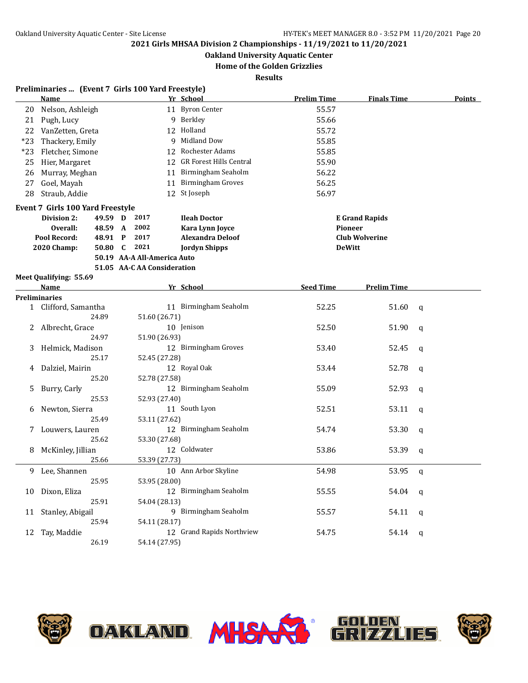**Oakland University Aquatic Center**

### **Home of the Golden Grizzlies**

| <b>Finals Time</b><br>11 Byron Center<br>Nelson, Ashleigh<br>55.57<br>20<br>9 Berkley<br>21<br>Pugh, Lucy<br>55.66<br>12 Holland<br>55.72<br>22<br>VanZetten, Greta<br>9 Midland Dow<br>55.85<br>$*23$<br>Thackery, Emily<br>12 Rochester Adams<br>55.85<br>$*23$<br>Fletcher, Simone<br>12 GR Forest Hills Central<br>55.90<br>25<br>Hier, Margaret<br>11 Birmingham Seaholm<br>56.22<br>Murray, Meghan<br>26<br>11 Birmingham Groves<br>56.25<br>Goel, Mayah<br>27<br>12 St Joseph<br>Straub, Addie<br>56.97<br>28<br>Event 7 Girls 100 Yard Freestyle<br>2017<br>Division 2:<br>49.59 D<br><b>Ileah Doctor</b><br><b>E</b> Grand Rapids<br>2002<br>Overall:<br>48.59 A<br>Kara Lynn Joyce<br>Pioneer<br>Pool Record:<br>48.91 P<br>2017<br><b>Alexandra Deloof</b><br><b>Club Wolverine</b><br>2021<br><b>2020 Champ:</b><br>50.80 C<br><b>Jordyn Shipps</b><br><b>DeWitt</b><br>50.19 AA-A All-America Auto<br>51.05 AA-C AA Consideration<br>Meet Qualifying: 55.69<br>Yr School<br><b>Seed Time</b><br><b>Prelim Time</b><br>Name<br>Preliminaries<br>11 Birmingham Seaholm<br>1 Clifford, Samantha<br>52.25<br>51.60<br>$\mathsf{q}$<br>24.89<br>51.60 (26.71)<br>Albrecht, Grace<br>10 Jenison<br>52.50<br>51.90<br>2<br>$\mathbf q$<br>51.90 (26.93)<br>24.97<br>12 Birmingham Groves<br>Helmick, Madison<br>53.40<br>52.45<br>3<br>q<br>25.17<br>52.45 (27.28)<br>12 Royal Oak<br>Dalziel, Mairin<br>53.44<br>52.78<br>4<br>q<br>25.20<br>52.78 (27.58)<br>12 Birmingham Seaholm<br>55.09<br>52.93<br>Burry, Carly<br>5.<br>q<br>52.93 (27.40)<br>25.53<br>11 South Lyon<br>Newton, Sierra<br>52.51<br>53.11<br>$\mathbf q$<br>6<br>53.11 (27.62)<br>25.49<br>12 Birmingham Seaholm<br>Louwers, Lauren<br>54.74<br>53.30<br>7<br>$\mathbf q$<br>25.62<br>53.30 (27.68)<br>12 Coldwater<br>McKinley, Jillian<br>53.86<br>53.39<br>8<br>$\mathbf q$<br>25.66<br>53.39 (27.73)<br>10 Ann Arbor Skyline<br>54.98<br>53.95<br>9<br>Lee, Shannen<br>q<br>25.95<br>53.95 (28.00)<br>12 Birmingham Seaholm<br>Dixon, Eliza<br>55.55<br>54.04 q<br>10<br>25.91<br>54.04 (28.13)<br>9 Birmingham Seaholm<br>Stanley, Abigail<br>55.57<br>54.11<br>11<br>q | Points |
|-----------------------------------------------------------------------------------------------------------------------------------------------------------------------------------------------------------------------------------------------------------------------------------------------------------------------------------------------------------------------------------------------------------------------------------------------------------------------------------------------------------------------------------------------------------------------------------------------------------------------------------------------------------------------------------------------------------------------------------------------------------------------------------------------------------------------------------------------------------------------------------------------------------------------------------------------------------------------------------------------------------------------------------------------------------------------------------------------------------------------------------------------------------------------------------------------------------------------------------------------------------------------------------------------------------------------------------------------------------------------------------------------------------------------------------------------------------------------------------------------------------------------------------------------------------------------------------------------------------------------------------------------------------------------------------------------------------------------------------------------------------------------------------------------------------------------------------------------------------------------------------------------------------------------------------------------------------------------------------------------------------------------------------------------------------------------------------------------------------------------------------------------------------|--------|
|                                                                                                                                                                                                                                                                                                                                                                                                                                                                                                                                                                                                                                                                                                                                                                                                                                                                                                                                                                                                                                                                                                                                                                                                                                                                                                                                                                                                                                                                                                                                                                                                                                                                                                                                                                                                                                                                                                                                                                                                                                                                                                                                                           |        |
|                                                                                                                                                                                                                                                                                                                                                                                                                                                                                                                                                                                                                                                                                                                                                                                                                                                                                                                                                                                                                                                                                                                                                                                                                                                                                                                                                                                                                                                                                                                                                                                                                                                                                                                                                                                                                                                                                                                                                                                                                                                                                                                                                           |        |
|                                                                                                                                                                                                                                                                                                                                                                                                                                                                                                                                                                                                                                                                                                                                                                                                                                                                                                                                                                                                                                                                                                                                                                                                                                                                                                                                                                                                                                                                                                                                                                                                                                                                                                                                                                                                                                                                                                                                                                                                                                                                                                                                                           |        |
|                                                                                                                                                                                                                                                                                                                                                                                                                                                                                                                                                                                                                                                                                                                                                                                                                                                                                                                                                                                                                                                                                                                                                                                                                                                                                                                                                                                                                                                                                                                                                                                                                                                                                                                                                                                                                                                                                                                                                                                                                                                                                                                                                           |        |
|                                                                                                                                                                                                                                                                                                                                                                                                                                                                                                                                                                                                                                                                                                                                                                                                                                                                                                                                                                                                                                                                                                                                                                                                                                                                                                                                                                                                                                                                                                                                                                                                                                                                                                                                                                                                                                                                                                                                                                                                                                                                                                                                                           |        |
|                                                                                                                                                                                                                                                                                                                                                                                                                                                                                                                                                                                                                                                                                                                                                                                                                                                                                                                                                                                                                                                                                                                                                                                                                                                                                                                                                                                                                                                                                                                                                                                                                                                                                                                                                                                                                                                                                                                                                                                                                                                                                                                                                           |        |
|                                                                                                                                                                                                                                                                                                                                                                                                                                                                                                                                                                                                                                                                                                                                                                                                                                                                                                                                                                                                                                                                                                                                                                                                                                                                                                                                                                                                                                                                                                                                                                                                                                                                                                                                                                                                                                                                                                                                                                                                                                                                                                                                                           |        |
|                                                                                                                                                                                                                                                                                                                                                                                                                                                                                                                                                                                                                                                                                                                                                                                                                                                                                                                                                                                                                                                                                                                                                                                                                                                                                                                                                                                                                                                                                                                                                                                                                                                                                                                                                                                                                                                                                                                                                                                                                                                                                                                                                           |        |
|                                                                                                                                                                                                                                                                                                                                                                                                                                                                                                                                                                                                                                                                                                                                                                                                                                                                                                                                                                                                                                                                                                                                                                                                                                                                                                                                                                                                                                                                                                                                                                                                                                                                                                                                                                                                                                                                                                                                                                                                                                                                                                                                                           |        |
|                                                                                                                                                                                                                                                                                                                                                                                                                                                                                                                                                                                                                                                                                                                                                                                                                                                                                                                                                                                                                                                                                                                                                                                                                                                                                                                                                                                                                                                                                                                                                                                                                                                                                                                                                                                                                                                                                                                                                                                                                                                                                                                                                           |        |
|                                                                                                                                                                                                                                                                                                                                                                                                                                                                                                                                                                                                                                                                                                                                                                                                                                                                                                                                                                                                                                                                                                                                                                                                                                                                                                                                                                                                                                                                                                                                                                                                                                                                                                                                                                                                                                                                                                                                                                                                                                                                                                                                                           |        |
|                                                                                                                                                                                                                                                                                                                                                                                                                                                                                                                                                                                                                                                                                                                                                                                                                                                                                                                                                                                                                                                                                                                                                                                                                                                                                                                                                                                                                                                                                                                                                                                                                                                                                                                                                                                                                                                                                                                                                                                                                                                                                                                                                           |        |
|                                                                                                                                                                                                                                                                                                                                                                                                                                                                                                                                                                                                                                                                                                                                                                                                                                                                                                                                                                                                                                                                                                                                                                                                                                                                                                                                                                                                                                                                                                                                                                                                                                                                                                                                                                                                                                                                                                                                                                                                                                                                                                                                                           |        |
|                                                                                                                                                                                                                                                                                                                                                                                                                                                                                                                                                                                                                                                                                                                                                                                                                                                                                                                                                                                                                                                                                                                                                                                                                                                                                                                                                                                                                                                                                                                                                                                                                                                                                                                                                                                                                                                                                                                                                                                                                                                                                                                                                           |        |
|                                                                                                                                                                                                                                                                                                                                                                                                                                                                                                                                                                                                                                                                                                                                                                                                                                                                                                                                                                                                                                                                                                                                                                                                                                                                                                                                                                                                                                                                                                                                                                                                                                                                                                                                                                                                                                                                                                                                                                                                                                                                                                                                                           |        |
|                                                                                                                                                                                                                                                                                                                                                                                                                                                                                                                                                                                                                                                                                                                                                                                                                                                                                                                                                                                                                                                                                                                                                                                                                                                                                                                                                                                                                                                                                                                                                                                                                                                                                                                                                                                                                                                                                                                                                                                                                                                                                                                                                           |        |
|                                                                                                                                                                                                                                                                                                                                                                                                                                                                                                                                                                                                                                                                                                                                                                                                                                                                                                                                                                                                                                                                                                                                                                                                                                                                                                                                                                                                                                                                                                                                                                                                                                                                                                                                                                                                                                                                                                                                                                                                                                                                                                                                                           |        |
|                                                                                                                                                                                                                                                                                                                                                                                                                                                                                                                                                                                                                                                                                                                                                                                                                                                                                                                                                                                                                                                                                                                                                                                                                                                                                                                                                                                                                                                                                                                                                                                                                                                                                                                                                                                                                                                                                                                                                                                                                                                                                                                                                           |        |
|                                                                                                                                                                                                                                                                                                                                                                                                                                                                                                                                                                                                                                                                                                                                                                                                                                                                                                                                                                                                                                                                                                                                                                                                                                                                                                                                                                                                                                                                                                                                                                                                                                                                                                                                                                                                                                                                                                                                                                                                                                                                                                                                                           |        |
|                                                                                                                                                                                                                                                                                                                                                                                                                                                                                                                                                                                                                                                                                                                                                                                                                                                                                                                                                                                                                                                                                                                                                                                                                                                                                                                                                                                                                                                                                                                                                                                                                                                                                                                                                                                                                                                                                                                                                                                                                                                                                                                                                           |        |
|                                                                                                                                                                                                                                                                                                                                                                                                                                                                                                                                                                                                                                                                                                                                                                                                                                                                                                                                                                                                                                                                                                                                                                                                                                                                                                                                                                                                                                                                                                                                                                                                                                                                                                                                                                                                                                                                                                                                                                                                                                                                                                                                                           |        |
|                                                                                                                                                                                                                                                                                                                                                                                                                                                                                                                                                                                                                                                                                                                                                                                                                                                                                                                                                                                                                                                                                                                                                                                                                                                                                                                                                                                                                                                                                                                                                                                                                                                                                                                                                                                                                                                                                                                                                                                                                                                                                                                                                           |        |
|                                                                                                                                                                                                                                                                                                                                                                                                                                                                                                                                                                                                                                                                                                                                                                                                                                                                                                                                                                                                                                                                                                                                                                                                                                                                                                                                                                                                                                                                                                                                                                                                                                                                                                                                                                                                                                                                                                                                                                                                                                                                                                                                                           |        |
|                                                                                                                                                                                                                                                                                                                                                                                                                                                                                                                                                                                                                                                                                                                                                                                                                                                                                                                                                                                                                                                                                                                                                                                                                                                                                                                                                                                                                                                                                                                                                                                                                                                                                                                                                                                                                                                                                                                                                                                                                                                                                                                                                           |        |
|                                                                                                                                                                                                                                                                                                                                                                                                                                                                                                                                                                                                                                                                                                                                                                                                                                                                                                                                                                                                                                                                                                                                                                                                                                                                                                                                                                                                                                                                                                                                                                                                                                                                                                                                                                                                                                                                                                                                                                                                                                                                                                                                                           |        |
|                                                                                                                                                                                                                                                                                                                                                                                                                                                                                                                                                                                                                                                                                                                                                                                                                                                                                                                                                                                                                                                                                                                                                                                                                                                                                                                                                                                                                                                                                                                                                                                                                                                                                                                                                                                                                                                                                                                                                                                                                                                                                                                                                           |        |
|                                                                                                                                                                                                                                                                                                                                                                                                                                                                                                                                                                                                                                                                                                                                                                                                                                                                                                                                                                                                                                                                                                                                                                                                                                                                                                                                                                                                                                                                                                                                                                                                                                                                                                                                                                                                                                                                                                                                                                                                                                                                                                                                                           |        |
|                                                                                                                                                                                                                                                                                                                                                                                                                                                                                                                                                                                                                                                                                                                                                                                                                                                                                                                                                                                                                                                                                                                                                                                                                                                                                                                                                                                                                                                                                                                                                                                                                                                                                                                                                                                                                                                                                                                                                                                                                                                                                                                                                           |        |
|                                                                                                                                                                                                                                                                                                                                                                                                                                                                                                                                                                                                                                                                                                                                                                                                                                                                                                                                                                                                                                                                                                                                                                                                                                                                                                                                                                                                                                                                                                                                                                                                                                                                                                                                                                                                                                                                                                                                                                                                                                                                                                                                                           |        |
|                                                                                                                                                                                                                                                                                                                                                                                                                                                                                                                                                                                                                                                                                                                                                                                                                                                                                                                                                                                                                                                                                                                                                                                                                                                                                                                                                                                                                                                                                                                                                                                                                                                                                                                                                                                                                                                                                                                                                                                                                                                                                                                                                           |        |
|                                                                                                                                                                                                                                                                                                                                                                                                                                                                                                                                                                                                                                                                                                                                                                                                                                                                                                                                                                                                                                                                                                                                                                                                                                                                                                                                                                                                                                                                                                                                                                                                                                                                                                                                                                                                                                                                                                                                                                                                                                                                                                                                                           |        |
|                                                                                                                                                                                                                                                                                                                                                                                                                                                                                                                                                                                                                                                                                                                                                                                                                                                                                                                                                                                                                                                                                                                                                                                                                                                                                                                                                                                                                                                                                                                                                                                                                                                                                                                                                                                                                                                                                                                                                                                                                                                                                                                                                           |        |
|                                                                                                                                                                                                                                                                                                                                                                                                                                                                                                                                                                                                                                                                                                                                                                                                                                                                                                                                                                                                                                                                                                                                                                                                                                                                                                                                                                                                                                                                                                                                                                                                                                                                                                                                                                                                                                                                                                                                                                                                                                                                                                                                                           |        |
|                                                                                                                                                                                                                                                                                                                                                                                                                                                                                                                                                                                                                                                                                                                                                                                                                                                                                                                                                                                                                                                                                                                                                                                                                                                                                                                                                                                                                                                                                                                                                                                                                                                                                                                                                                                                                                                                                                                                                                                                                                                                                                                                                           |        |
|                                                                                                                                                                                                                                                                                                                                                                                                                                                                                                                                                                                                                                                                                                                                                                                                                                                                                                                                                                                                                                                                                                                                                                                                                                                                                                                                                                                                                                                                                                                                                                                                                                                                                                                                                                                                                                                                                                                                                                                                                                                                                                                                                           |        |
|                                                                                                                                                                                                                                                                                                                                                                                                                                                                                                                                                                                                                                                                                                                                                                                                                                                                                                                                                                                                                                                                                                                                                                                                                                                                                                                                                                                                                                                                                                                                                                                                                                                                                                                                                                                                                                                                                                                                                                                                                                                                                                                                                           |        |
|                                                                                                                                                                                                                                                                                                                                                                                                                                                                                                                                                                                                                                                                                                                                                                                                                                                                                                                                                                                                                                                                                                                                                                                                                                                                                                                                                                                                                                                                                                                                                                                                                                                                                                                                                                                                                                                                                                                                                                                                                                                                                                                                                           |        |
|                                                                                                                                                                                                                                                                                                                                                                                                                                                                                                                                                                                                                                                                                                                                                                                                                                                                                                                                                                                                                                                                                                                                                                                                                                                                                                                                                                                                                                                                                                                                                                                                                                                                                                                                                                                                                                                                                                                                                                                                                                                                                                                                                           |        |
| 25.94<br>54.11 (28.17)                                                                                                                                                                                                                                                                                                                                                                                                                                                                                                                                                                                                                                                                                                                                                                                                                                                                                                                                                                                                                                                                                                                                                                                                                                                                                                                                                                                                                                                                                                                                                                                                                                                                                                                                                                                                                                                                                                                                                                                                                                                                                                                                    |        |
| 12 Grand Rapids Northview<br>Tay, Maddie<br>54.75<br>54.14<br>12<br>q                                                                                                                                                                                                                                                                                                                                                                                                                                                                                                                                                                                                                                                                                                                                                                                                                                                                                                                                                                                                                                                                                                                                                                                                                                                                                                                                                                                                                                                                                                                                                                                                                                                                                                                                                                                                                                                                                                                                                                                                                                                                                     |        |
| 26.19<br>54.14 (27.95)                                                                                                                                                                                                                                                                                                                                                                                                                                                                                                                                                                                                                                                                                                                                                                                                                                                                                                                                                                                                                                                                                                                                                                                                                                                                                                                                                                                                                                                                                                                                                                                                                                                                                                                                                                                                                                                                                                                                                                                                                                                                                                                                    |        |





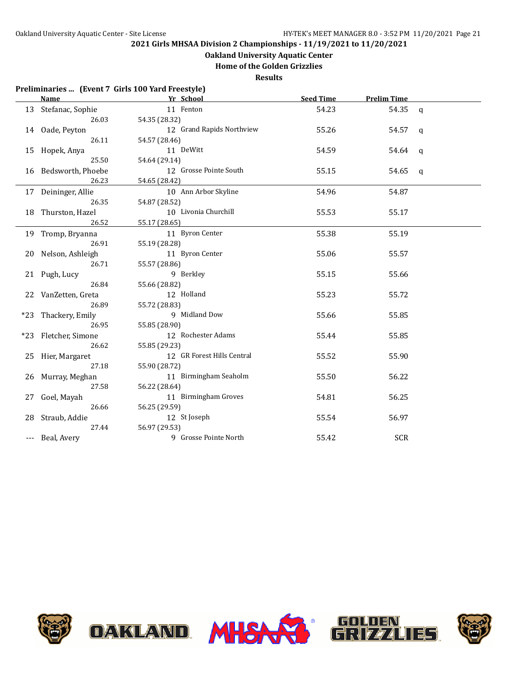## **Oakland University Aquatic Center**

**Home of the Golden Grizzlies**

|     | Preliminaries  (Event 7 Girls 100 Yard Freestyle) |                            |                  |                    |              |
|-----|---------------------------------------------------|----------------------------|------------------|--------------------|--------------|
|     | Name                                              | Yr School                  | <b>Seed Time</b> | <b>Prelim Time</b> |              |
|     | 13 Stefanac, Sophie                               | 11 Fenton                  | 54.23            | 54.35              | $\mathbf{q}$ |
|     | 26.03                                             | 54.35 (28.32)              |                  |                    |              |
|     | 14 Oade, Peyton                                   | 12 Grand Rapids Northview  | 55.26            | 54.57              | $\mathsf{q}$ |
|     | 26.11                                             | 54.57 (28.46)              |                  |                    |              |
|     | 15 Hopek, Anya                                    | 11 DeWitt                  | 54.59            | 54.64              | q            |
|     | 25.50                                             | 54.64 (29.14)              |                  |                    |              |
|     | 16 Bedsworth, Phoebe                              | 12 Grosse Pointe South     | 55.15            | 54.65              | q            |
|     | 26.23                                             | 54.65 (28.42)              |                  |                    |              |
|     | 17 Deininger, Allie                               | 10 Ann Arbor Skyline       | 54.96            | 54.87              |              |
|     | 26.35                                             | 54.87 (28.52)              |                  |                    |              |
|     | 18 Thurston, Hazel                                | 10 Livonia Churchill       | 55.53            | 55.17              |              |
|     | 26.52                                             | 55.17 (28.65)              |                  |                    |              |
|     | 19 Tromp, Bryanna                                 | 11 Byron Center            | 55.38            | 55.19              |              |
|     | 26.91                                             | 55.19 (28.28)              |                  |                    |              |
|     | 20 Nelson, Ashleigh                               | 11 Byron Center            | 55.06            | 55.57              |              |
|     | 26.71                                             | 55.57 (28.86)              |                  |                    |              |
|     | 21 Pugh, Lucy                                     | 9 Berkley                  | 55.15            | 55.66              |              |
|     | 26.84                                             | 55.66 (28.82)              |                  |                    |              |
|     | 22 VanZetten, Greta                               | 12 Holland                 | 55.23            | 55.72              |              |
|     | 26.89                                             | 55.72 (28.83)              |                  |                    |              |
|     | *23 Thackery, Emily                               | 9 Midland Dow              | 55.66            | 55.85              |              |
|     | 26.95                                             | 55.85 (28.90)              |                  |                    |              |
|     | *23 Fletcher, Simone                              | 12 Rochester Adams         | 55.44            | 55.85              |              |
|     | 26.62                                             | 55.85 (29.23)              |                  |                    |              |
|     | 25 Hier, Margaret                                 | 12 GR Forest Hills Central | 55.52            | 55.90              |              |
|     | 27.18                                             | 55.90 (28.72)              |                  |                    |              |
|     | 26 Murray, Meghan                                 | 11 Birmingham Seaholm      | 55.50            | 56.22              |              |
|     | 27.58                                             | 56.22 (28.64)              |                  |                    |              |
| 27  | Goel, Mayah                                       | 11 Birmingham Groves       | 54.81            | 56.25              |              |
|     | 26.66                                             | 56.25 (29.59)              |                  |                    |              |
| 28  | Straub, Addie                                     | 12 St Joseph               | 55.54            | 56.97              |              |
|     | 27.44                                             | 56.97 (29.53)              |                  |                    |              |
| --- | Beal, Avery                                       | 9 Grosse Pointe North      | 55.42            | <b>SCR</b>         |              |



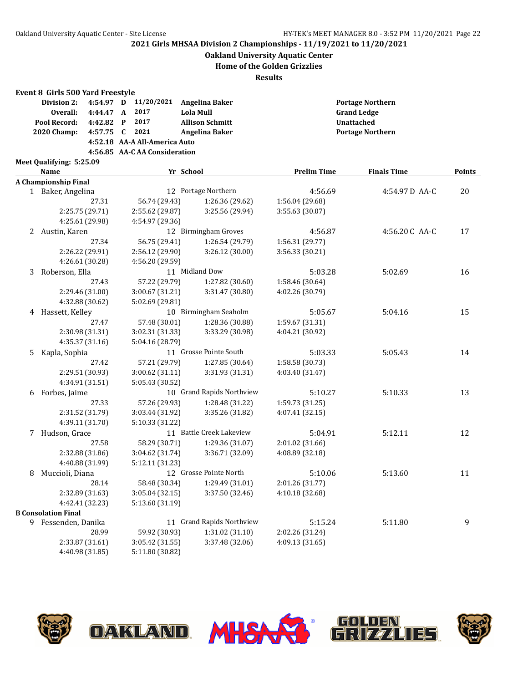### **Oakland University Aquatic Center**

**Home of the Golden Grizzlies**

|    | Event 8 Girls 500 Yard Freestyle |           |              |                               |                           |                    |                         |               |               |  |
|----|----------------------------------|-----------|--------------|-------------------------------|---------------------------|--------------------|-------------------------|---------------|---------------|--|
|    | Division 2:                      | 4:54.97 D |              | 11/20/2021                    | <b>Angelina Baker</b>     |                    | <b>Portage Northern</b> |               |               |  |
|    | Overall:                         | 4:44.47 A |              | 2017                          | <b>Lola Mull</b>          |                    | <b>Grand Ledge</b>      |               |               |  |
|    | Pool Record:                     | 4:42.82   | $\mathbf{P}$ | 2017                          | <b>Allison Schmitt</b>    |                    | <b>Unattached</b>       |               |               |  |
|    | 2020 Champ:                      | 4:57.75 C |              | 2021                          | <b>Angelina Baker</b>     |                    | <b>Portage Northern</b> |               |               |  |
|    |                                  |           |              | 4:52.18 AA-A All-America Auto |                           |                    |                         |               |               |  |
|    |                                  |           |              | 4:56.85 AA-C AA Consideration |                           |                    |                         |               |               |  |
|    | Meet Qualifying: 5:25.09         |           |              |                               |                           |                    |                         |               |               |  |
|    | Name                             |           |              |                               | Yr School                 | <b>Prelim Time</b> | <b>Finals Time</b>      |               | <b>Points</b> |  |
|    | A Championship Final             |           |              |                               |                           |                    |                         |               |               |  |
|    | 1 Baker, Angelina                |           |              |                               | 12 Portage Northern       | 4:56.69            |                         | 4:54.97D AA-C | 20            |  |
|    |                                  | 27.31     |              | 56.74 (29.43)                 | 1:26.36 (29.62)           | 1:56.04 (29.68)    |                         |               |               |  |
|    | 2:25.75 (29.71)                  |           |              | 2:55.62 (29.87)               | 3:25.56 (29.94)           | 3:55.63 (30.07)    |                         |               |               |  |
|    | 4:25.61 (29.98)                  |           |              | 4:54.97 (29.36)               |                           |                    |                         |               |               |  |
|    | 2 Austin, Karen                  |           |              |                               | 12 Birmingham Groves      | 4:56.87            |                         | 4:56.20C AA-C | 17            |  |
|    |                                  | 27.34     |              | 56.75 (29.41)                 | 1:26.54 (29.79)           | 1:56.31 (29.77)    |                         |               |               |  |
|    | 2:26.22 (29.91)                  |           |              | 2:56.12 (29.90)               | 3:26.12 (30.00)           | 3:56.33 (30.21)    |                         |               |               |  |
|    | 4:26.61 (30.28)                  |           |              | 4:56.20 (29.59)               |                           |                    |                         |               |               |  |
| 3  | Roberson, Ella                   |           |              |                               | 11 Midland Dow            | 5:03.28            | 5:02.69                 |               | 16            |  |
|    |                                  | 27.43     |              | 57.22 (29.79)                 | 1:27.82 (30.60)           | 1:58.46 (30.64)    |                         |               |               |  |
|    | 2:29.46 (31.00)                  |           |              | 3:00.67 (31.21)               | 3:31.47 (30.80)           | 4:02.26 (30.79)    |                         |               |               |  |
|    | 4:32.88 (30.62)                  |           |              | 5:02.69 (29.81)               |                           |                    |                         |               |               |  |
|    | 4 Hassett, Kelley                |           |              |                               | 10 Birmingham Seaholm     | 5:05.67            | 5:04.16                 |               | 15            |  |
|    |                                  | 27.47     |              | 57.48 (30.01)                 | 1:28.36 (30.88)           | 1:59.67 (31.31)    |                         |               |               |  |
|    | 2:30.98 (31.31)                  |           |              | 3:02.31 (31.33)               | 3:33.29 (30.98)           | 4:04.21 (30.92)    |                         |               |               |  |
|    | 4:35.37 (31.16)                  |           |              | 5:04.16 (28.79)               |                           |                    |                         |               |               |  |
| 5. | Kapla, Sophia                    |           |              |                               | 11 Grosse Pointe South    | 5:03.33            | 5:05.43                 |               | 14            |  |
|    |                                  | 27.42     |              | 57.21 (29.79)                 | 1:27.85 (30.64)           | 1:58.58 (30.73)    |                         |               |               |  |
|    | 2:29.51 (30.93)                  |           |              | 3:00.62 (31.11)               | 3:31.93 (31.31)           | 4:03.40 (31.47)    |                         |               |               |  |
|    | 4:34.91 (31.51)                  |           |              | 5:05.43 (30.52)               |                           |                    |                         |               |               |  |
| 6  | Forbes, Jaime                    |           |              |                               | 10 Grand Rapids Northview | 5:10.27            | 5:10.33                 |               | 13            |  |
|    |                                  | 27.33     |              | 57.26 (29.93)                 | 1:28.48 (31.22)           | 1:59.73 (31.25)    |                         |               |               |  |
|    | 2:31.52 (31.79)                  |           |              | 3:03.44 (31.92)               | 3:35.26 (31.82)           | 4:07.41 (32.15)    |                         |               |               |  |
|    | 4:39.11 (31.70)                  |           |              | 5:10.33 (31.22)               |                           |                    |                         |               |               |  |
|    | 7 Hudson, Grace                  |           |              |                               | 11 Battle Creek Lakeview  | 5:04.91            | 5:12.11                 |               | 12            |  |
|    |                                  | 27.58     |              | 58.29 (30.71)                 | 1:29.36 (31.07)           | 2:01.02 (31.66)    |                         |               |               |  |
|    | 2:32.88 (31.86)                  |           |              | 3:04.62 (31.74)               | 3:36.71 (32.09)           | 4:08.89 (32.18)    |                         |               |               |  |
|    | 4:40.88 (31.99)                  |           |              | 5:12.11 (31.23)               |                           |                    |                         |               |               |  |
| 8  | Muccioli, Diana                  |           |              |                               | 12 Grosse Pointe North    | 5:10.06            | 5:13.60                 |               | 11            |  |
|    |                                  | 28.14     |              | 58.48 (30.34)                 | 1:29.49 (31.01)           | 2:01.26 (31.77)    |                         |               |               |  |
|    | 2:32.89 (31.63)                  |           |              | 3:05.04 (32.15)               | 3:37.50 (32.46)           | 4:10.18 (32.68)    |                         |               |               |  |
|    | 4:42.41 (32.23)                  |           |              | 5:13.60 (31.19)               |                           |                    |                         |               |               |  |
|    | <b>B Consolation Final</b>       |           |              |                               |                           |                    |                         |               |               |  |
|    | 9 Fessenden, Danika              |           |              |                               | 11 Grand Rapids Northview | 5:15.24            | 5:11.80                 |               | 9             |  |
|    |                                  | 28.99     |              | 59.92 (30.93)                 | 1:31.02 (31.10)           | 2:02.26 (31.24)    |                         |               |               |  |
|    | 2:33.87 (31.61)                  |           |              | 3:05.42 (31.55)               | 3:37.48 (32.06)           | 4:09.13 (31.65)    |                         |               |               |  |
|    | 4:40.98 (31.85)                  |           |              | 5:11.80 (30.82)               |                           |                    |                         |               |               |  |





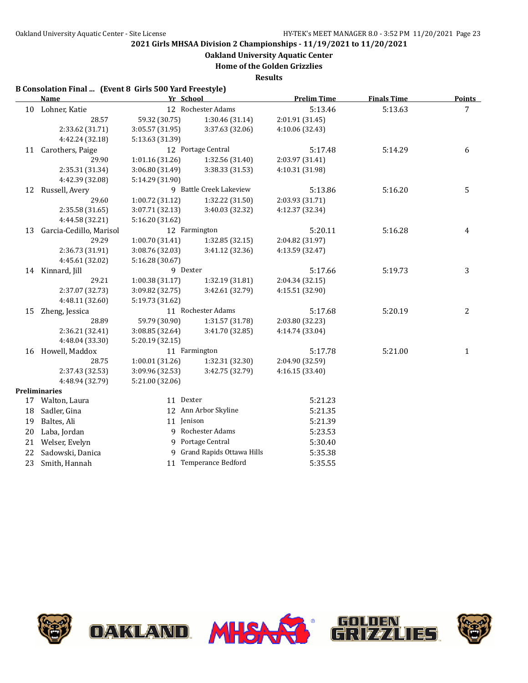**Oakland University Aquatic Center**

**Home of the Golden Grizzlies**

**Results**

### **B Consolation Final ... (Event 8 Girls 500 Yard Freestyle)**

| <b>Name</b> |                         |                 | Yr School                   | <b>Prelim Time</b> | <b>Finals Time</b> | <b>Points</b> |
|-------------|-------------------------|-----------------|-----------------------------|--------------------|--------------------|---------------|
|             | 10 Lohner, Katie        |                 | 12 Rochester Adams          | 5:13.46            | 5:13.63            | 7             |
|             | 28.57                   | 59.32 (30.75)   | 1:30.46 (31.14)             | 2:01.91 (31.45)    |                    |               |
|             | 2:33.62 (31.71)         | 3:05.57 (31.95) | 3:37.63 (32.06)             | 4:10.06 (32.43)    |                    |               |
|             | 4:42.24 (32.18)         | 5:13.63 (31.39) |                             |                    |                    |               |
| 11          | Carothers, Paige        |                 | 12 Portage Central          | 5:17.48            | 5:14.29            | 6             |
|             | 29.90                   | 1:01.16 (31.26) | 1:32.56 (31.40)             | 2:03.97 (31.41)    |                    |               |
|             | 2:35.31 (31.34)         | 3:06.80 (31.49) | 3:38.33 (31.53)             | 4:10.31 (31.98)    |                    |               |
|             | 4:42.39 (32.08)         | 5:14.29 (31.90) |                             |                    |                    |               |
| 12          | Russell, Avery          |                 | 9 Battle Creek Lakeview     | 5:13.86            | 5:16.20            | 5             |
|             | 29.60                   | 1:00.72 (31.12) | 1:32.22 (31.50)             | 2:03.93 (31.71)    |                    |               |
|             | 2:35.58 (31.65)         | 3:07.71 (32.13) | 3:40.03 (32.32)             | 4:12.37 (32.34)    |                    |               |
|             | 4:44.58 (32.21)         | 5:16.20 (31.62) |                             |                    |                    |               |
| 13          | Garcia-Cedillo, Marisol |                 | 12 Farmington               | 5:20.11            | 5:16.28            | 4             |
|             | 29.29                   | 1:00.70 (31.41) | 1:32.85(32.15)              | 2:04.82 (31.97)    |                    |               |
|             | 2:36.73 (31.91)         | 3:08.76 (32.03) | 3:41.12 (32.36)             | 4:13.59 (32.47)    |                    |               |
|             | 4:45.61 (32.02)         | 5:16.28 (30.67) |                             |                    |                    |               |
|             | 14 Kinnard, Jill        |                 | 9 Dexter                    | 5:17.66            | 5:19.73            | 3             |
|             | 29.21                   | 1:00.38(31.17)  | 1:32.19 (31.81)             | 2:04.34 (32.15)    |                    |               |
|             | 2:37.07 (32.73)         | 3:09.82 (32.75) | 3:42.61 (32.79)             | 4:15.51 (32.90)    |                    |               |
|             | 4:48.11 (32.60)         | 5:19.73 (31.62) |                             |                    |                    |               |
| 15          | Zheng, Jessica          |                 | 11 Rochester Adams          | 5:17.68            | 5:20.19            | 2             |
|             | 28.89                   | 59.79 (30.90)   | 1:31.57 (31.78)             | 2:03.80 (32.23)    |                    |               |
|             | 2:36.21 (32.41)         | 3:08.85 (32.64) | 3:41.70 (32.85)             | 4:14.74 (33.04)    |                    |               |
|             | 4:48.04 (33.30)         | 5:20.19(32.15)  |                             |                    |                    |               |
|             | 16 Howell, Maddox       |                 | 11 Farmington               | 5:17.78            | 5:21.00            | $\mathbf{1}$  |
|             | 28.75                   | 1:00.01(31.26)  | 1:32.31 (32.30)             | 2:04.90 (32.59)    |                    |               |
|             | 2:37.43 (32.53)         | 3:09.96 (32.53) | 3:42.75 (32.79)             | 4:16.15 (33.40)    |                    |               |
|             | 4:48.94 (32.79)         | 5:21.00 (32.06) |                             |                    |                    |               |
|             | <b>Preliminaries</b>    |                 |                             |                    |                    |               |
|             | 17 Walton, Laura        |                 | 11 Dexter                   | 5:21.23            |                    |               |
| 18          | Sadler, Gina            |                 | 12 Ann Arbor Skyline        | 5:21.35            |                    |               |
| 19          | Baltes, Ali             |                 | 11 Jenison                  | 5:21.39            |                    |               |
| 20          | Laba, Jordan            |                 | 9 Rochester Adams           | 5:23.53            |                    |               |
| 21          | Welser, Evelyn          |                 | 9 Portage Central           | 5:30.40            |                    |               |
| 22          | Sadowski, Danica        |                 | 9 Grand Rapids Ottawa Hills | 5:35.38            |                    |               |
| 23          | Smith, Hannah           |                 | 11 Temperance Bedford       | 5:35.55            |                    |               |
|             |                         |                 |                             |                    |                    |               |





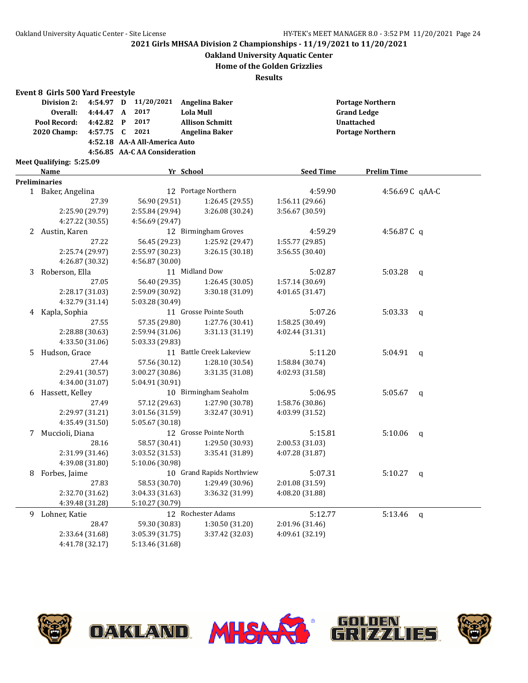**Oakland University Aquatic Center**

### **Home of the Golden Grizzlies**

|    | Event 8 Girls 500 Yard Freestyle |                 |                               |                               |                           |                  |                         |                 |              |  |
|----|----------------------------------|-----------------|-------------------------------|-------------------------------|---------------------------|------------------|-------------------------|-----------------|--------------|--|
|    | Division 2:                      | 4:54.97 D       |                               | 11/20/2021                    | <b>Angelina Baker</b>     |                  | <b>Portage Northern</b> |                 |              |  |
|    | Overall:<br>4:44.47 A            |                 | 2017                          |                               | <b>Lola Mull</b>          |                  |                         |                 |              |  |
|    | Pool Record:                     | 4:42.82         | 2017<br>$\mathbf{P}$          |                               | <b>Allison Schmitt</b>    |                  | Unattached              |                 |              |  |
|    | 2020 Champ:                      | 4:57.75 C       | 2021<br><b>Angelina Baker</b> |                               | <b>Portage Northern</b>   |                  |                         |                 |              |  |
|    |                                  |                 |                               | 4:52.18 AA-A All-America Auto |                           |                  |                         |                 |              |  |
|    |                                  |                 |                               | 4:56.85 AA-C AA Consideration |                           |                  |                         |                 |              |  |
|    | Meet Qualifying: 5:25.09         |                 |                               |                               |                           |                  |                         |                 |              |  |
|    | Name                             |                 | Yr School                     |                               |                           | <b>Seed Time</b> | <b>Prelim Time</b>      |                 |              |  |
|    | <b>Preliminaries</b>             |                 |                               |                               |                           |                  |                         |                 |              |  |
|    | 1 Baker, Angelina                |                 |                               |                               | 12 Portage Northern       |                  | 4:59.90                 | 4:56.69 C qAA-C |              |  |
|    |                                  | 27.39           |                               | 56.90 (29.51)                 | 1:26.45 (29.55)           | 1:56.11 (29.66)  |                         |                 |              |  |
|    |                                  | 2:25.90 (29.79) |                               | 2:55.84 (29.94)               | 3:26.08 (30.24)           | 3:56.67 (30.59)  |                         |                 |              |  |
|    |                                  | 4:27.22 (30.55) |                               | 4:56.69 (29.47)               |                           |                  |                         |                 |              |  |
|    | 2 Austin, Karen                  |                 |                               |                               | 12 Birmingham Groves      |                  | 4:59.29                 | 4:56.87 $C$ q   |              |  |
|    |                                  | 27.22           |                               | 56.45 (29.23)                 | 1:25.92 (29.47)           | 1:55.77 (29.85)  |                         |                 |              |  |
|    |                                  | 2:25.74 (29.97) |                               | 2:55.97 (30.23)               | 3:26.15(30.18)            | 3:56.55 (30.40)  |                         |                 |              |  |
|    |                                  | 4:26.87 (30.32) |                               | 4:56.87 (30.00)               |                           |                  |                         |                 |              |  |
| 3  | Roberson, Ella                   |                 |                               |                               | 11 Midland Dow            |                  | 5:02.87                 | 5:03.28         | $\mathsf{q}$ |  |
|    |                                  | 27.05           |                               | 56.40 (29.35)                 | 1:26.45 (30.05)           | 1:57.14 (30.69)  |                         |                 |              |  |
|    |                                  | 2:28.17 (31.03) |                               | 2:59.09 (30.92)               | 3:30.18 (31.09)           | 4:01.65 (31.47)  |                         |                 |              |  |
|    |                                  | 4:32.79 (31.14) |                               | 5:03.28 (30.49)               |                           |                  |                         |                 |              |  |
|    | 4 Kapla, Sophia                  |                 |                               |                               | 11 Grosse Pointe South    |                  | 5:07.26                 | 5:03.33         | $\mathsf{q}$ |  |
|    |                                  | 27.55           |                               | 57.35 (29.80)                 | 1:27.76 (30.41)           | 1:58.25 (30.49)  |                         |                 |              |  |
|    |                                  | 2:28.88 (30.63) |                               | 2:59.94 (31.06)               | 3:31.13 (31.19)           | 4:02.44 (31.31)  |                         |                 |              |  |
|    |                                  | 4:33.50 (31.06) |                               | 5:03.33 (29.83)               |                           |                  |                         |                 |              |  |
| 5. | Hudson, Grace                    |                 |                               |                               | 11 Battle Creek Lakeview  |                  | 5:11.20                 | 5:04.91         | $\mathsf{q}$ |  |
|    |                                  | 27.44           |                               | 57.56 (30.12)                 | 1:28.10 (30.54)           | 1:58.84 (30.74)  |                         |                 |              |  |
|    |                                  | 2:29.41 (30.57) |                               | 3:00.27 (30.86)               | 3:31.35 (31.08)           | 4:02.93 (31.58)  |                         |                 |              |  |
|    |                                  | 4:34.00 (31.07) |                               | 5:04.91 (30.91)               |                           |                  |                         |                 |              |  |
|    | 6 Hassett, Kelley                |                 |                               |                               | 10 Birmingham Seaholm     |                  | 5:06.95                 | 5:05.67         | a            |  |
|    |                                  | 27.49           |                               | 57.12 (29.63)                 | 1:27.90 (30.78)           | 1:58.76 (30.86)  |                         |                 |              |  |
|    |                                  | 2:29.97 (31.21) |                               | 3:01.56 (31.59)               | 3:32.47 (30.91)           | 4:03.99 (31.52)  |                         |                 |              |  |
|    |                                  | 4:35.49 (31.50) |                               | 5:05.67 (30.18)               |                           |                  |                         |                 |              |  |
| 7  | Muccioli, Diana                  |                 |                               |                               | 12 Grosse Pointe North    |                  | 5:15.81                 | 5:10.06         | $\mathsf{q}$ |  |
|    |                                  | 28.16           |                               | 58.57 (30.41)                 | 1:29.50 (30.93)           | 2:00.53 (31.03)  |                         |                 |              |  |
|    |                                  | 2:31.99 (31.46) |                               | 3:03.52 (31.53)               | 3:35.41 (31.89)           | 4:07.28 (31.87)  |                         |                 |              |  |
|    |                                  | 4:39.08 (31.80) |                               | 5:10.06 (30.98)               |                           |                  |                         |                 |              |  |
|    | 8 Forbes, Jaime                  |                 |                               |                               | 10 Grand Rapids Northview |                  | 5:07.31                 | 5:10.27 $q$     |              |  |
|    |                                  | 27.83           |                               | 58.53 (30.70)                 | 1:29.49 (30.96)           | 2:01.08 (31.59)  |                         |                 |              |  |
|    |                                  | 2:32.70 (31.62) |                               | 3:04.33 (31.63)               | 3:36.32 (31.99)           | 4:08.20 (31.88)  |                         |                 |              |  |
|    |                                  | 4:39.48 (31.28) |                               | 5:10.27 (30.79)               |                           |                  |                         |                 |              |  |
| 9. | Lohner, Katie                    |                 |                               |                               | 12 Rochester Adams        |                  | 5:12.77                 | 5:13.46         | q            |  |
|    |                                  | 28.47           |                               | 59.30 (30.83)                 | 1:30.50 (31.20)           | 2:01.96 (31.46)  |                         |                 |              |  |
|    |                                  | 2:33.64 (31.68) |                               | 3:05.39 (31.75)               | 3:37.42 (32.03)           | 4:09.61 (32.19)  |                         |                 |              |  |
|    |                                  | 4:41.78 (32.17) |                               | 5:13.46 (31.68)               |                           |                  |                         |                 |              |  |

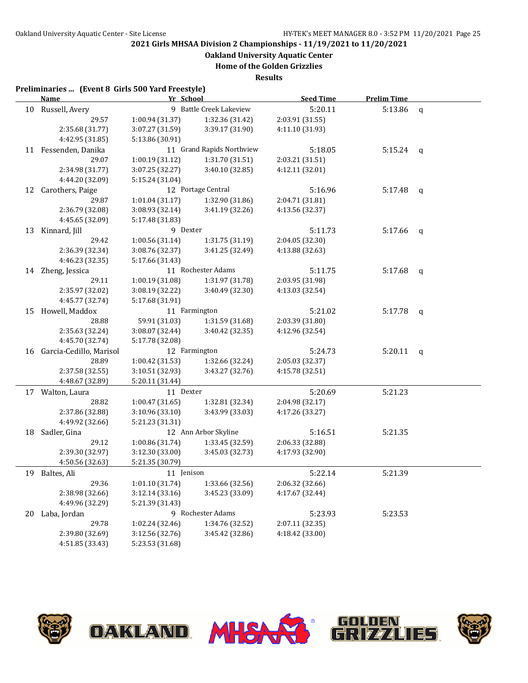**Oakland University Aquatic Center**

**Home of the Golden Grizzlies**

**Results**

### **Preliminaries ... (Event 8 Girls 500 Yard Freestyle)**

|    | <b>Name</b>             | Yr School       |                           | <b>Seed Time</b> | <b>Prelim Time</b> |   |
|----|-------------------------|-----------------|---------------------------|------------------|--------------------|---|
|    | 10 Russell, Avery       |                 | 9 Battle Creek Lakeview   | 5:20.11          | 5:13.86            | q |
|    | 29.57                   | 1:00.94 (31.37) | 1:32.36 (31.42)           | 2:03.91 (31.55)  |                    |   |
|    | 2:35.68 (31.77)         | 3:07.27 (31.59) | 3:39.17 (31.90)           | 4:11.10 (31.93)  |                    |   |
|    | 4:42.95 (31.85)         | 5:13.86 (30.91) |                           |                  |                    |   |
|    | 11 Fessenden, Danika    |                 | 11 Grand Rapids Northview | 5:18.05          | $5:15.24$ q        |   |
|    | 29.07                   | 1:00.19 (31.12) | 1:31.70 (31.51)           | 2:03.21 (31.51)  |                    |   |
|    | 2:34.98 (31.77)         | 3:07.25 (32.27) | 3:40.10 (32.85)           | 4:12.11 (32.01)  |                    |   |
|    | 4:44.20 (32.09)         | 5:15.24 (31.04) |                           |                  |                    |   |
| 12 | Carothers, Paige        |                 | 12 Portage Central        | 5:16.96          | 5:17.48            | q |
|    | 29.87                   | 1:01.04(31.17)  | 1:32.90 (31.86)           | 2:04.71 (31.81)  |                    |   |
|    | 2:36.79 (32.08)         | 3:08.93 (32.14) | 3:41.19 (32.26)           | 4:13.56 (32.37)  |                    |   |
|    | 4:45.65 (32.09)         | 5:17.48 (31.83) |                           |                  |                    |   |
|    | 13 Kinnard, Jill        | 9 Dexter        |                           | 5:11.73          | 5:17.66            | q |
|    | 29.42                   | 1:00.56 (31.14) | 1:31.75 (31.19)           | 2:04.05 (32.30)  |                    |   |
|    | 2:36.39 (32.34)         | 3:08.76 (32.37) | 3:41.25 (32.49)           | 4:13.88 (32.63)  |                    |   |
|    | 4:46.23 (32.35)         | 5:17.66 (31.43) |                           |                  |                    |   |
|    | 14 Zheng, Jessica       |                 | 11 Rochester Adams        | 5:11.75          | 5:17.68            | q |
|    | 29.11                   | 1:00.19 (31.08) | 1:31.97 (31.78)           | 2:03.95 (31.98)  |                    |   |
|    | 2:35.97 (32.02)         | 3:08.19 (32.22) | 3:40.49 (32.30)           | 4:13.03 (32.54)  |                    |   |
|    | 4:45.77 (32.74)         | 5:17.68 (31.91) |                           |                  |                    |   |
|    | 15 Howell, Maddox       | 11 Farmington   |                           | 5:21.02          | 5:17.78            | q |
|    | 28.88                   | 59.91 (31.03)   | 1:31.59 (31.68)           | 2:03.39 (31.80)  |                    |   |
|    | 2:35.63 (32.24)         | 3:08.07 (32.44) | 3:40.42 (32.35)           | 4:12.96 (32.54)  |                    |   |
|    | 4:45.70 (32.74)         | 5:17.78 (32.08) |                           |                  |                    |   |
| 16 | Garcia-Cedillo, Marisol | 12 Farmington   |                           | 5:24.73          | 5:20.11            | q |
|    | 28.89                   | 1:00.42 (31.53) | 1:32.66 (32.24)           | 2:05.03 (32.37)  |                    |   |
|    | 2:37.58 (32.55)         | 3:10.51 (32.93) | 3:43.27 (32.76)           | 4:15.78 (32.51)  |                    |   |
|    | 4:48.67 (32.89)         | 5:20.11 (31.44) |                           |                  |                    |   |
| 17 | Walton, Laura           | 11 Dexter       |                           | 5:20.69          | 5:21.23            |   |
|    | 28.82                   | 1:00.47(31.65)  | 1:32.81 (32.34)           | 2:04.98 (32.17)  |                    |   |
|    | 2:37.86 (32.88)         | 3:10.96(33.10)  | 3:43.99 (33.03)           | 4:17.26 (33.27)  |                    |   |
|    | 4:49.92 (32.66)         | 5:21.23 (31.31) |                           |                  |                    |   |
|    | 18 Sadler, Gina         |                 | 12 Ann Arbor Skyline      | 5:16.51          | 5:21.35            |   |
|    | 29.12                   | 1:00.86 (31.74) | 1:33.45 (32.59)           | 2:06.33 (32.88)  |                    |   |
|    | 2:39.30 (32.97)         | 3:12.30 (33.00) | 3:45.03 (32.73)           | 4:17.93 (32.90)  |                    |   |
|    | 4:50.56 (32.63)         | 5:21.35 (30.79) |                           |                  |                    |   |
|    | 19 Baltes, Ali          | 11 Jenison      |                           | 5:22.14          | 5:21.39            |   |
|    | 29.36                   | 1:01.10(31.74)  | 1:33.66 (32.56)           | 2:06.32 (32.66)  |                    |   |
|    | 2:38.98 (32.66)         | 3:12.14(33.16)  | 3:45.23 (33.09)           | 4:17.67 (32.44)  |                    |   |
|    | 4:49.96 (32.29)         | 5:21.39 (31.43) |                           |                  |                    |   |
| 20 | Laba, Jordan            |                 | 9 Rochester Adams         | 5:23.93          | 5:23.53            |   |
|    | 29.78                   | 1:02.24 (32.46) | 1:34.76 (32.52)           | 2:07.11 (32.35)  |                    |   |
|    | 2:39.80 (32.69)         | 3:12.56 (32.76) | 3:45.42 (32.86)           | 4:18.42 (33.00)  |                    |   |
|    | 4:51.85 (33.43)         | 5:23.53 (31.68) |                           |                  |                    |   |

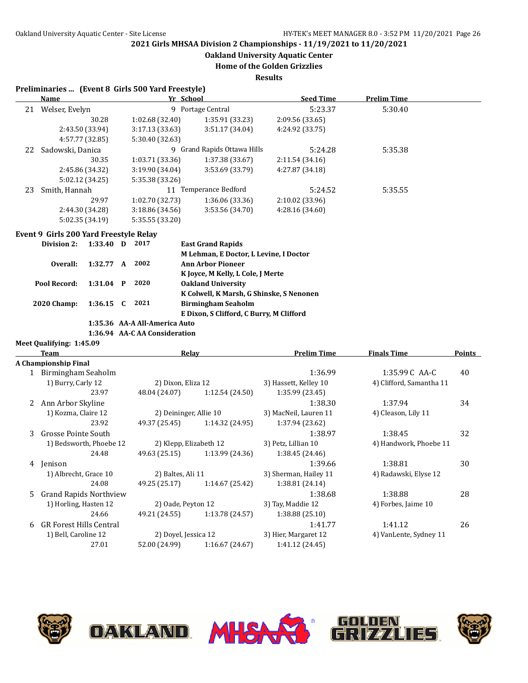**Oakland University Aquatic Center**

**Home of the Golden Grizzlies**

**Results**

## **Preliminaries ... (Event 8 Girls 500 Yard Freestyle)**

|    | Name             | Yr School         |                           | <b>Seed Time</b> | <b>Prelim Time</b> |  |  |
|----|------------------|-------------------|---------------------------|------------------|--------------------|--|--|
| 21 | Welser, Evelyn   | 9 Portage Central |                           | 5:23.37          | 5:30.40            |  |  |
|    | 30.28            | 1:02.68(32.40)    | 1:35.91(33.23)            | 2:09.56(33.65)   |                    |  |  |
|    | 2:43.50 (33.94)  | 3:17.13(33.63)    | 3:51.17(34.04)            | 4:24.92 (33.75)  |                    |  |  |
|    | 4:57.77 (32.85)  | 5:30.40 (32.63)   |                           |                  |                    |  |  |
| 22 | Sadowski, Danica | 9                 | Grand Rapids Ottawa Hills |                  | 5:35.38            |  |  |
|    | 30.35            | 1:03.71(33.36)    | 1:37.38(33.67)            | 2:11.54(34.16)   |                    |  |  |
|    | 2:45.86 (34.32)  | 3:19.90 (34.04)   | 3:53.69 (33.79)           | 4:27.87 (34.18)  |                    |  |  |
|    | 5:02.12(34.25)   | 5:35.38 (33.26)   |                           |                  |                    |  |  |
| 23 | Smith, Hannah    | 11                | Temperance Bedford        |                  | 5:35.55            |  |  |
|    | 29.97            | 1:02.70 (32.73)   | 1:36.06(33.36)            | 2:10.02 (33.96)  |                    |  |  |
|    | 2:44.30 (34.28)  | 3:18.86(34.56)    | 3:53.56 (34.70)           | 4:28.16 (34.60)  |                    |  |  |
|    | 5:02.35(34.19)   | 5:35.55 (33.20)   |                           |                  |                    |  |  |

#### **Event 9 Girls 200 Yard Freestyle Relay**

**Meet Qualifying: 1:45.09**

| Division 2:        | $1:33.40$ D | 2017                          | <b>East Grand Rapids</b>                 |
|--------------------|-------------|-------------------------------|------------------------------------------|
|                    |             |                               | M Lehman, E Doctor, L Levine, I Doctor   |
| Overall:           | 1:32.77 A   | 2002                          | <b>Ann Arbor Pioneer</b>                 |
|                    |             |                               | K Joyce, M Kelly, L Cole, J Merte        |
| Pool Record:       | 1:31.04 P   | 2020                          | <b>Oakland University</b>                |
|                    |             |                               | K Colwell, K Marsh, G Shinske, S Nenonen |
| <b>2020 Champ:</b> | $1:36.15$ C | 2021                          | <b>Birmingham Seaholm</b>                |
|                    |             |                               | E Dixon, S Clifford, C Burry, M Clifford |
|                    |             | 1:35.36 AA-A All-America Auto |                                          |
|                    |             |                               |                                          |

**1:36.94 AA-C AA Consideration**

|   | <b>Team</b>                                  | Relay                  |                 | <b>Prelim Time</b>    | <b>Finals Time</b>       | <b>Points</b> |
|---|----------------------------------------------|------------------------|-----------------|-----------------------|--------------------------|---------------|
|   | A Championship Final                         |                        |                 |                       |                          |               |
|   | 1 Birmingham Seaholm                         |                        |                 | 1:36.99               | 1:35.99 C AA-C           | 40            |
|   | 1) Burry, Carly 12                           | 2) Dixon, Eliza 12     |                 | 3) Hassett, Kelley 10 | 4) Clifford, Samantha 11 |               |
|   | 23.97                                        | 48.04 (24.07)          | 1:12.54(24.50)  | 1:35.99 (23.45)       |                          |               |
|   | 2 Ann Arbor Skyline                          |                        |                 | 1:38.30               | 1:37.94                  | 34            |
|   | 1) Kozma, Claire 12                          | 2) Deininger, Allie 10 |                 | 3) MacNeil, Lauren 11 | 4) Cleason, Lily 11      |               |
|   | 23.92                                        | 49.37 (25.45)          | 1:14.32 (24.95) | 1:37.94 (23.62)       |                          |               |
| 3 | Grosse Pointe South                          |                        |                 | 1:38.97               | 1:38.45                  | 32            |
|   | 1) Bedsworth, Phoebe 12                      | 2) Klepp, Elizabeth 12 |                 | 3) Petz, Lillian 10   | 4) Handwork, Phoebe 11   |               |
|   | 24.48                                        | 49.63 (25.15)          | 1:13.99 (24.36) | 1:38.45 (24.46)       |                          |               |
| 4 | Jenison                                      |                        |                 | 1:39.66               | 1:38.81                  | 30            |
|   | 1) Albrecht, Grace 10                        | 2) Baltes, Ali 11      |                 | 3) Sherman, Hailey 11 | 4) Radawski, Elyse 12    |               |
|   | 24.08                                        | 49.25 (25.17)          | 1:14.67(25.42)  | 1:38.81(24.14)        |                          |               |
| 5 | <b>Grand Rapids Northview</b>                |                        |                 | 1:38.68               | 1:38.88                  | 28            |
|   | 1) Horling, Hasten 12                        | 2) Oade, Peyton 12     |                 | 3) Tay, Maddie 12     | 4) Forbes, Jaime 10      |               |
|   | 24.66                                        | 49.21 (24.55)          | 1:13.78 (24.57) | 1:38.88(25.10)        |                          |               |
| 6 | <b>GR Forest Hills Central</b>               |                        |                 | 1:41.77               | 1:41.12                  | 26            |
|   | 1) Bell, Caroline 12<br>2) Doyel, Jessica 12 |                        |                 | 3) Hier, Margaret 12  | 4) VanLente, Sydney 11   |               |
|   | 27.01                                        | 52.00 (24.99)          | 1:16.67(24.67)  | 1:41.12 (24.45)       |                          |               |

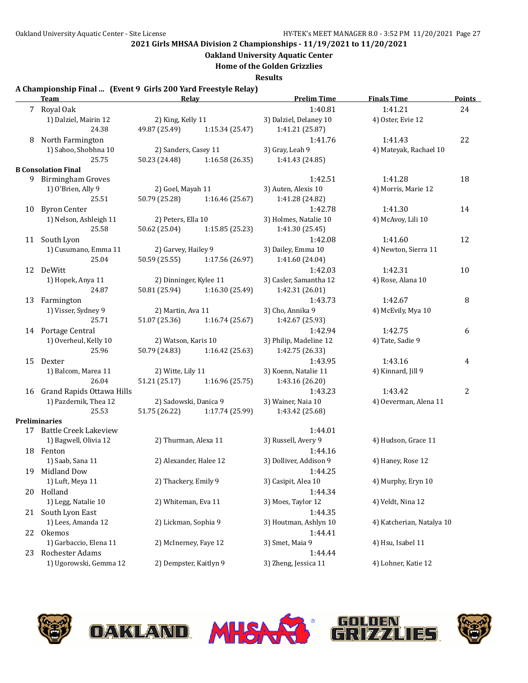**Oakland University Aquatic Center**

**Home of the Golden Grizzlies**

**Results**

### **A Championship Final ... (Event 9 Girls 200 Yard Freestyle Relay)**

|    | <b>Team</b>                  | Relay                  |                               | <b>Prelim Time</b>     | <b>Finals Time</b>        | <b>Points</b> |
|----|------------------------------|------------------------|-------------------------------|------------------------|---------------------------|---------------|
|    | 7 Royal Oak                  |                        |                               | 1:40.81                | 1:41.21                   | 24            |
|    | 1) Dalziel, Mairin 12        | 2) King, Kelly 11      |                               | 3) Dalziel, Delaney 10 | 4) Oster, Evie 12         |               |
|    | 24.38                        | 49.87 (25.49)          | 1:15.34 (25.47)               | 1:41.21 (25.87)        |                           |               |
| 8  | North Farmington             |                        |                               | 1:41.76                | 1:41.43                   | 22            |
|    | 1) Sahoo, Shobhna 10         | 2) Sanders, Casey 11   |                               | 3) Gray, Leah 9        | 4) Mateyak, Rachael 10    |               |
|    | 25.75                        | 50.23 (24.48)          | 1:16.58 (26.35)               | 1:41.43 (24.85)        |                           |               |
|    | <b>B</b> Consolation Final   |                        |                               |                        |                           |               |
|    | 9 Birmingham Groves          |                        |                               | 1:42.51                | 1:41.28                   | 18            |
|    | 1) O'Brien, Ally 9           | 2) Goel, Mayah 11      |                               | 3) Auten, Alexis 10    | 4) Morris, Marie 12       |               |
|    | 25.51                        | 50.79 (25.28)          | 1:16.46 (25.67)               | 1:41.28 (24.82)        |                           |               |
|    | 10 Byron Center              |                        |                               | 1:42.78                | 1:41.30                   | 14            |
|    | 1) Nelson, Ashleigh 11       | 2) Peters, Ella 10     |                               | 3) Holmes, Natalie 10  | 4) McAvoy, Lili 10        |               |
|    | 25.58                        | 50.62 (25.04)          | 1:15.85(25.23)                | 1:41.30 (25.45)        |                           |               |
|    | 11 South Lyon                |                        |                               | 1:42.08                | 1:41.60                   | 12            |
|    | 1) Cusumano, Emma 11         | 2) Garvey, Hailey 9    |                               | 3) Dailey, Emma 10     | 4) Newton, Sierra 11      |               |
|    | 25.04                        |                        | 50.59 (25.55) 1:17.56 (26.97) | 1:41.60 (24.04)        |                           |               |
|    | 12 DeWitt                    |                        |                               | 1:42.03                | 1:42.31                   | 10            |
|    | 1) Hopek, Anya 11            | 2) Dinninger, Kylee 11 |                               | 3) Casler, Samantha 12 | 4) Rose, Alana 10         |               |
|    | 24.87                        | 50.81 (25.94)          | 1:16.30 (25.49)               | 1:42.31 (26.01)        |                           |               |
|    | 13 Farmington                |                        |                               | 1:43.73                | 1:42.67                   | 8             |
|    | 1) Visser, Sydney 9          | 2) Martin, Ava 11      |                               | 3) Cho, Annika 9       | 4) McEvily, Mya 10        |               |
|    | 25.71                        | 51.07 (25.36)          | 1:16.74(25.67)                | 1:42.67 (25.93)        |                           |               |
|    | 14 Portage Central           |                        |                               | 1:42.94                | 1:42.75                   | 6             |
|    | 1) Overheul, Kelly 10        | 2) Watson, Karis 10    |                               | 3) Philip, Madeline 12 | 4) Tate, Sadie 9          |               |
|    | 25.96                        | 50.79 (24.83)          | 1:16.42 (25.63)               | 1:42.75 (26.33)        |                           |               |
|    | 15 Dexter                    |                        |                               | 1:43.95                | 1:43.16                   | 4             |
|    | 1) Balcom, Marea 11          | 2) Witte, Lily 11      |                               | 3) Koenn, Natalie 11   | 4) Kinnard, Jill 9        |               |
|    | 26.04                        | 51.21 (25.17)          | 1:16.96 (25.75)               | 1:43.16 (26.20)        |                           |               |
|    | 16 Grand Rapids Ottawa Hills |                        |                               | 1:43.23                | 1:43.42                   | 2             |
|    | 1) Pazdernik, Thea 12        | 2) Sadowski, Danica 9  |                               | 3) Wainer, Naia 10     | 4) Oeverman, Alena 11     |               |
|    | 25.53                        | 51.75 (26.22)          | 1:17.74 (25.99)               | 1:43.42 (25.68)        |                           |               |
|    | Preliminaries                |                        |                               |                        |                           |               |
|    | 17 Battle Creek Lakeview     |                        |                               | 1:44.01                |                           |               |
|    | 1) Bagwell, Olivia 12        | 2) Thurman, Alexa 11   |                               | 3) Russell, Avery 9    | 4) Hudson, Grace 11       |               |
|    | 18 Fenton                    |                        |                               | 1:44.16                |                           |               |
|    | 1) Saab, Sana 11             | 2) Alexander, Halee 12 |                               | 3) Dolliver, Addison 9 | 4) Haney, Rose 12         |               |
|    | 19 Midland Dow               |                        |                               | 1:44.25                |                           |               |
|    | 1) Luft, Meya 11             | 2) Thackery, Emily 9   |                               | 3) Casipit, Alea 10    | 4) Murphy, Eryn 10        |               |
|    | 20 Holland                   |                        |                               | 1:44.34                |                           |               |
|    | 1) Legg, Natalie 10          | 2) Whiteman, Eva 11    |                               | 3) Moes, Taylor 12     | 4) Veldt, Nina 12         |               |
|    | 21 South Lyon East           |                        |                               | 1:44.35                |                           |               |
|    | 1) Lees, Amanda 12           | 2) Lickman, Sophia 9   |                               | 3) Houtman, Ashlyn 10  | 4) Katcherian, Natalya 10 |               |
|    | 22 Okemos                    |                        |                               | 1:44.41                |                           |               |
|    | 1) Garbaccio, Elena 11       | 2) McInerney, Faye 12  |                               | 3) Smet, Maia 9        | 4) Hsu, Isabel 11         |               |
| 23 | Rochester Adams              |                        |                               | 1:44.44                |                           |               |
|    | 1) Ugorowski, Gemma 12       | 2) Dempster, Kaitlyn 9 |                               | 3) Zheng, Jessica 11   | 4) Lohner, Katie 12       |               |
|    |                              |                        |                               |                        |                           |               |









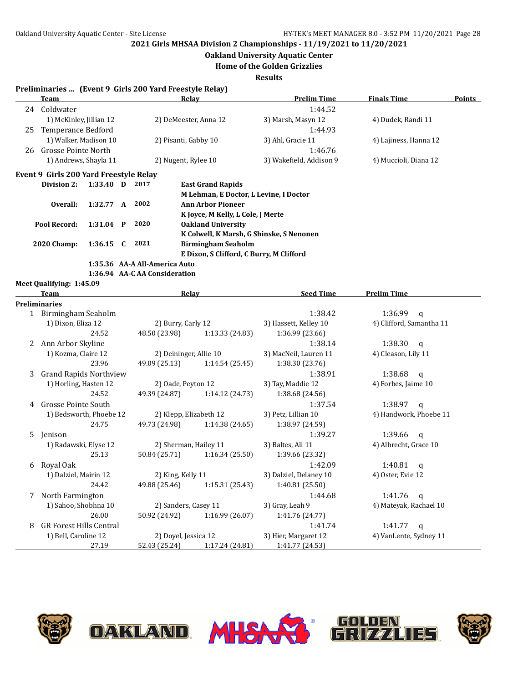**Oakland University Aquatic Center**

**Home of the Golden Grizzlies**

**Results**

| Preliminaries  (Event 9 Girls 200 Yard Freestyle Relay) |  |  |  |  |  |
|---------------------------------------------------------|--|--|--|--|--|
|---------------------------------------------------------|--|--|--|--|--|

|                             | <u>Team</u>                                         |                                                   |                        |                                          | Relav                                    | <b>Prelim Time</b>     | <b>Finals Time</b>                 | <b>Points</b> |
|-----------------------------|-----------------------------------------------------|---------------------------------------------------|------------------------|------------------------------------------|------------------------------------------|------------------------|------------------------------------|---------------|
|                             | 24 Coldwater                                        |                                                   |                        |                                          |                                          | 1:44.52                |                                    |               |
|                             | 1) McKinley, Jillian 12                             |                                                   |                        |                                          | 2) DeMeester, Anna 12                    | 3) Marsh, Masyn 12     | 4) Dudek, Randi 11                 |               |
| 25                          | Temperance Bedford                                  |                                                   |                        |                                          |                                          | 1:44.93                |                                    |               |
|                             | 1) Walker, Madison 10                               |                                                   |                        | 2) Pisanti, Gabby 10                     |                                          | 3) Ahl, Gracie 11      | 4) Lajiness, Hanna 12              |               |
| 26                          | <b>Grosse Pointe North</b><br>1) Andrews, Shayla 11 |                                                   |                        |                                          |                                          | 1:46.76                |                                    |               |
|                             |                                                     |                                                   | 2) Nugent, Rylee 10    |                                          | 3) Wakefield, Addison 9                  | 4) Muccioli, Diana 12  |                                    |               |
|                             | Event 9 Girls 200 Yard Freestyle Relay              |                                                   |                        |                                          |                                          |                        |                                    |               |
|                             | Division 2:                                         | $1:33.40$ D                                       |                        | 2017                                     | <b>East Grand Rapids</b>                 |                        |                                    |               |
|                             |                                                     |                                                   |                        |                                          | M Lehman, E Doctor, L Levine, I Doctor   |                        |                                    |               |
|                             | Overall:<br>1:32.77 A                               |                                                   |                        | 2002                                     | <b>Ann Arbor Pioneer</b>                 |                        |                                    |               |
|                             |                                                     |                                                   |                        |                                          | K Joyce, M Kelly, L Cole, J Merte        |                        |                                    |               |
| Pool Record:<br>$1:31.04$ P |                                                     |                                                   | 2020                   | <b>Oakland University</b>                |                                          |                        |                                    |               |
|                             |                                                     |                                                   |                        | K Colwell, K Marsh, G Shinske, S Nenonen |                                          |                        |                                    |               |
|                             | <b>2020 Champ:</b><br>1:36.15                       |                                                   | C                      | 2021                                     | <b>Birmingham Seaholm</b>                |                        |                                    |               |
|                             |                                                     |                                                   |                        |                                          | E Dixon, S Clifford, C Burry, M Clifford |                        |                                    |               |
|                             |                                                     |                                                   |                        | 1:35.36 AA-A All-America Auto            |                                          |                        |                                    |               |
|                             |                                                     |                                                   |                        | 1:36.94 AA-CAA Consideration             |                                          |                        |                                    |               |
|                             | Meet Qualifying: 1:45.09                            |                                                   |                        |                                          |                                          |                        |                                    |               |
|                             | Team                                                |                                                   |                        |                                          | Relay                                    | <b>Seed Time</b>       | <b>Prelim Time</b>                 |               |
|                             | <b>Preliminaries</b>                                |                                                   |                        |                                          |                                          |                        |                                    |               |
|                             | 1 Birmingham Seaholm                                |                                                   |                        |                                          |                                          | 1:38.42                | 1:36.99<br>$\mathbf{q}$            |               |
|                             | 1) Dixon, Eliza 12                                  |                                                   |                        | 2) Burry, Carly 12                       |                                          | 3) Hassett, Kelley 10  | 4) Clifford, Samantha 11           |               |
|                             | 24.52                                               |                                                   | 48.50 (23.98)          | 1:13.33 (24.83)                          | 1:36.99 (23.66)                          |                        |                                    |               |
|                             | 2 Ann Arbor Skyline                                 |                                                   |                        |                                          |                                          | 1:38.14                | 1:38.30<br>$\mathbf q$             |               |
|                             | 1) Kozma, Claire 12                                 |                                                   | 2) Deininger, Allie 10 |                                          | 3) MacNeil, Lauren 11                    | 4) Cleason, Lily 11    |                                    |               |
|                             |                                                     | 23.96                                             |                        | 49.09 (25.13)                            | 1:14.54 (25.45)                          | 1:38.30 (23.76)        |                                    |               |
| 3                           | <b>Grand Rapids Northview</b>                       |                                                   |                        |                                          |                                          | 1:38.91                | 1:38.68<br>q                       |               |
|                             | 1) Horling, Hasten 12                               |                                                   |                        | 2) Oade, Peyton 12                       |                                          | 3) Tay, Maddie 12      | 4) Forbes, Jaime 10                |               |
|                             |                                                     | 24.52                                             |                        | 49.39 (24.87)                            | 1:14.12 (24.73)                          | 1:38.68 (24.56)        |                                    |               |
| 4                           | Grosse Pointe South                                 |                                                   |                        |                                          |                                          | 1:37.54                | 1:38.97<br>$\mathsf{q}$            |               |
|                             |                                                     | 1) Bedsworth, Phoebe 12<br>2) Klepp, Elizabeth 12 |                        |                                          | 3) Petz, Lillian 10                      | 4) Handwork, Phoebe 11 |                                    |               |
|                             |                                                     | 24.75                                             |                        | 49.73 (24.98)                            | 1:14.38 (24.65)                          | 1:38.97 (24.59)        |                                    |               |
| 5                           | Jenison                                             |                                                   |                        |                                          |                                          | 1:39.27                | 1:39.66<br>$\mathbf q$             |               |
|                             | 1) Radawski, Elyse 12                               |                                                   |                        |                                          | 2) Sherman, Hailey 11                    | 3) Baltes, Ali 11      | 4) Albrecht, Grace 10              |               |
|                             |                                                     | 25.13                                             |                        | 50.84 (25.71)                            | 1:16.34(25.50)                           | 1:39.66 (23.32)        |                                    |               |
| 6                           | Royal Oak                                           |                                                   |                        |                                          |                                          | 1:42.09                | 1:40.81<br>q                       |               |
|                             | 1) Dalziel, Mairin 12                               |                                                   |                        | 2) King, Kelly 11                        |                                          | 3) Dalziel, Delaney 10 | 4) Oster, Evie 12                  |               |
|                             |                                                     | 24.42                                             |                        | 49.88 (25.46)                            | 1:15.31 (25.43)                          | 1:40.81 (25.50)        |                                    |               |
| 7                           | North Farmington                                    |                                                   |                        |                                          |                                          |                        | 1:41.76<br>1:44.68<br>$\mathsf{q}$ |               |
|                             | 1) Sahoo, Shobhna 10                                |                                                   |                        | 2) Sanders, Casey 11                     |                                          | 3) Gray, Leah 9        | 4) Mateyak, Rachael 10             |               |
|                             |                                                     | 26.00                                             |                        | 50.92 (24.92)                            | 1:16.99 (26.07)                          | 1:41.76 (24.77)        |                                    |               |
| 8                           | <b>GR Forest Hills Central</b>                      |                                                   |                        |                                          |                                          | 1:41.74                | 1:41.77<br>q                       |               |
|                             | 1) Bell, Caroline 12                                |                                                   |                        | 2) Doyel, Jessica 12                     |                                          | 3) Hier, Margaret 12   | 4) VanLente, Sydney 11             |               |
|                             |                                                     | 27.19                                             |                        |                                          | 52.43 (25.24) 1:17.24 (24.81)            | 1:41.77 (24.53)        |                                    |               |

**OAKLAND MHSAX** 





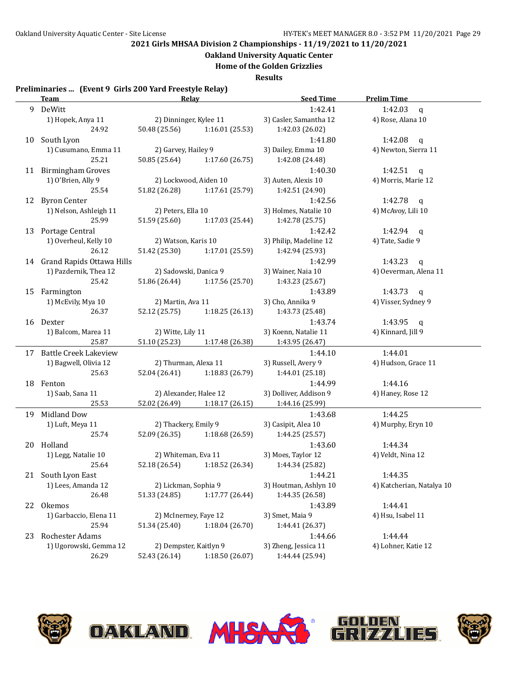**Oakland University Aquatic Center**

**Home of the Golden Grizzlies**

**Results**

#### **Preliminaries ... (Event 9 Girls 200 Yard Freestyle Relay)**

|    | <b>Team</b>                  | Relay                            | <b>Seed Time</b>       | <b>Prelim Time</b>        |  |  |
|----|------------------------------|----------------------------------|------------------------|---------------------------|--|--|
|    | 9 DeWitt                     |                                  | 1:42.41                | 1:42.03<br>$\mathbf{q}$   |  |  |
|    | 1) Hopek, Anya 11            | 2) Dinninger, Kylee 11           | 3) Casler, Samantha 12 | 4) Rose, Alana 10         |  |  |
|    | 24.92                        | 50.48 (25.56)<br>1:16.01 (25.53) | 1:42.03 (26.02)        |                           |  |  |
|    | 10 South Lyon                |                                  | 1:41.80                | 1:42.08<br>q              |  |  |
|    | 1) Cusumano, Emma 11         | 2) Garvey, Hailey 9              | 3) Dailey, Emma 10     | 4) Newton, Sierra 11      |  |  |
|    | 25.21                        | 50.85 (25.64)<br>1:17.60 (26.75) | 1:42.08 (24.48)        |                           |  |  |
|    | 11 Birmingham Groves         |                                  | 1:40.30                | 1:42.51<br>q              |  |  |
|    | 1) O'Brien, Ally 9           | 2) Lockwood, Aiden 10            | 3) Auten, Alexis 10    | 4) Morris, Marie 12       |  |  |
|    | 25.54                        | 51.82 (26.28)<br>1:17.61 (25.79) | 1:42.51 (24.90)        |                           |  |  |
|    | 12 Byron Center              |                                  | 1:42.56                | 1:42.78 $q$               |  |  |
|    | 1) Nelson, Ashleigh 11       | 2) Peters, Ella 10               | 3) Holmes, Natalie 10  | 4) McAvoy, Lili 10        |  |  |
|    | 25.99                        | 51.59 (25.60)<br>1:17.03 (25.44) | 1:42.78 (25.75)        |                           |  |  |
|    | 13 Portage Central           |                                  | 1:42.42                | 1:42.94<br>$\mathsf{q}$   |  |  |
|    | 1) Overheul, Kelly 10        | 2) Watson, Karis 10              | 3) Philip, Madeline 12 | 4) Tate, Sadie 9          |  |  |
|    | 26.12                        | 1:17.01 (25.59)<br>51.42 (25.30) | 1:42.94 (25.93)        |                           |  |  |
|    | 14 Grand Rapids Ottawa Hills |                                  | 1:42.99                | 1:43.23<br>$\mathbf q$    |  |  |
|    | 1) Pazdernik, Thea 12        | 2) Sadowski, Danica 9            | 3) Wainer, Naia 10     | 4) Oeverman, Alena 11     |  |  |
|    | 25.42                        | 51.86 (26.44)<br>1:17.56 (25.70) | 1:43.23 (25.67)        |                           |  |  |
| 15 | Farmington                   |                                  | 1:43.89                | 1:43.73<br>$\mathbf q$    |  |  |
|    | 1) McEvily, Mya 10           | 2) Martin, Ava 11                | 3) Cho, Annika 9       | 4) Visser, Sydney 9       |  |  |
|    | 26.37                        | 52.12 (25.75)<br>1:18.25(26.13)  | 1:43.73 (25.48)        |                           |  |  |
|    | 16 Dexter                    |                                  | 1:43.74                | 1:43.95<br>$\mathbf{q}$   |  |  |
|    | 1) Balcom, Marea 11          | 2) Witte, Lily 11                | 3) Koenn, Natalie 11   | 4) Kinnard, Jill 9        |  |  |
|    | 25.87                        | 51.10 (25.23)<br>1:17.48 (26.38) | 1:43.95 (26.47)        |                           |  |  |
|    | 17 Battle Creek Lakeview     |                                  | 1:44.10                | 1:44.01                   |  |  |
|    | 1) Bagwell, Olivia 12        | 2) Thurman, Alexa 11             | 3) Russell, Avery 9    | 4) Hudson, Grace 11       |  |  |
|    | 25.63                        | 52.04 (26.41) 1:18.83 (26.79)    | 1:44.01 (25.18)        |                           |  |  |
|    | 18 Fenton                    |                                  | 1:44.99                | 1:44.16                   |  |  |
|    | 1) Saab, Sana 11             | 2) Alexander, Halee 12           | 3) Dolliver, Addison 9 | 4) Haney, Rose 12         |  |  |
|    | 25.53                        | 52.02 (26.49) 1:18.17 (26.15)    | 1:44.16 (25.99)        |                           |  |  |
|    | 19 Midland Dow               |                                  | 1:43.68                | 1:44.25                   |  |  |
|    | 1) Luft, Meya 11             | 2) Thackery, Emily 9             | 3) Casipit, Alea 10    | 4) Murphy, Eryn 10        |  |  |
|    | 25.74                        | 52.09 (26.35) 1:18.68 (26.59)    | 1:44.25 (25.57)        |                           |  |  |
|    | 20 Holland                   |                                  | 1:43.60                | 1:44.34                   |  |  |
|    | 1) Legg, Natalie 10          | 2) Whiteman, Eva 11              | 3) Moes, Taylor 12     | 4) Veldt, Nina 12         |  |  |
|    | 25.64                        | 52.18 (26.54)<br>1:18.52 (26.34) | 1:44.34 (25.82)        |                           |  |  |
|    | 21 South Lyon East           |                                  | 1:44.21                | 1:44.35                   |  |  |
|    | 1) Lees, Amanda 12           | 2) Lickman, Sophia 9             | 3) Houtman, Ashlyn 10  | 4) Katcherian, Natalya 10 |  |  |
|    | 26.48                        | 51.33 (24.85)<br>1:17.77 (26.44) | 1:44.35 (26.58)        |                           |  |  |
| 22 | Okemos                       |                                  | 1:43.89                | 1:44.41                   |  |  |
|    | 1) Garbaccio, Elena 11       | 2) McInerney, Faye 12            | 3) Smet, Maia 9        | 4) Hsu, Isabel 11         |  |  |
|    | 25.94                        | 51.34 (25.40)<br>1:18.04(26.70)  | 1:44.41 (26.37)        |                           |  |  |
| 23 | Rochester Adams              |                                  | 1:44.66                | 1:44.44                   |  |  |
|    | 1) Ugorowski, Gemma 12       | 2) Dempster, Kaitlyn 9           | 3) Zheng, Jessica 11   | 4) Lohner, Katie 12       |  |  |
|    | 26.29                        | 1:18.50 (26.07)<br>52.43 (26.14) | 1:44.44 (25.94)        |                           |  |  |









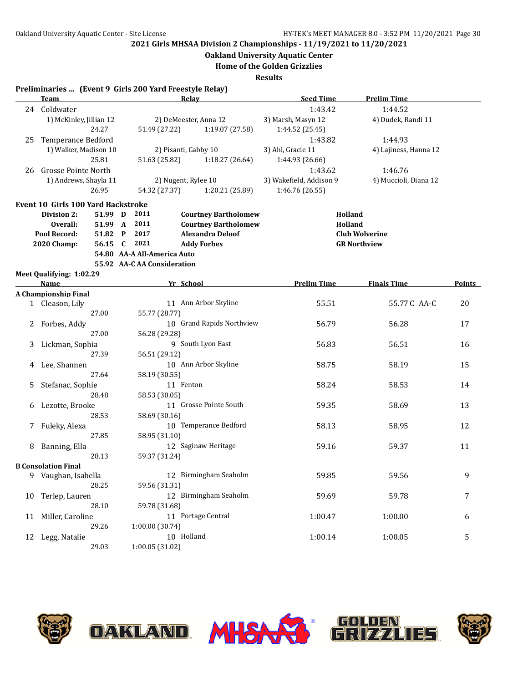**Oakland University Aquatic Center**

**Home of the Golden Grizzlies**

|                     | Preliminaries  (Event 9 Girls 200 Yard Freestyle Relay) |         |      |                             |                             |                         |                       |        |
|---------------------|---------------------------------------------------------|---------|------|-----------------------------|-----------------------------|-------------------------|-----------------------|--------|
|                     | Team                                                    |         |      |                             | Relay                       | <b>Seed Time</b>        | <b>Prelim Time</b>    |        |
|                     | 24 Coldwater                                            |         |      |                             |                             | 1:43.42                 | 1:44.52               |        |
|                     | 1) McKinley, Jillian 12                                 |         |      |                             | 2) DeMeester, Anna 12       | 3) Marsh, Masyn 12      | 4) Dudek, Randi 11    |        |
|                     |                                                         | 24.27   |      | 51.49 (27.22)               | 1:19.07 (27.58)             | 1:44.52 (25.45)         |                       |        |
| 25                  | Temperance Bedford                                      |         |      |                             |                             | 1:43.82                 | 1:44.93               |        |
|                     | 1) Walker, Madison 10                                   |         |      |                             | 2) Pisanti, Gabby 10        | 3) Ahl, Gracie 11       | 4) Lajiness, Hanna 12 |        |
|                     |                                                         | 25.81   |      | 51.63 (25.82)               | 1:18.27(26.64)              | 1:44.93 (26.66)         |                       |        |
| 26                  | Grosse Pointe North                                     |         |      |                             |                             | 1:43.62                 | 1:46.76               |        |
|                     | 1) Andrews, Shayla 11                                   |         |      |                             | 2) Nugent, Rylee 10         | 3) Wakefield, Addison 9 | 4) Muccioli, Diana 12 |        |
|                     |                                                         | 26.95   |      | 54.32 (27.37)               | 1:20.21 (25.89)             | 1:46.76 (26.55)         |                       |        |
|                     | Event 10 Girls 100 Yard Backstroke                      |         |      |                             |                             |                         |                       |        |
|                     | Division 2:                                             | 51.99 D | 2011 |                             | <b>Courtney Bartholomew</b> |                         | Holland               |        |
| Overall:<br>51.99 A |                                                         |         | 2011 |                             | <b>Courtney Bartholomew</b> |                         | Holland               |        |
|                     | Pool Record:                                            | 51.82 P | 2017 |                             | <b>Alexandra Deloof</b>     |                         | <b>Club Wolverine</b> |        |
|                     | <b>2020 Champ:</b>                                      | 56.15 C | 2021 |                             | <b>Addy Forbes</b>          |                         | <b>GR Northview</b>   |        |
|                     |                                                         |         |      | 54.80 AA-A All-America Auto |                             |                         |                       |        |
|                     |                                                         |         |      | 55.92 AA-C AA Consideration |                             |                         |                       |        |
|                     | Meet Qualifying: 1:02.29                                |         |      |                             |                             |                         |                       |        |
|                     | Name                                                    |         |      |                             | Yr School                   | <b>Prelim Time</b>      | <b>Finals Time</b>    | Points |
|                     | <b>A Championship Final</b>                             |         |      |                             |                             |                         |                       |        |
|                     | 1 Cleason, Lily                                         |         |      |                             | 11 Ann Arbor Skyline        | 55.51                   | 55.77 C AA-C          | 20     |
|                     |                                                         | 27.00   |      | 55.77 (28.77)               |                             |                         |                       |        |
| 2                   | Forbes, Addy                                            |         |      |                             | 10 Grand Rapids Northview   | 56.79                   | 56.28                 | 17     |
|                     |                                                         | 27.00   |      | 56.28 (29.28)               |                             |                         |                       |        |
| 3                   | Lickman, Sophia                                         |         |      |                             | 9 South Lyon East           | 56.83                   | 56.51                 | 16     |
|                     |                                                         | 27.39   |      | 56.51 (29.12)               |                             |                         |                       |        |
| 4                   | Lee, Shannen                                            |         |      |                             | 10 Ann Arbor Skyline        | 58.75                   | 58.19                 | 15     |
|                     |                                                         | 27.64   |      | 58.19 (30.55)               |                             |                         |                       |        |
| 5.                  | Stefanac, Sophie                                        |         |      |                             | 11 Fenton                   | 58.24                   | 58.53                 | 14     |
|                     |                                                         | 28.48   |      | 58.53 (30.05)               |                             |                         |                       |        |
| 6                   | Lezotte, Brooke                                         |         |      |                             | 11 Grosse Pointe South      | 59.35                   | 58.69                 | 13     |
|                     |                                                         | 28.53   |      | 58.69 (30.16)               |                             |                         |                       |        |
| 7                   | Fuleky, Alexa                                           |         |      |                             | 10 Temperance Bedford       | 58.13                   | 58.95                 | 12     |
|                     |                                                         | 27.85   |      | 58.95 (31.10)               |                             |                         |                       |        |
| 8                   | Banning, Ella                                           |         |      |                             | 12 Saginaw Heritage         | 59.16                   | 59.37                 | 11     |
|                     |                                                         | 28.13   |      | 59.37 (31.24)               |                             |                         |                       |        |
|                     | <b>B</b> Consolation Final                              |         |      |                             |                             |                         |                       |        |
| 9.                  | Vaughan, Isabella                                       |         |      |                             | 12 Birmingham Seaholm       | 59.85                   | 59.56                 | 9      |
|                     |                                                         | 28.25   |      | 59.56 (31.31)               |                             |                         |                       |        |
| 10                  | Terlep, Lauren                                          |         |      |                             | 12 Birmingham Seaholm       | 59.69                   | 59.78                 | 7      |
|                     |                                                         | 28.10   |      | 59.78 (31.68)               |                             |                         |                       |        |
| 11                  | Miller, Caroline                                        |         |      |                             | 11 Portage Central          | 1:00.47                 | 1:00.00               | 6      |
|                     |                                                         | 29.26   |      | 1:00.00 (30.74)             |                             |                         |                       |        |
|                     | 12 Legg, Natalie                                        |         |      |                             | 10 Holland                  | 1:00.14                 | 1:00.05               | 5      |
|                     |                                                         | 29.03   |      | 1:00.05(31.02)              |                             |                         |                       |        |







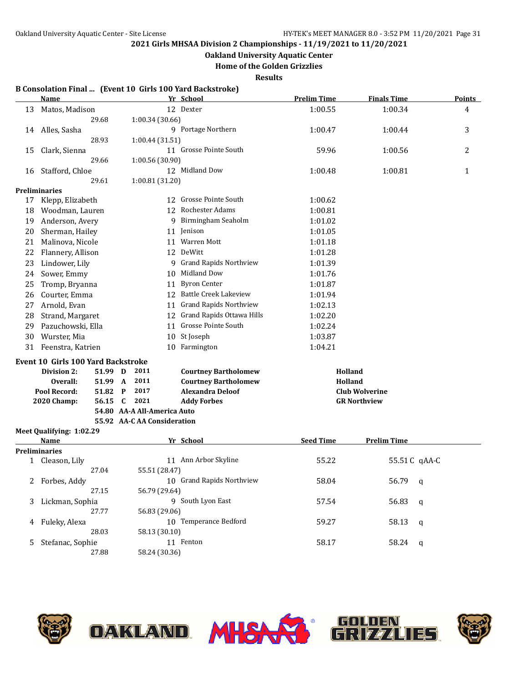**Oakland University Aquatic Center**

**Home of the Golden Grizzlies**

**Results**

### **B Consolation Final ... (Event 10 Girls 100 Yard Backstroke)**

|    | Name                                      |              |                             | Yr School                     | <b>Prelim Time</b> | <b>Finals Time</b>    | <b>Points</b> |
|----|-------------------------------------------|--------------|-----------------------------|-------------------------------|--------------------|-----------------------|---------------|
| 13 | Matos, Madison                            |              |                             | 12 Dexter                     | 1:00.55            | 1:00.34               | 4             |
|    | 29.68                                     |              | 1:00.34 (30.66)             |                               |                    |                       |               |
|    | 14 Alles, Sasha                           |              |                             | 9 Portage Northern            | 1:00.47            | 1:00.44               | 3             |
|    | 28.93                                     |              | 1:00.44 (31.51)             |                               |                    |                       |               |
| 15 | Clark, Sienna                             |              |                             | 11 Grosse Pointe South        | 59.96              | 1:00.56               | 2             |
|    | 29.66                                     |              | 1:00.56 (30.90)             |                               |                    |                       |               |
| 16 | Stafford, Chloe                           |              |                             | 12 Midland Dow                | 1:00.48            | 1:00.81               | $\mathbf{1}$  |
|    | 29.61                                     |              | 1:00.81 (31.20)             |                               |                    |                       |               |
|    | <b>Preliminaries</b>                      |              |                             |                               |                    |                       |               |
| 17 | Klepp, Elizabeth                          |              |                             | 12 Grosse Pointe South        | 1:00.62            |                       |               |
| 18 | Woodman, Lauren                           |              |                             | 12 Rochester Adams            | 1:00.81            |                       |               |
| 19 | Anderson, Avery                           |              | 9                           | Birmingham Seaholm            | 1:01.02            |                       |               |
| 20 | Sherman, Hailey                           |              |                             | 11 Jenison                    | 1:01.05            |                       |               |
| 21 | Malinova, Nicole                          |              |                             | 11 Warren Mott                | 1:01.18            |                       |               |
| 22 | Flannery, Allison                         |              |                             | 12 DeWitt                     | 1:01.28            |                       |               |
| 23 | Lindower, Lily                            |              |                             | 9 Grand Rapids Northview      | 1:01.39            |                       |               |
| 24 | Sower, Emmy                               |              | 10                          | Midland Dow                   | 1:01.76            |                       |               |
| 25 | Tromp, Bryanna                            |              | 11                          | <b>Byron Center</b>           | 1:01.87            |                       |               |
| 26 | Courter, Emma                             |              |                             | 12 Battle Creek Lakeview      | 1:01.94            |                       |               |
| 27 | Arnold, Evan                              |              | 11                          | <b>Grand Rapids Northview</b> | 1:02.13            |                       |               |
| 28 | Strand, Margaret                          |              |                             | 12 Grand Rapids Ottawa Hills  | 1:02.20            |                       |               |
| 29 | Pazuchowski, Ella                         |              | 11                          | <b>Grosse Pointe South</b>    | 1:02.24            |                       |               |
| 30 | Wurster, Mia                              |              | 10                          | St Joseph                     | 1:03.87            |                       |               |
| 31 | Feenstra, Katrien                         |              |                             | 10 Farmington                 | 1:04.21            |                       |               |
|    | <b>Event 10 Girls 100 Yard Backstroke</b> |              |                             |                               |                    |                       |               |
|    | Division 2:<br>51.99 D                    |              | 2011                        | <b>Courtney Bartholomew</b>   | Holland            |                       |               |
|    | <b>Overall:</b><br>51.99 A                |              | 2011                        | <b>Courtney Bartholomew</b>   | Holland            |                       |               |
|    | Pool Record:<br>51.82                     | $\mathbf{P}$ | 2017                        | <b>Alexandra Deloof</b>       |                    | <b>Club Wolverine</b> |               |
|    | 2020 Champ:<br>56.15                      | C            | 2021                        | <b>Addy Forbes</b>            |                    | <b>GR Northview</b>   |               |
|    |                                           |              | 54.80 AA-A All-America Auto |                               |                    |                       |               |
|    |                                           |              | 55.92 AA-C AA Consideration |                               |                    |                       |               |
|    | Meet Qualifying: 1:02.29                  |              |                             |                               |                    |                       |               |
|    | Name                                      |              |                             | Yr School                     | <b>Seed Time</b>   | <b>Prelim Time</b>    |               |
|    | <b>Preliminaries</b>                      |              |                             |                               |                    |                       |               |
|    | 1 Cleason, Lily                           |              |                             | 11 Ann Arbor Skyline          | 55.22              | 55.51 C qAA-C         |               |
|    | 27.04                                     |              | 55.51 (28.47)               |                               |                    |                       |               |
|    | 2 Forbes, Addy                            |              |                             | 10 Grand Rapids Northview     | 58.04              | 56.79 q               |               |
|    | 27.15                                     |              | 56.79 (29.64)               |                               |                    |                       |               |
|    | Lickman, Sophia<br>27.77                  |              |                             | 9 South Lyon East             | 57.54              | 56.83                 | q             |
|    |                                           |              | 56.83 (29.06)               | 10 Temperance Bedford         | 59.27              | 58.13                 |               |
|    | Fuleky, Alexa<br>28.03                    |              | 58.13 (30.10)               |                               |                    |                       | q             |
|    | Stefanac, Sophie                          |              |                             | 11 Fenton                     | 58.17              | 58.24                 |               |
| 5  | 27.88                                     |              | 58.24 (30.36)               |                               |                    |                       | q             |
|    |                                           |              |                             |                               |                    |                       |               |



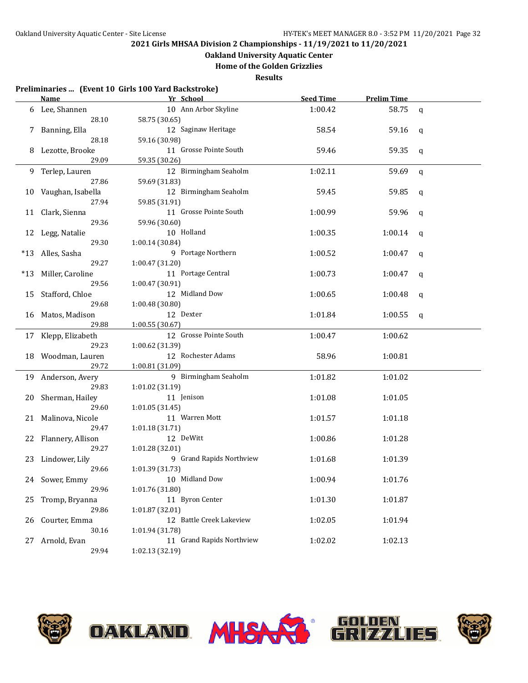## **Oakland University Aquatic Center**

**Home of the Golden Grizzlies**

|       | Name                    | Preliminaries  (Event 10 Girls 100 Yard Backstroke)<br>Yr School | <b>Seed Time</b> | <b>Prelim Time</b> |             |
|-------|-------------------------|------------------------------------------------------------------|------------------|--------------------|-------------|
|       | 6 Lee, Shannen          | 10 Ann Arbor Skyline                                             | 1:00.42          | 58.75              | $\mathbf q$ |
|       | 28.10                   | 58.75 (30.65)                                                    |                  |                    |             |
|       | Banning, Ella           | 12 Saginaw Heritage                                              | 58.54            | 59.16              | q           |
|       | 28.18                   | 59.16 (30.98)                                                    |                  |                    |             |
| 8     | Lezotte, Brooke         | 11 Grosse Pointe South                                           | 59.46            | 59.35              | q           |
|       | 29.09                   | 59.35 (30.26)                                                    |                  |                    |             |
| 9     | Terlep, Lauren          | 12 Birmingham Seaholm                                            | 1:02.11          | 59.69              | $\mathbf q$ |
|       | 27.86                   | 59.69 (31.83)                                                    |                  |                    |             |
| 10    | Vaughan, Isabella       | 12 Birmingham Seaholm                                            | 59.45            | 59.85              | q           |
|       | 27.94                   | 59.85 (31.91)                                                    |                  |                    |             |
| 11    | Clark, Sienna           | 11 Grosse Pointe South                                           | 1:00.99          | 59.96              | q           |
|       | 29.36                   | 59.96 (30.60)                                                    |                  |                    |             |
| 12    | Legg, Natalie           | 10 Holland                                                       | 1:00.35          | 1:00.14            | q           |
|       | 29.30                   | 1:00.14 (30.84)                                                  |                  |                    |             |
| $*13$ | Alles, Sasha            | 9 Portage Northern                                               | 1:00.52          | 1:00.47            | q           |
|       | 29.27                   | 1:00.47 (31.20)                                                  |                  |                    |             |
| $*13$ | Miller, Caroline        | 11 Portage Central                                               | 1:00.73          | 1:00.47            | q           |
|       | 29.56                   | 1:00.47 (30.91)                                                  |                  |                    |             |
| 15    | Stafford, Chloe         | 12 Midland Dow                                                   | 1:00.65          | 1:00.48            | q           |
|       | 29.68                   | 1:00.48 (30.80)                                                  |                  |                    |             |
| 16    | Matos, Madison          | 12 Dexter                                                        | 1:01.84          | 1:00.55            | q           |
|       | 29.88                   | 1:00.55(30.67)                                                   |                  |                    |             |
|       | 17 Klepp, Elizabeth     | 12 Grosse Pointe South                                           | 1:00.47          | 1:00.62            |             |
|       | 29.23                   | 1:00.62 (31.39)                                                  |                  |                    |             |
| 18    | Woodman, Lauren         | 12 Rochester Adams                                               | 58.96            | 1:00.81            |             |
|       | 29.72                   | 1:00.81 (31.09)                                                  |                  |                    |             |
| 19    | Anderson, Avery         | 9 Birmingham Seaholm                                             | 1:01.82          | 1:01.02            |             |
|       | 29.83                   | 1:01.02 (31.19)                                                  |                  |                    |             |
| 20    | Sherman, Hailey         | 11 Jenison                                                       | 1:01.08          | 1:01.05            |             |
|       | 29.60                   | 1:01.05 (31.45)                                                  |                  |                    |             |
| 21    | Malinova, Nicole        | 11 Warren Mott                                                   | 1:01.57          | 1:01.18            |             |
|       | 29.47                   | 1:01.18 (31.71)                                                  |                  |                    |             |
| 22    | Flannery, Allison       | 12 DeWitt                                                        | 1:00.86          | 1:01.28            |             |
|       | 29.27                   | 1:01.28 (32.01)                                                  |                  |                    |             |
| 23    | Lindower, Lily          | 9 Grand Rapids Northview                                         | 1:01.68          | 1:01.39            |             |
|       | 29.66                   | 1:01.39 (31.73)                                                  |                  |                    |             |
|       | 24 Sower, Emmy          | 10 Midland Dow                                                   | 1:00.94          | 1:01.76            |             |
|       | 29.96                   | 1:01.76 (31.80)<br>11 Byron Center                               |                  |                    |             |
| 25    | Tromp, Bryanna<br>29.86 | 1:01.87 (32.01)                                                  | 1:01.30          | 1:01.87            |             |
|       |                         | 12 Battle Creek Lakeview                                         |                  | 1:01.94            |             |
| 26    | Courter, Emma<br>30.16  | 1:01.94 (31.78)                                                  | 1:02.05          |                    |             |
| 27    | Arnold, Evan            | 11 Grand Rapids Northview                                        | 1:02.02          | 1:02.13            |             |
|       | 29.94                   | 1:02.13 (32.19)                                                  |                  |                    |             |
|       |                         |                                                                  |                  |                    |             |



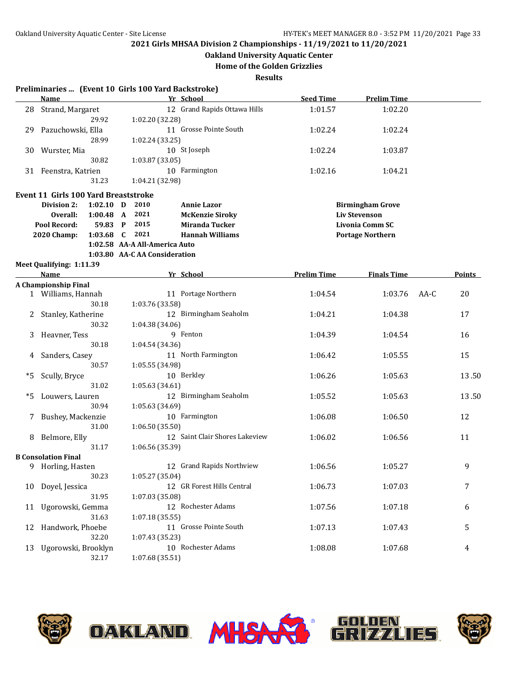## **Oakland University Aquatic Center**

**Home of the Golden Grizzlies**

|    | Preliminaries  (Event 10 Girls 100 Yard Backstroke) |             |                               |                                |                    |                         |      |               |
|----|-----------------------------------------------------|-------------|-------------------------------|--------------------------------|--------------------|-------------------------|------|---------------|
|    | <b>Name</b>                                         |             |                               | Yr School                      | <b>Seed Time</b>   | <b>Prelim Time</b>      |      |               |
| 28 | Strand, Margaret                                    |             |                               | 12 Grand Rapids Ottawa Hills   | 1:01.57            | 1:02.20                 |      |               |
|    |                                                     | 29.92       | 1:02.20 (32.28)               |                                |                    |                         |      |               |
| 29 | Pazuchowski, Ella                                   |             |                               | 11 Grosse Pointe South         | 1:02.24            | 1:02.24                 |      |               |
|    |                                                     | 28.99       | 1:02.24 (33.25)               |                                |                    |                         |      |               |
| 30 | Wurster, Mia                                        |             |                               | 10 St Joseph                   | 1:02.24            | 1:03.87                 |      |               |
|    |                                                     | 30.82       | 1:03.87 (33.05)               |                                |                    |                         |      |               |
|    | 31 Feenstra, Katrien                                |             |                               | 10 Farmington                  | 1:02.16            | 1:04.21                 |      |               |
|    |                                                     | 31.23       | 1:04.21 (32.98)               |                                |                    |                         |      |               |
|    | <b>Event 11 Girls 100 Yard Breaststroke</b>         |             |                               |                                |                    |                         |      |               |
|    | Division 2:                                         | $1:02.10$ D | 2010                          | <b>Annie Lazor</b>             |                    | <b>Birmingham Grove</b> |      |               |
|    | Overall:                                            | $1:00.48$ A | 2021                          | <b>McKenzie Siroky</b>         |                    | <b>Liv Stevenson</b>    |      |               |
|    | Pool Record:                                        | 59.83 P     | 2015                          | Miranda Tucker                 |                    | <b>Livonia Comm SC</b>  |      |               |
|    | 2020 Champ:                                         | 1:03.68 $C$ | 2021                          | <b>Hannah Williams</b>         |                    | <b>Portage Northern</b> |      |               |
|    |                                                     |             | 1:02.58 AA-A All-America Auto |                                |                    |                         |      |               |
|    |                                                     |             | 1:03.80 AA-CAA Consideration  |                                |                    |                         |      |               |
|    | Meet Qualifying: 1:11.39                            |             |                               |                                |                    |                         |      |               |
|    | Name                                                |             |                               | Yr School                      | <b>Prelim Time</b> | <b>Finals Time</b>      |      | <b>Points</b> |
|    | A Championship Final                                |             |                               |                                |                    |                         |      |               |
|    | 1 Williams, Hannah                                  |             |                               | 11 Portage Northern            | 1:04.54            | 1:03.76                 | AA-C | 20            |
|    |                                                     | 30.18       | 1:03.76 (33.58)               |                                |                    |                         |      |               |
| 2  | Stanley, Katherine                                  |             |                               | 12 Birmingham Seaholm          | 1:04.21            | 1:04.38                 |      | 17            |
|    |                                                     | 30.32       | 1:04.38 (34.06)               |                                |                    |                         |      |               |
| 3  | Heavner, Tess                                       |             |                               | 9 Fenton                       | 1:04.39            | 1:04.54                 |      | 16            |
|    |                                                     | 30.18       | 1:04.54 (34.36)               |                                |                    |                         |      |               |
| 4  | Sanders, Casey                                      |             |                               | 11 North Farmington            | 1:06.42            | 1:05.55                 |      | 15            |
|    |                                                     | 30.57       | 1:05.55 (34.98)               |                                |                    |                         |      |               |
| *5 | Scully, Bryce                                       |             |                               | 10 Berkley                     | 1:06.26            | 1:05.63                 |      | 13.50         |
|    |                                                     | 31.02       | 1:05.63 (34.61)               |                                |                    |                         |      |               |
| *5 | Louwers, Lauren                                     |             |                               | 12 Birmingham Seaholm          | 1:05.52            | 1:05.63                 |      | 13.50         |
|    |                                                     | 30.94       | 1:05.63 (34.69)               |                                |                    |                         |      |               |
| 7  | Bushey, Mackenzie                                   |             |                               | 10 Farmington                  | 1:06.08            | 1:06.50                 |      | 12            |
|    |                                                     | 31.00       | 1:06.50(35.50)                |                                |                    |                         |      |               |
|    | 8 Belmore, Elly                                     |             |                               | 12 Saint Clair Shores Lakeview | 1:06.02            | 1:06.56                 |      | 11            |
|    |                                                     | 31.17       | 1:06.56 (35.39)               |                                |                    |                         |      |               |
|    | <b>B</b> Consolation Final                          |             |                               |                                |                    |                         |      |               |
|    | 9 Horling, Hasten                                   |             |                               | 12 Grand Rapids Northview      | 1:06.56            | 1:05.27                 |      | 9             |
|    |                                                     | 30.23       | 1:05.27 (35.04)               |                                |                    |                         |      |               |
|    | 10 Doyel, Jessica                                   |             |                               | 12 GR Forest Hills Central     | 1:06.73            | 1:07.03                 |      | 7             |
|    |                                                     | 31.95       | 1:07.03 (35.08)               |                                |                    |                         |      |               |
| 11 | Ugorowski, Gemma                                    |             |                               | 12 Rochester Adams             | 1:07.56            | 1:07.18                 |      | 6             |
|    |                                                     | 31.63       | 1:07.18 (35.55)               |                                |                    |                         |      |               |
| 12 | Handwork, Phoebe                                    |             |                               | 11 Grosse Pointe South         | 1:07.13            | 1:07.43                 |      | 5             |
|    |                                                     | 32.20       | 1:07.43 (35.23)               |                                |                    |                         |      |               |
| 13 | Ugorowski, Brooklyn                                 |             |                               | 10 Rochester Adams             | 1:08.08            | 1:07.68                 |      | 4             |
|    |                                                     | 32.17       | 1:07.68 (35.51)               |                                |                    |                         |      |               |
|    |                                                     |             |                               |                                |                    |                         |      |               |







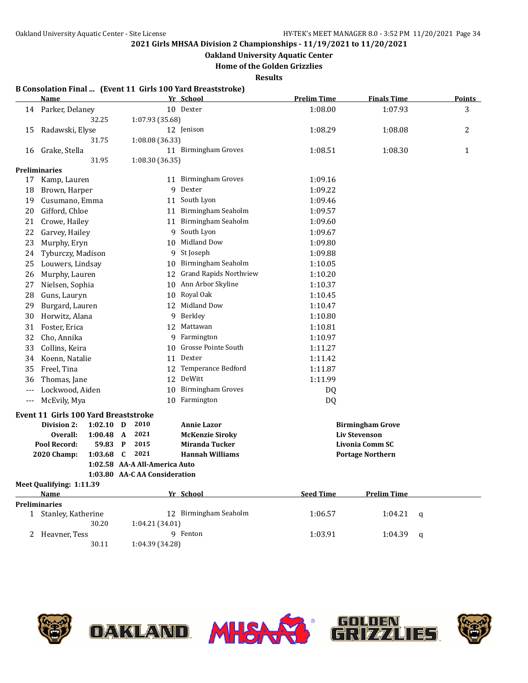**Oakland University Aquatic Center**

**Home of the Golden Grizzlies**

**Results**

### **B Consolation Final ... (Event 11 Girls 100 Yard Breaststroke)**

30.11 1:04.39 (34.28)

|                      | <b>Name</b>                                    |                               | Yr School                                | <b>Prelim Time</b> | <b>Finals Time</b>                                | <b>Points</b> |
|----------------------|------------------------------------------------|-------------------------------|------------------------------------------|--------------------|---------------------------------------------------|---------------|
| 14                   | Parker, Delaney                                |                               | 10 Dexter                                | 1:08.00            | 1:07.93                                           | 3             |
|                      | 32.25                                          | 1:07.93 (35.68)               |                                          |                    |                                                   |               |
| 15                   | Radawski, Elyse                                |                               | 12 Jenison                               | 1:08.29            | 1:08.08                                           | 2             |
|                      | 31.75                                          | 1:08.08 (36.33)               |                                          |                    |                                                   |               |
| 16                   | Grake, Stella                                  |                               | 11 Birmingham Groves                     | 1:08.51            | 1:08.30                                           | $\mathbf{1}$  |
|                      | 31.95                                          | 1:08.30 (36.35)               |                                          |                    |                                                   |               |
|                      | Preliminaries                                  |                               |                                          |                    |                                                   |               |
| 17                   | Kamp, Lauren                                   |                               | 11 Birmingham Groves                     | 1:09.16            |                                                   |               |
| 18                   | Brown, Harper                                  | 9                             | Dexter                                   | 1:09.22            |                                                   |               |
| 19                   | Cusumano, Emma                                 |                               | 11 South Lyon                            | 1:09.46            |                                                   |               |
| 20                   | Gifford, Chloe                                 |                               | 11 Birmingham Seaholm                    | 1:09.57            |                                                   |               |
| 21                   | Crowe, Hailey                                  |                               | 11 Birmingham Seaholm                    | 1:09.60            |                                                   |               |
| 22                   | Garvey, Hailey                                 |                               | 9 South Lyon                             | 1:09.67            |                                                   |               |
| 23                   | Murphy, Eryn                                   |                               | 10 Midland Dow                           | 1:09.80            |                                                   |               |
| 24                   | Tyburczy, Madison                              | 9                             | St Joseph                                | 1:09.88            |                                                   |               |
| 25                   | Louwers, Lindsay                               |                               | 10 Birmingham Seaholm                    | 1:10.05            |                                                   |               |
| 26                   | Murphy, Lauren                                 |                               | 12 Grand Rapids Northview                | 1:10.20            |                                                   |               |
| 27                   | Nielsen, Sophia                                |                               | 10 Ann Arbor Skyline                     | 1:10.37            |                                                   |               |
| 28                   | Guns, Lauryn                                   |                               | 10 Royal Oak                             | 1:10.45            |                                                   |               |
| 29                   | Burgard, Lauren                                |                               | 12 Midland Dow                           | 1:10.47            |                                                   |               |
| 30                   | Horwitz, Alana                                 |                               | 9 Berkley                                | 1:10.80            |                                                   |               |
| 31                   | Foster, Erica                                  |                               | 12 Mattawan                              | 1:10.81            |                                                   |               |
| 32                   | Cho, Annika                                    |                               | 9 Farmington                             | 1:10.97            |                                                   |               |
| 33                   | Collins, Keira                                 | 10                            | Grosse Pointe South                      | 1:11.27            |                                                   |               |
| 34                   | Koenn, Natalie                                 |                               | 11 Dexter                                | 1:11.42            |                                                   |               |
| 35                   | Freel, Tina                                    |                               | 12 Temperance Bedford                    | 1:11.87            |                                                   |               |
| 36                   | Thomas, Jane                                   |                               | 12 DeWitt                                | 1:11.99            |                                                   |               |
| $---$                | Lockwood, Aiden                                | 10 <sup>1</sup>               | <b>Birmingham Groves</b>                 | DQ                 |                                                   |               |
| $\scriptstyle\cdots$ | McEvily, Mya                                   |                               | 10 Farmington                            | <b>DQ</b>          |                                                   |               |
|                      |                                                |                               |                                          |                    |                                                   |               |
|                      | <b>Event 11 Girls 100 Yard Breaststroke</b>    |                               |                                          |                    |                                                   |               |
|                      | Division 2:<br>$1:02.10$ D                     | 2010                          | <b>Annie Lazor</b>                       |                    | <b>Birmingham Grove</b>                           |               |
|                      | Overall:<br>$1:00.48$ A<br><b>Pool Record:</b> | 2021<br>2015<br>$\mathbf{P}$  | <b>McKenzie Siroky</b><br>Miranda Tucker |                    | <b>Liv Stevenson</b>                              |               |
|                      | 59.83<br>2020 Champ:<br>1:03.68                | C<br>2021                     | <b>Hannah Williams</b>                   |                    | <b>Livonia Comm SC</b><br><b>Portage Northern</b> |               |
|                      |                                                | 1:02.58 AA-A All-America Auto |                                          |                    |                                                   |               |
|                      |                                                | 1:03.80 AA-C AA Consideration |                                          |                    |                                                   |               |
|                      | Meet Qualifying: 1:11.39                       |                               |                                          |                    |                                                   |               |
|                      | <b>Name</b>                                    |                               | Yr School                                | <b>Seed Time</b>   | <b>Prelim Time</b>                                |               |
|                      | <b>Preliminaries</b>                           |                               |                                          |                    |                                                   |               |
|                      | 1 Stanley, Katherine                           |                               | 12 Birmingham Seaholm                    | 1:06.57            | 1:04.21                                           | q             |
|                      | 30.20                                          | 1:04.21 (34.01)               |                                          |                    |                                                   |               |
| 2                    | Heavner, Tess                                  |                               | 9 Fenton                                 | 1:03.91            | 1:04.39                                           | q             |



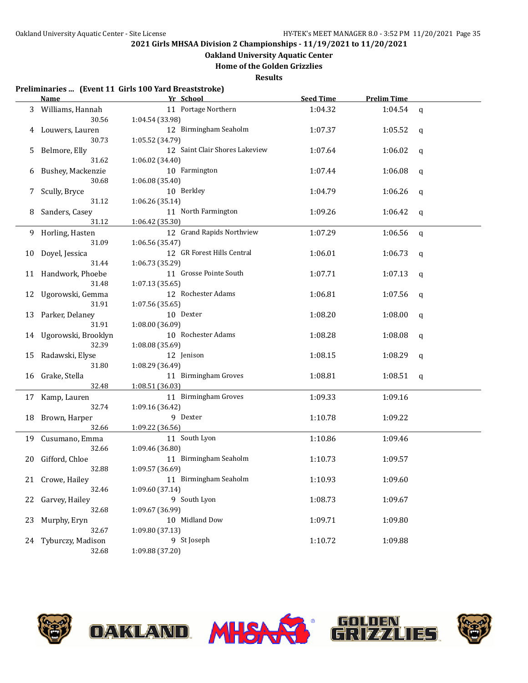## **Oakland University Aquatic Center**

**Home of the Golden Grizzlies**

**Results**

#### **Preliminaries ... (Event 11 Girls 100 Yard Breaststroke)**

|    | Name                   | Yr School                      | <b>Seed Time</b> | <b>Prelim Time</b> |              |
|----|------------------------|--------------------------------|------------------|--------------------|--------------|
|    | 3 Williams, Hannah     | 11 Portage Northern            | 1:04.32          | 1:04.54            | q            |
|    | 30.56                  | 1:04.54 (33.98)                |                  |                    |              |
| 4  | Louwers, Lauren        | 12 Birmingham Seaholm          | 1:07.37          | 1:05.52            | q            |
|    | 30.73                  | 1:05.52 (34.79)                |                  |                    |              |
|    | 5 Belmore, Elly        | 12 Saint Clair Shores Lakeview | 1:07.64          | 1:06.02            | q            |
|    | 31.62                  | 1:06.02 (34.40)                |                  |                    |              |
| 6  | Bushey, Mackenzie      | 10 Farmington                  | 1:07.44          | 1:06.08            | q            |
|    | 30.68                  | 1:06.08 (35.40)                |                  |                    |              |
| 7  | Scully, Bryce          | 10 Berkley                     | 1:04.79          | 1:06.26            | q            |
|    | 31.12                  | 1:06.26 (35.14)                |                  |                    |              |
| 8  | Sanders, Casey         | 11 North Farmington            | 1:09.26          | 1:06.42            | q            |
|    | 31.12                  | 1:06.42 (35.30)                |                  |                    |              |
|    | 9 Horling, Hasten      | 12 Grand Rapids Northview      | 1:07.29          | 1:06.56            | $\mathbf{q}$ |
|    | 31.09                  | 1:06.56 (35.47)                |                  |                    |              |
|    | 10 Doyel, Jessica      | 12 GR Forest Hills Central     | 1:06.01          | 1:06.73            | q            |
|    | 31.44                  | 1:06.73 (35.29)                |                  |                    |              |
|    | 11 Handwork, Phoebe    | 11 Grosse Pointe South         | 1:07.71          | 1:07.13            | q            |
|    | 31.48                  | 1:07.13(35.65)                 |                  |                    |              |
|    | 12 Ugorowski, Gemma    | 12 Rochester Adams             | 1:06.81          | 1:07.56            | q            |
|    | 31.91                  | 1:07.56 (35.65)                |                  |                    |              |
|    | 13 Parker, Delaney     | 10 Dexter                      | 1:08.20          | 1:08.00            | $\mathbf q$  |
|    | 31.91                  | 1:08.00 (36.09)                |                  |                    |              |
|    | 14 Ugorowski, Brooklyn | 10 Rochester Adams             | 1:08.28          | 1:08.08            | q            |
|    | 32.39                  | 1:08.08 (35.69)                |                  |                    |              |
|    | 15 Radawski, Elyse     | 12 Jenison                     | 1:08.15          | 1:08.29            | q            |
|    | 31.80                  | 1:08.29 (36.49)                |                  |                    |              |
|    | 16 Grake, Stella       | 11 Birmingham Groves           | 1:08.81          | 1:08.51            | q            |
|    | 32.48                  | 1:08.51 (36.03)                |                  |                    |              |
|    | 17 Kamp, Lauren        | 11 Birmingham Groves           | 1:09.33          | 1:09.16            |              |
|    | 32.74                  | 1:09.16 (36.42)                |                  |                    |              |
|    | 18 Brown, Harper       | 9 Dexter                       | 1:10.78          | 1:09.22            |              |
|    | 32.66                  | 1:09.22 (36.56)                |                  |                    |              |
|    | 19 Cusumano, Emma      | 11 South Lyon                  | 1:10.86          | 1:09.46            |              |
|    | 32.66                  | 1:09.46 (36.80)                |                  |                    |              |
|    | 20 Gifford, Chloe      | 11 Birmingham Seaholm          | 1:10.73          | 1:09.57            |              |
|    | 32.88                  | 1:09.57 (36.69)                |                  |                    |              |
|    | 21 Crowe, Hailey       | 11 Birmingham Seaholm          | 1:10.93          | 1:09.60            |              |
|    | 32.46                  | 1:09.60 (37.14)                |                  |                    |              |
| 22 | Garvey, Hailey         | 9 South Lyon                   | 1:08.73          | 1:09.67            |              |
|    | 32.68                  | 1:09.67 (36.99)                |                  |                    |              |
| 23 | Murphy, Eryn           | 10 Midland Dow                 | 1:09.71          | 1:09.80            |              |
|    | 32.67                  | 1:09.80 (37.13)<br>9 St Joseph |                  |                    |              |
|    | 24 Tyburczy, Madison   |                                | 1:10.72          | 1:09.88            |              |
|    | 32.68                  | 1:09.88 (37.20)                |                  |                    |              |





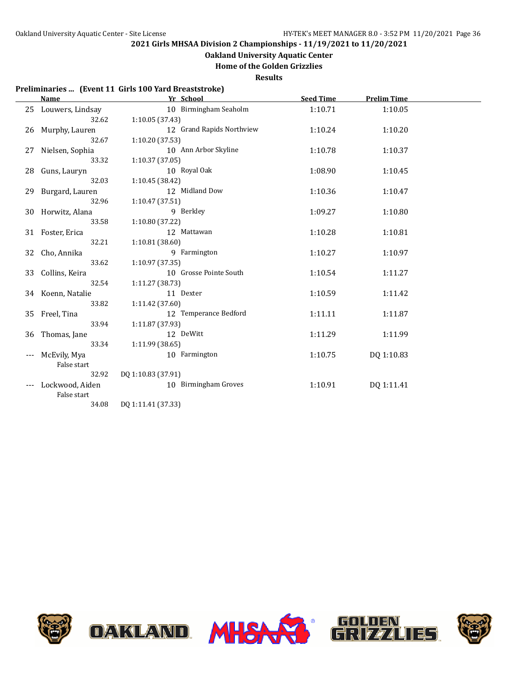**Oakland University Aquatic Center**

**Home of the Golden Grizzlies**

**Results**

### **Preliminaries ... (Event 11 Girls 100 Yard Breaststroke)**

|    | <b>Name</b>        | Yr School                 | <b>Seed Time</b> | <b>Prelim Time</b> |  |
|----|--------------------|---------------------------|------------------|--------------------|--|
| 25 | Louwers, Lindsay   | 10 Birmingham Seaholm     | 1:10.71          | 1:10.05            |  |
|    | 32.62              | 1:10.05(37.43)            |                  |                    |  |
|    | 26 Murphy, Lauren  | 12 Grand Rapids Northview | 1:10.24          | 1:10.20            |  |
|    | 32.67              | 1:10.20 (37.53)           |                  |                    |  |
| 27 | Nielsen, Sophia    | 10 Ann Arbor Skyline      | 1:10.78          | 1:10.37            |  |
|    | 33.32              | 1:10.37(37.05)            |                  |                    |  |
|    | 28 Guns, Lauryn    | 10 Royal Oak              | 1:08.90          | 1:10.45            |  |
|    | 32.03              | 1:10.45 (38.42)           |                  |                    |  |
|    | 29 Burgard, Lauren | 12 Midland Dow            | 1:10.36          | 1:10.47            |  |
|    | 32.96              | 1:10.47 (37.51)           |                  |                    |  |
|    | 30 Horwitz, Alana  | 9 Berkley                 | 1:09.27          | 1:10.80            |  |
|    | 33.58              | 1:10.80 (37.22)           |                  |                    |  |
|    | 31 Foster, Erica   | 12 Mattawan               | 1:10.28          | 1:10.81            |  |
|    | 32.21              | 1:10.81(38.60)            |                  |                    |  |
|    | 32 Cho, Annika     | 9 Farmington              | 1:10.27          | 1:10.97            |  |
|    | 33.62              | 1:10.97(37.35)            |                  |                    |  |
|    | 33 Collins, Keira  | 10 Grosse Pointe South    | 1:10.54          | 1:11.27            |  |
|    | 32.54              | 1:11.27(38.73)            |                  |                    |  |
|    | 34 Koenn, Natalie  | 11 Dexter                 | 1:10.59          | 1:11.42            |  |
|    | 33.82              | 1:11.42(37.60)            |                  |                    |  |
|    | 35 Freel, Tina     | 12 Temperance Bedford     | 1:11.11          | 1:11.87            |  |
|    | 33.94              | 1:11.87(37.93)            |                  |                    |  |
| 36 | Thomas, Jane       | 12 DeWitt                 | 1:11.29          | 1:11.99            |  |
|    | 33.34              | 1:11.99(38.65)            |                  |                    |  |
|    | McEvily, Mya       | 10 Farmington             | 1:10.75          | DQ 1:10.83         |  |
|    | False start        |                           |                  |                    |  |
|    | 32.92              | DQ 1:10.83 (37.91)        |                  |                    |  |
|    | Lockwood, Aiden    | 10 Birmingham Groves      | 1:10.91          | DQ 1:11.41         |  |
|    | False start        |                           |                  |                    |  |
|    | 34.08              | DQ 1:11.41 (37.33)        |                  |                    |  |

**OAKLAND MHSAX** 





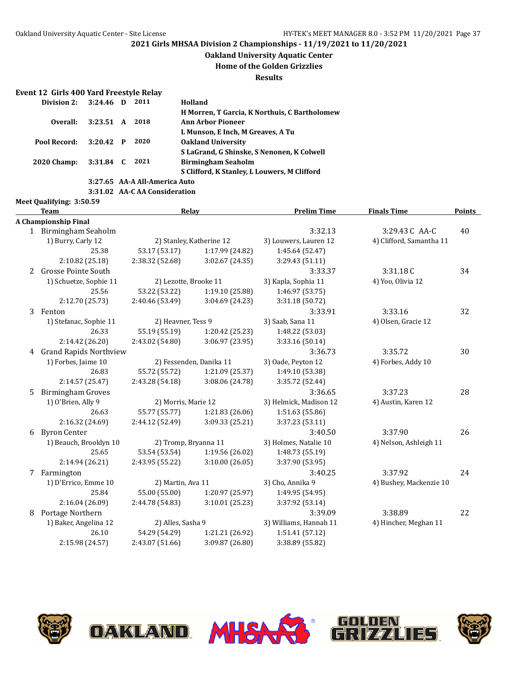**Oakland University Aquatic Center**

**Home of the Golden Grizzlies**

**Results**

#### **Event 12 Girls 400 Yard Freestyle Relay**

| Division 2:        | $3:24.46$ D | 2011 | Holland                                              |
|--------------------|-------------|------|------------------------------------------------------|
|                    |             |      | <b>H Morren, T Garcia, K Northuis, C Bartholomew</b> |
| Overall:           | 3:23.51 A   | 2018 | <b>Ann Arbor Pioneer</b>                             |
|                    |             |      | L Munson, E Inch, M Greaves, A Tu                    |
| Pool Record:       | $3:20.42$ P | 2020 | <b>Oakland University</b>                            |
|                    |             |      | S LaGrand, G Shinske, S Nenonen, K Colwell           |
| <b>2020 Champ:</b> | $3:31.84$ C | 2021 | <b>Birmingham Seaholm</b>                            |
|                    |             |      | S Clifford, K Stanley, L Louwers, M Clifford         |
|                    |             |      | 3:27.65 AA-A All-America Auto                        |

**3:31.02 AA-C AA Consideration**

### **Meet Qualifying: 3:50.59 Team Relay Prelim Time Finals Time Points A Championship Final** 1 Birmingham Seaholm 3:32.13 3:29.43C AA-C 40 1) Burry, Carly 12 2) Stanley, Katherine 12 3) Louwers, Lauren 12 4) Clifford, Samantha 11 25.38 53.17 (53.17) 1:17.99 (24.82) 1:45.64 (52.47) 2:10.82 (25.18) 2:38.32 (52.68) 3:02.67 (24.35) 3:29.43 (51.11) 2 Grosse Pointe South 3:33.37 3:31.18C 34 1) Schuetze, Sophie 11 2) Lezotte, Brooke 11 3) Kapla, Sophia 11 4) Yoo, Olivia 12 25.56 53.22 (53.22) 1:19.10 (25.88) 1:46.97 (53.75) 2:12.70 (25.73) 2:40.46 (53.49) 3:04.69 (24.23) 3:31.18 (50.72) 3 Fenton 3:33.91 3:33.16 32 1) Stefanac, Sophie 11 2) Heavner, Tess 9 3) Saab, Sana 11 4) Olsen, Gracie 12 26.33 55.19 (55.19) 1:20.42 (25.23) 1:48.22 (53.03) 2:14.42 (26.20) 2:43.02 (54.80) 3:06.97 (23.95) 3:33.16 (50.14) 4 Grand Rapids Northview 3:36.73 3:35.72 30 1) Forbes, Jaime 10 2) Fessenden, Danika 11 3) Oade, Peyton 12 4) Forbes, Addy 10 26.83 55.72 (55.72) 1:21.09 (25.37) 1:49.10 (53.38) 2:14.57 (25.47) 2:43.28 (54.18) 3:08.06 (24.78) 3:35.72 (52.44) 5 Birmingham Groves 3:36.65 3:37.23 28 1) O'Brien, Ally 9 2) Morris, Marie 12 3) Helmick, Madison 12 4) Austin, Karen 12 26.63 55.77 (55.77) 1:21.83 (26.06) 1:51.63 (55.86) 2:16.32 (24.69) 2:44.12 (52.49) 3:09.33 (25.21) 3:37.23 (53.11) 6 Byron Center 3:40.50 3:37.90 26 1) Beauch, Brooklyn 10 2) Tromp, Bryanna 11 3) Holmes, Natalie 10 4) Nelson, Ashleigh 11 25.65 53.54 (53.54) 1:19.56 (26.02) 1:48.73 (55.19) 2:14.94 (26.21) 2:43.95 (55.22) 3:10.00 (26.05) 3:37.90 (53.95) 7 Farmington 3:40.25 3:37.92 24 1) D'Errico, Emme 10 2) Martin, Ava 11 3) Cho, Annika 9 4) Bushey, Mackenzie 10 25.84 55.00 (55.00) 1:20.97 (25.97) 1:49.95 (54.95) 2:16.04 (26.09) 2:44.78 (54.83) 3:10.01 (25.23) 3:37.92 (53.14) 8 Portage Northern 3:39.09 3:38.89 22 1) Baker, Angelina 12 2) Alles, Sasha 9 3) Williams, Hannah 11 4) Hincher, Meghan 11 26.10 54.29 (54.29) 1:21.21 (26.92) 1:51.41 (57.12) 2:15.98 (24.57) 2:43.07 (51.66) 3:09.87 (26.80) 3:38.89 (55.82)

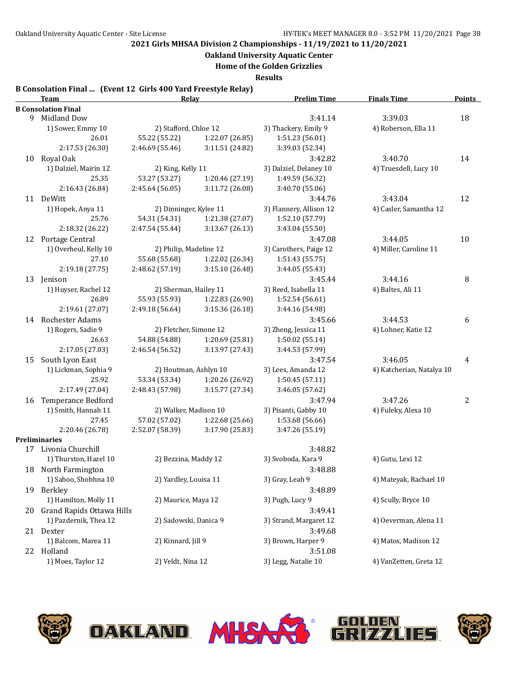**Oakland University Aquatic Center**

**Home of the Golden Grizzlies**

**Results**

### **B Consolation Final ... (Event 12 Girls 400 Yard Freestyle Relay)**

|    | <b>Team</b>                | Relay                  |                 | <b>Prelim Time</b>      | <b>Finals Time</b>        | <b>Points</b>  |
|----|----------------------------|------------------------|-----------------|-------------------------|---------------------------|----------------|
|    | <b>B</b> Consolation Final |                        |                 |                         |                           |                |
|    | 9 Midland Dow              |                        |                 | 3:41.14                 | 3:39.03                   | 18             |
|    | 1) Sower, Emmy 10          | 2) Stafford, Chloe 12  |                 | 3) Thackery, Emily 9    | 4) Roberson, Ella 11      |                |
|    | 26.01                      | 55.22 (55.22)          | 1:22.07 (26.85) | 1:51.23 (56.01)         |                           |                |
|    | 2:17.53 (26.30)            | 2:46.69 (55.46)        | 3:11.51 (24.82) | 3:39.03 (52.34)         |                           |                |
| 10 | Royal Oak                  |                        |                 | 3:42.82                 | 3:40.70                   | 14             |
|    | 1) Dalziel, Mairin 12      | 2) King, Kelly 11      |                 | 3) Dalziel, Delaney 10  | 4) Truesdell, Lucy 10     |                |
|    | 25.35                      | 53.27 (53.27)          | 1:20.46 (27.19) | 1:49.59 (56.32)         |                           |                |
|    | 2:16.43 (26.84)            | 2:45.64 (56.05)        | 3:11.72 (26.08) | 3:40.70 (55.06)         |                           |                |
|    | 11 DeWitt                  |                        |                 | 3:44.76                 | 3:43.04                   | 12             |
|    | 1) Hopek, Anya 11          | 2) Dinninger, Kylee 11 |                 | 3) Flannery, Allison 12 | 4) Casler, Samantha 12    |                |
|    | 25.76                      | 54.31 (54.31)          | 1:21.38 (27.07) | 1:52.10 (57.79)         |                           |                |
|    | 2:18.32 (26.22)            | 2:47.54 (55.44)        | 3:13.67 (26.13) | 3:43.04 (55.50)         |                           |                |
|    | 12 Portage Central         |                        |                 | 3:47.08                 | 3:44.05                   | 10             |
|    | 1) Overheul, Kelly 10      | 2) Philip, Madeline 12 |                 | 3) Carothers, Paige 12  | 4) Miller, Caroline 11    |                |
|    | 27.10                      | 55.68 (55.68)          | 1:22.02 (26.34) | 1:51.43 (55.75)         |                           |                |
|    | 2:19.18 (27.75)            | 2:48.62 (57.19)        | 3:15.10(26.48)  | 3:44.05 (55.43)         |                           |                |
|    | 13 Jenison                 |                        |                 | 3:45.44                 | 3:44.16                   | 8              |
|    | 1) Huyser, Rachel 12       | 2) Sherman, Hailey 11  |                 | 3) Reed, Isabella 11    | 4) Baltes, Ali 11         |                |
|    | 26.89                      | 55.93 (55.93)          | 1:22.83 (26.90) | 1:52.54 (56.61)         |                           |                |
|    | 2:19.61 (27.07)            | 2:49.18 (56.64)        | 3:15.36 (26.18) | 3:44.16 (54.98)         |                           |                |
|    | 14 Rochester Adams         |                        |                 | 3:45.66                 | 3:44.53                   | 6              |
|    | 1) Rogers, Sadie 9         | 2) Fletcher, Simone 12 |                 | 3) Zheng, Jessica 11    | 4) Lohner, Katie 12       |                |
|    | 26.63                      | 54.88 (54.88)          | 1:20.69 (25.81) | 1:50.02 (55.14)         |                           |                |
|    | 2:17.05 (27.03)            | 2:46.54 (56.52)        | 3:13.97 (27.43) | 3:44.53 (57.99)         |                           |                |
| 15 | South Lyon East            |                        |                 | 3:47.54                 | 3:46.05                   | 4              |
|    | 1) Lickman, Sophia 9       | 2) Houtman, Ashlyn 10  |                 | 3) Lees, Amanda 12      | 4) Katcherian, Natalya 10 |                |
|    | 25.92                      | 53.34 (53.34)          | 1:20.26 (26.92) | 1:50.45 (57.11)         |                           |                |
|    | 2:17.49 (27.04)            | 2:48.43 (57.98)        | 3:15.77 (27.34) | 3:46.05 (57.62)         |                           |                |
| 16 | Temperance Bedford         |                        |                 | 3:47.94                 | 3:47.26                   | $\overline{c}$ |
|    | 1) Smith, Hannah 11        | 2) Walker, Madison 10  |                 | 3) Pisanti, Gabby 10    | 4) Fuleky, Alexa 10       |                |
|    | 27.45                      | 57.02 (57.02)          | 1:22.68 (25.66) | 1:53.68 (56.66)         |                           |                |
|    | 2:20.46 (26.78)            | 2:52.07 (58.39)        | 3:17.90 (25.83) | 3:47.26 (55.19)         |                           |                |
|    | <b>Preliminaries</b>       |                        |                 |                         |                           |                |
|    | 17 Livonia Churchill       |                        |                 | 3:48.82                 |                           |                |
|    | 1) Thurston, Hazel 10      | 2) Bezzina, Maddy 12   |                 | 3) Svoboda, Kara 9      | 4) Gutu, Lexi 12          |                |
|    | 18 North Farmington        |                        |                 | 3:48.88                 |                           |                |
|    | 1) Sahoo, Shobhna 10       | 2) Yardley, Louisa 11  |                 | 3) Gray, Leah 9         | 4) Mateyak, Rachael 10    |                |
| 19 | Berkley                    |                        |                 | 3:48.89                 |                           |                |
|    | 1) Hamilton, Molly 11      | 2) Maurice, Maya 12    |                 | 3) Pugh, Lucy 9         | 4) Scully, Bryce 10       |                |
| 20 | Grand Rapids Ottawa Hills  |                        |                 | 3:49.41                 |                           |                |
|    | 1) Pazdernik, Thea 12      | 2) Sadowski, Danica 9  |                 | 3) Strand, Margaret 12  | 4) Oeverman, Alena 11     |                |
|    | 21 Dexter                  |                        |                 | 3:49.68                 |                           |                |
|    | 1) Balcom, Marea 11        | 2) Kinnard, Jill 9     |                 | 3) Brown, Harper 9      | 4) Matos, Madison 12      |                |
|    | 22 Holland                 |                        |                 | 3:51.08                 |                           |                |
|    | 1) Moes, Taylor 12         | 2) Veldt, Nina 12      |                 | 3) Legg, Natalie 10     | 4) VanZetten, Greta 12    |                |
|    |                            |                        |                 |                         |                           |                |









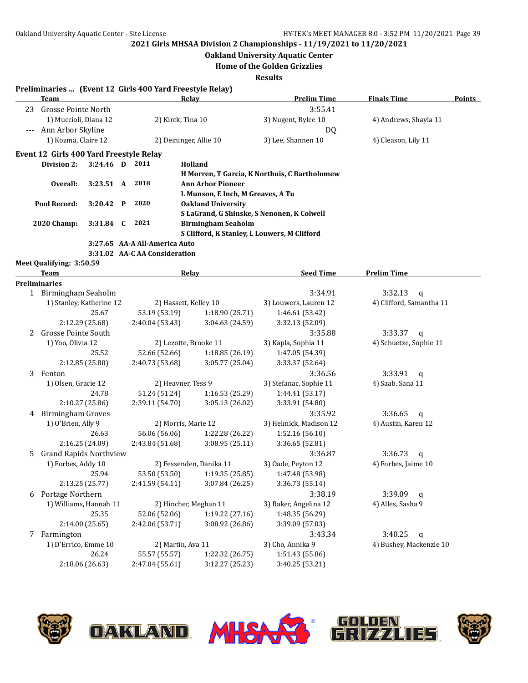**Oakland University Aquatic Center**

**Home of the Golden Grizzlies**

**Results**

#### **Preliminaries ... (Event 12 Girls 400 Yard Freestyle Relay)**

|       | Team                                    |             |              |      | Relay                         | <b>Prelim Time</b>                            | <b>Finals Time</b>    | <b>Points</b> |
|-------|-----------------------------------------|-------------|--------------|------|-------------------------------|-----------------------------------------------|-----------------------|---------------|
| 23    | Grosse Pointe North                     |             |              |      |                               | 3:55.41                                       |                       |               |
|       | 1) Muccioli, Diana 12                   |             |              |      | 2) Kirck, Tina 10             | 3) Nugent, Rylee 10                           | 4) Andrews, Shayla 11 |               |
| $---$ | Ann Arbor Skyline                       |             |              |      |                               | DQ                                            |                       |               |
|       | 1) Kozma, Claire 12                     |             |              |      | 2) Deininger, Allie 10        | 3) Lee, Shannen 10                            | 4) Cleason, Lily 11   |               |
|       | Event 12 Girls 400 Yard Freestyle Relay |             |              |      |                               |                                               |                       |               |
|       | Division 2:                             | $3:24.46$ D |              | 2011 | Holland                       |                                               |                       |               |
|       |                                         |             |              |      |                               | H Morren, T Garcia, K Northuis, C Bartholomew |                       |               |
|       | Overall:                                | 3:23.51 A   |              | 2018 | <b>Ann Arbor Pioneer</b>      |                                               |                       |               |
|       |                                         |             |              |      |                               | L Munson, E Inch, M Greaves, A Tu             |                       |               |
|       | Pool Record:                            | 3:20.42     | $\mathbf{P}$ | 2020 | <b>Oakland University</b>     |                                               |                       |               |
|       |                                         |             |              |      |                               | S LaGrand, G Shinske, S Nenonen, K Colwell    |                       |               |
|       | <b>2020 Champ:</b>                      | $3:31.84$ C |              | 2021 | <b>Birmingham Seaholm</b>     |                                               |                       |               |
|       |                                         |             |              |      |                               | S Clifford, K Stanley, L Louwers, M Clifford  |                       |               |
|       |                                         |             |              |      | 3:27.65 AA-A All-America Auto |                                               |                       |               |
|       |                                         |             |              |      | 3:31.02 AA-CAA Consideration  |                                               |                       |               |
|       | Meet Qualifying: 3:50.59                |             |              |      |                               |                                               |                       |               |
|       | <b>Team</b>                             |             |              |      | Relav                         | <b>Seed Time</b>                              | <b>Prelim Time</b>    |               |
|       | Preliminaries                           |             |              |      |                               |                                               |                       |               |
|       | Birmingham Seaholm                      |             |              |      |                               | 3:34.91                                       | 3:32.13<br>a          |               |

| T  | Birmingham Seanoim            |                       |                         | 3:34.91                | 3:32.13 Q                |
|----|-------------------------------|-----------------------|-------------------------|------------------------|--------------------------|
|    | 1) Stanley, Katherine 12      | 2) Hassett, Kelley 10 |                         | 3) Louwers, Lauren 12  | 4) Clifford, Samantha 11 |
|    | 25.67                         | 53.19 (53.19)         | 1:18.90 (25.71)         | 1:46.61 (53.42)        |                          |
|    | 2:12.29 (25.68)               | 2:40.04 (53.43)       | 3:04.63 (24.59)         | 3:32.13 (52.09)        |                          |
| 2  | <b>Grosse Pointe South</b>    |                       |                         | 3:35.88                | 3:33.37<br>$\mathsf{q}$  |
|    | 1) Yoo, Olivia 12             | 2) Lezotte, Brooke 11 |                         | 3) Kapla, Sophia 11    | 4) Schuetze, Sophie 11   |
|    | 25.52                         | 52.66 (52.66)         | 1:18.85 (26.19)         | 1:47.05 (54.39)        |                          |
|    | 2:12.85 (25.80)               | 2:40.73 (53.68)       | 3:05.77 (25.04)         | 3:33.37 (52.64)        |                          |
| 3  | Fenton                        |                       |                         | 3:36.56                | 3:33.91<br>a             |
|    | 1) Olsen, Gracie 12           | 2) Heavner, Tess 9    |                         | 3) Stefanac, Sophie 11 | 4) Saab, Sana 11         |
|    | 24.78                         | 51.24 (51.24)         | 1:16.53(25.29)          | 1:44.41 (53.17)        |                          |
|    | 2:10.27(25.86)                | 2:39.11 (54.70)       | 3:05.13 (26.02)         | 3:33.91 (54.80)        |                          |
| 4  | <b>Birmingham Groves</b>      |                       |                         | 3:35.92                | 3:36.65<br>$\mathsf{q}$  |
|    | 1) O'Brien, Ally 9            | 2) Morris, Marie 12   |                         | 3) Helmick, Madison 12 | 4) Austin, Karen 12      |
|    | 26.63                         | 56.06 (56.06)         | 1:22.28 (26.22)         | 1:52.16 (56.10)        |                          |
|    | 2:16.25 (24.09)               | 2:43.84 (51.68)       | 3:08.95(25.11)          | 3:36.65 (52.81)        |                          |
| 5. | <b>Grand Rapids Northview</b> |                       |                         | 3:36.87                | 3:36.73<br>$\mathsf{q}$  |
|    | 1) Forbes, Addy 10            |                       | 2) Fessenden, Danika 11 | 3) Oade, Peyton 12     | 4) Forbes, Jaime 10      |
|    | 25.94                         | 53.50 (53.50)         | 1:19.35(25.85)          | 1:47.48 (53.98)        |                          |
|    | 2:13.25(25.77)                | 2:41.59(54.11)        | 3:07.84(26.25)          | 3:36.73 (55.14)        |                          |
| 6  | Portage Northern              |                       |                         | 3:38.19                | 3:39.09<br>a             |
|    | 1) Williams, Hannah 11        | 2) Hincher, Meghan 11 |                         | 3) Baker, Angelina 12  | 4) Alles, Sasha 9        |
|    | 25.35                         | 52.06 (52.06)         | 1:19.22 (27.16)         | 1:48.35 (56.29)        |                          |
|    | 2:14.00 (25.65)               | 2:42.06 (53.71)       | 3:08.92 (26.86)         | 3:39.09 (57.03)        |                          |
| 7  | Farmington                    |                       |                         | 3:43.34                | 3:40.25<br>$\mathbf q$   |
|    | 1) D'Errico, Emme 10          | 2) Martin, Ava 11     |                         | 3) Cho, Annika 9       | 4) Bushey, Mackenzie 10  |
|    | 26.24                         | 55.57 (55.57)         | 1:22.32 (26.75)         | 1:51.43(55.86)         |                          |
|    | 2:18.06(26.63)                | 2:47.04 (55.61)       | 3:12.27 (25.23)         | 3:40.25 (53.21)        |                          |

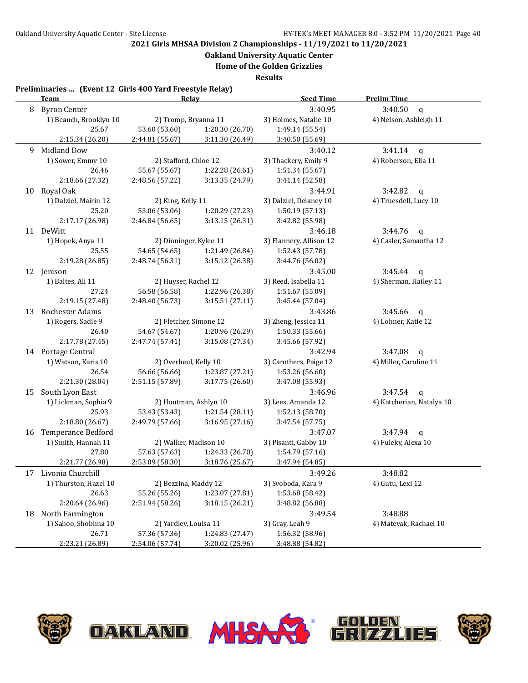**Oakland University Aquatic Center**

**Home of the Golden Grizzlies**

**Results**

|    | <b>Team</b>               | Relay                  |                 | <b>Seed Time</b>        | <b>Prelim Time</b>        |
|----|---------------------------|------------------------|-----------------|-------------------------|---------------------------|
| 8  | <b>Byron Center</b>       |                        |                 | 3:40.95                 | 3:40.50<br>$\mathbf q$    |
|    | 1) Beauch, Brooklyn 10    | 2) Tromp, Bryanna 11   |                 | 3) Holmes, Natalie 10   | 4) Nelson, Ashleigh 11    |
|    | 25.67                     | 53.60 (53.60)          | 1:20.30 (26.70) | 1:49.14 (55.54)         |                           |
|    | 2:15.34 (26.20)           | 2:44.81 (55.67)        | 3:11.30 (26.49) | 3:40.50 (55.69)         |                           |
| 9  | <b>Midland Dow</b>        |                        |                 | 3:40.12                 | 3:41.14<br>$\mathsf{q}$   |
|    | 1) Sower, Emmy 10         | 2) Stafford, Chloe 12  |                 | 3) Thackery, Emily 9    | 4) Roberson, Ella 11      |
|    | 26.46                     | 55.67 (55.67)          | 1:22.28 (26.61) | 1:51.34 (55.67)         |                           |
|    | 2:18.66 (27.32)           | 2:48.56 (57.22)        | 3:13.35 (24.79) | 3:41.14 (52.58)         |                           |
| 10 | Royal Oak                 |                        |                 | 3:44.91                 | 3:42.82<br>$\mathsf{q}$   |
|    | 1) Dalziel, Mairin 12     | 2) King, Kelly 11      |                 | 3) Dalziel, Delaney 10  | 4) Truesdell, Lucy 10     |
|    | 25.20                     | 53.06 (53.06)          | 1:20.29 (27.23) | 1:50.19 (57.13)         |                           |
|    | 2:17.17 (26.98)           | 2:46.84 (56.65)        | 3:13.15 (26.31) | 3:42.82 (55.98)         |                           |
|    | 11 DeWitt                 |                        |                 | 3:46.18                 | 3:44.76<br>$\mathbf q$    |
|    | 1) Hopek, Anya 11         | 2) Dinninger, Kylee 11 |                 | 3) Flannery, Allison 12 | 4) Casler, Samantha 12    |
|    | 25.55                     | 54.65 (54.65)          | 1:21.49 (26.84) | 1:52.43 (57.78)         |                           |
|    | 2:19.28 (26.85)           | 2:48.74 (56.31)        | 3:15.12 (26.38) | 3:44.76 (56.02)         |                           |
|    | 12 Jenison                |                        |                 | 3:45.00                 | 3:45.44<br>$\mathsf{q}$   |
|    | 1) Baltes, Ali 11         | 2) Huyser, Rachel 12   |                 | 3) Reed, Isabella 11    | 4) Sherman, Hailey 11     |
|    | 27.24                     | 56.58 (56.58)          | 1:22.96 (26.38) | 1:51.67 (55.09)         |                           |
|    | 2:19.15 (27.48)           | 2:48.40 (56.73)        | 3:15.51(27.11)  | 3:45.44 (57.04)         |                           |
| 13 | Rochester Adams           |                        |                 | 3:43.86                 | 3:45.66<br>q              |
|    | 1) Rogers, Sadie 9        | 2) Fletcher, Simone 12 |                 | 3) Zheng, Jessica 11    | 4) Lohner, Katie 12       |
|    | 26.40                     | 54.67 (54.67)          | 1:20.96 (26.29) | 1:50.33 (55.66)         |                           |
|    | 2:17.78 (27.45)           | 2:47.74 (57.41)        | 3:15.08 (27.34) | 3:45.66 (57.92)         |                           |
|    | 14 Portage Central        |                        |                 | 3:42.94                 | 3:47.08<br>$\mathbf q$    |
|    | 1) Watson, Karis 10       | 2) Overheul, Kelly 10  |                 | 3) Carothers, Paige 12  | 4) Miller, Caroline 11    |
|    | 26.54                     | 56.66 (56.66)          | 1:23.87 (27.21) | 1:53.26 (56.60)         |                           |
|    | 2:21.30 (28.04)           | 2:51.15 (57.89)        | 3:17.75 (26.60) | 3:47.08 (55.93)         |                           |
| 15 | South Lyon East           |                        |                 | 3:46.96                 | 3:47.54<br>$\mathsf{q}$   |
|    | 1) Lickman, Sophia 9      | 2) Houtman, Ashlyn 10  |                 | 3) Lees, Amanda 12      | 4) Katcherian, Natalya 10 |
|    | 25.93                     | 53.43 (53.43)          | 1:21.54 (28.11) | 1:52.13 (58.70)         |                           |
|    | 2:18.80 (26.67)           | 2:49.79 (57.66)        | 3:16.95(27.16)  | 3:47.54 (57.75)         |                           |
| 16 | <b>Temperance Bedford</b> |                        |                 | 3:47.07                 | 3:47.94<br>$\mathbf{q}$   |
|    | 1) Smith, Hannah 11       | 2) Walker, Madison 10  |                 | 3) Pisanti, Gabby 10    | 4) Fuleky, Alexa 10       |
|    | 27.80                     | 57.63 (57.63)          | 1:24.33 (26.70) | 1:54.79 (57.16)         |                           |
|    | 2:21.77 (26.98)           | 2:53.09 (58.30)        | 3:18.76 (25.67) | 3:47.94 (54.85)         |                           |
|    | 17 Livonia Churchill      |                        |                 | 3:49.26                 | 3:48.82                   |
|    | 1) Thurston, Hazel 10     | 2) Bezzina, Maddy 12   |                 | 3) Svoboda, Kara 9      | 4) Gutu, Lexi 12          |
|    | 26.63                     | 55.26 (55.26)          | 1:23.07 (27.81) | 1:53.68 (58.42)         |                           |
|    | 2:20.64 (26.96)           | 2:51.94 (58.26)        | 3:18.15 (26.21) | 3:48.82 (56.88)         |                           |
| 18 | North Farmington          |                        |                 | 3:49.54                 | 3:48.88                   |
|    | 1) Sahoo, Shobhna 10      | 2) Yardley, Louisa 11  |                 | 3) Gray, Leah 9         | 4) Mateyak, Rachael 10    |
|    | 26.71                     | 57.36 (57.36)          | 1:24.83 (27.47) | 1:56.32 (58.96)         |                           |
|    | 2:23.21 (26.89)           | 2:54.06 (57.74)        | 3:20.02 (25.96) | 3:48.88 (54.82)         |                           |

**OAKLAND MHSAX** 





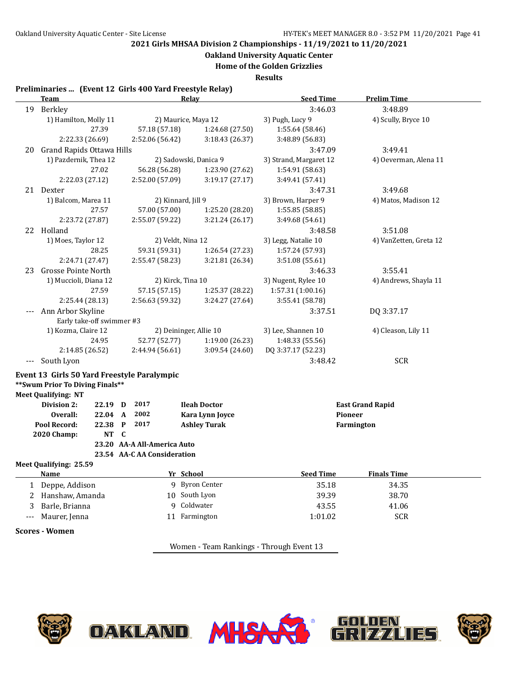**Oakland University Aquatic Center**

**Home of the Golden Grizzlies**

**Results**

|                      | Preliminaries  (Event 12 Girls 400 Yard Freestyle Relay)<br><b>Team</b>         |                             | Relay                  | <b>Seed Time</b>       | <b>Prelim Time</b>      |
|----------------------|---------------------------------------------------------------------------------|-----------------------------|------------------------|------------------------|-------------------------|
|                      | 19 Berkley                                                                      |                             |                        | 3:46.03                | 3:48.89                 |
|                      | 1) Hamilton, Molly 11                                                           |                             | 2) Maurice, Maya 12    | 3) Pugh, Lucy 9        | 4) Scully, Bryce 10     |
|                      | 27.39                                                                           | 57.18 (57.18)               | 1:24.68 (27.50)        | 1:55.64 (58.46)        |                         |
|                      | 2:22.33 (26.69)                                                                 | 2:52.06 (56.42)             | 3:18.43 (26.37)        | 3:48.89 (56.83)        |                         |
| 20                   | Grand Rapids Ottawa Hills                                                       |                             |                        | 3:47.09                | 3:49.41                 |
|                      | 1) Pazdernik, Thea 12                                                           |                             | 2) Sadowski, Danica 9  | 3) Strand, Margaret 12 | 4) Oeverman, Alena 11   |
|                      | 27.02                                                                           | 56.28 (56.28)               | 1:23.90 (27.62)        | 1:54.91 (58.63)        |                         |
|                      | 2:22.03 (27.12)                                                                 | 2:52.00 (57.09)             | 3:19.17(27.17)         | 3:49.41 (57.41)        |                         |
|                      | 21 Dexter                                                                       |                             |                        | 3:47.31                | 3:49.68                 |
|                      | 1) Balcom, Marea 11                                                             |                             | 2) Kinnard, Jill 9     | 3) Brown, Harper 9     | 4) Matos, Madison 12    |
|                      | 27.57                                                                           | 57.00 (57.00)               | 1:25.20 (28.20)        | 1:55.85 (58.85)        |                         |
|                      | 2:23.72 (27.87)                                                                 | 2:55.07 (59.22)             | 3:21.24 (26.17)        | 3:49.68 (54.61)        |                         |
|                      | 22 Holland                                                                      |                             |                        | 3:48.58                | 3:51.08                 |
|                      | 1) Moes, Taylor 12                                                              |                             | 2) Veldt, Nina 12      | 3) Legg, Natalie 10    | 4) VanZetten, Greta 12  |
|                      | 28.25                                                                           | 59.31 (59.31)               | 1:26.54 (27.23)        | 1:57.24 (57.93)        |                         |
|                      | 2:24.71 (27.47)                                                                 | 2:55.47 (58.23)             | 3:21.81 (26.34)        | 3:51.08 (55.61)        |                         |
| 23                   | <b>Grosse Pointe North</b>                                                      |                             |                        | 3:46.33                | 3:55.41                 |
|                      | 1) Muccioli, Diana 12                                                           |                             | 2) Kirck, Tina 10      | 3) Nugent, Rylee 10    | 4) Andrews, Shayla 11   |
|                      | 27.59                                                                           | 57.15 (57.15)               | 1:25.37 (28.22)        | 1:57.31 (1:00.16)      |                         |
|                      | 2:25.44 (28.13)                                                                 | 2:56.63 (59.32)             | 3:24.27 (27.64)        | 3:55.41 (58.78)        |                         |
|                      | Ann Arbor Skyline                                                               |                             |                        | 3:37.51                | DQ 3:37.17              |
|                      | Early take-off swimmer #3                                                       |                             |                        |                        |                         |
|                      | 1) Kozma, Claire 12                                                             |                             | 2) Deininger, Allie 10 | 3) Lee, Shannen 10     | 4) Cleason, Lily 11     |
|                      | 24.95                                                                           | 52.77 (52.77)               | 1:19.00 (26.23)        | 1:48.33 (55.56)        |                         |
|                      | 2:14.85 (26.52)                                                                 | 2:44.94 (56.61)             | 3:09.54 (24.60)        | DQ 3:37.17 (52.23)     |                         |
| $\scriptstyle\cdots$ | South Lyon                                                                      |                             |                        | 3:48.42                | <b>SCR</b>              |
|                      |                                                                                 |                             |                        |                        |                         |
|                      |                                                                                 |                             |                        |                        |                         |
|                      | Event 13 Girls 50 Yard Freestyle Paralympic<br>** Swum Prior To Diving Finals** |                             |                        |                        |                         |
|                      | <b>Meet Qualifying: NT</b>                                                      |                             |                        |                        |                         |
|                      | Division 2:<br>22.19 D                                                          | 2017                        | <b>Ileah Doctor</b>    |                        | <b>East Grand Rapid</b> |
|                      | Overall:<br>22.04 A                                                             | 2002                        | Kara Lynn Joyce        | Pioneer                |                         |
|                      | Pool Record:<br>22.38                                                           | 2017<br>$\mathbf{P}$        | <b>Ashley Turak</b>    |                        | Farmington              |
|                      | 2020 Champ:<br>NT C                                                             |                             |                        |                        |                         |
|                      |                                                                                 | 23.20 AA-A All-America Auto |                        |                        |                         |
|                      |                                                                                 | 23.54 AA-C AA Consideration |                        |                        |                         |
|                      | Meet Qualifying: 25.59                                                          |                             |                        |                        |                         |
|                      | <u>Name</u>                                                                     |                             | Yr School              | <u>Seed Time</u>       | <u>Finals Time</u>      |
| 1                    | Deppe, Addison                                                                  |                             | 9 Byron Center         | 35.18                  | 34.35                   |
| 2                    | Hanshaw, Amanda                                                                 |                             | 10 South Lyon          | 39.39                  | 38.70                   |
| 3                    | Barle, Brianna                                                                  | 9                           | Coldwater              | 43.55                  | 41.06                   |
|                      | Maurer, Jenna                                                                   |                             | 11 Farmington          | 1:01.02                | <b>SCR</b>              |

Women - Team Rankings - Through Event 13

W

**OAKLAND. MHSA**